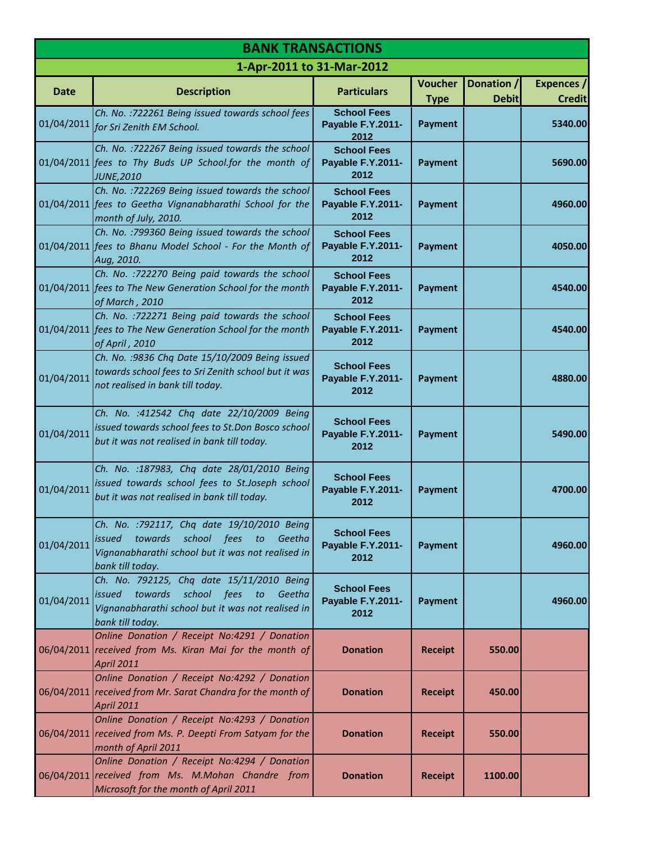| <b>BANK TRANSACTIONS</b> |                                                                                                                                                                              |                                                 |                               |                            |                                    |  |
|--------------------------|------------------------------------------------------------------------------------------------------------------------------------------------------------------------------|-------------------------------------------------|-------------------------------|----------------------------|------------------------------------|--|
|                          | 1-Apr-2011 to 31-Mar-2012                                                                                                                                                    |                                                 |                               |                            |                                    |  |
| Date                     | <b>Description</b>                                                                                                                                                           | <b>Particulars</b>                              | <b>Voucher</b><br><b>Type</b> | Donation /<br><b>Debit</b> | <b>Expences</b> /<br><b>Credit</b> |  |
| 01/04/2011               | Ch. No. : 722261 Being issued towards school fees<br>for Sri Zenith EM School.                                                                                               | <b>School Fees</b><br>Payable F.Y.2011-<br>2012 | <b>Payment</b>                |                            | 5340.00                            |  |
|                          | Ch. No. : 722267 Being issued towards the school<br>01/04/2011 fees to Thy Buds UP School.for the month of<br><b>JUNE,2010</b>                                               | <b>School Fees</b><br>Payable F.Y.2011-<br>2012 | <b>Payment</b>                |                            | 5690.00                            |  |
|                          | Ch. No. : 722269 Being issued towards the school<br>01/04/2011 fees to Geetha Vignanabharathi School for the<br>month of July, 2010.                                         | <b>School Fees</b><br>Payable F.Y.2011-<br>2012 | <b>Payment</b>                |                            | 4960.00                            |  |
|                          | Ch. No. : 799360 Being issued towards the school<br>01/04/2011 fees to Bhanu Model School - For the Month of<br>Aug, 2010.                                                   | <b>School Fees</b><br>Payable F.Y.2011-<br>2012 | <b>Payment</b>                |                            | 4050.00                            |  |
|                          | Ch. No. : 722270 Being paid towards the school<br>01/04/2011 fees to The New Generation School for the month<br>of March, 2010                                               | <b>School Fees</b><br>Payable F.Y.2011-<br>2012 | <b>Payment</b>                |                            | 4540.00                            |  |
|                          | Ch. No. : 722271 Being paid towards the school<br>01/04/2011 fees to The New Generation School for the month<br>of April, 2010                                               | <b>School Fees</b><br>Payable F.Y.2011-<br>2012 | <b>Payment</b>                |                            | 4540.00                            |  |
| 01/04/2011               | Ch. No. : 9836 Chq Date 15/10/2009 Being issued<br>towards school fees to Sri Zenith school but it was<br>not realised in bank till today.                                   | <b>School Fees</b><br>Payable F.Y.2011-<br>2012 | <b>Payment</b>                |                            | 4880.00                            |  |
| 01/04/2011               | Ch. No. : 412542 Chq date 22/10/2009 Being<br>issued towards school fees to St.Don Bosco school<br>but it was not realised in bank till today.                               | <b>School Fees</b><br>Payable F.Y.2011-<br>2012 | <b>Payment</b>                |                            | 5490.00                            |  |
| 01/04/2011               | Ch. No. : 187983, Chq date 28/01/2010 Being<br>issued towards school fees to St.Joseph school<br>but it was not realised in bank till today.                                 | <b>School Fees</b><br>Payable F.Y.2011-<br>2012 | Payment                       |                            | 4700.00                            |  |
| 01/04/2011               | Ch. No. : 792117, Chq date 19/10/2010 Being<br><i>issued</i><br>towards<br>school fees to<br>Geetha<br>Vignanabharathi school but it was not realised in<br>bank till today. | <b>School Fees</b><br>Payable F.Y.2011-<br>2012 | Payment                       |                            | 4960.00                            |  |
| 01/04/2011               | Ch. No. 792125, Chq date 15/11/2010 Being<br>towards<br>school fees<br>issued<br>to<br>Geetha<br>Vignanabharathi school but it was not realised in<br>bank till today.       | <b>School Fees</b><br>Payable F.Y.2011-<br>2012 | <b>Payment</b>                |                            | 4960.00                            |  |
|                          | Online Donation / Receipt No:4291 / Donation<br>06/04/2011 received from Ms. Kiran Mai for the month of<br><b>April 2011</b>                                                 | <b>Donation</b>                                 | <b>Receipt</b>                | 550.00                     |                                    |  |
|                          | Online Donation / Receipt No:4292 / Donation<br>06/04/2011 received from Mr. Sarat Chandra for the month of<br>April 2011                                                    | <b>Donation</b>                                 | <b>Receipt</b>                | 450.00                     |                                    |  |
|                          | Online Donation / Receipt No:4293 / Donation<br>06/04/2011 received from Ms. P. Deepti From Satyam for the<br>month of April 2011                                            | <b>Donation</b>                                 | <b>Receipt</b>                | 550.00                     |                                    |  |
|                          | Online Donation / Receipt No:4294 / Donation<br>06/04/2011 received from Ms. M.Mohan Chandre from<br>Microsoft for the month of April 2011                                   | <b>Donation</b>                                 | <b>Receipt</b>                | 1100.00                    |                                    |  |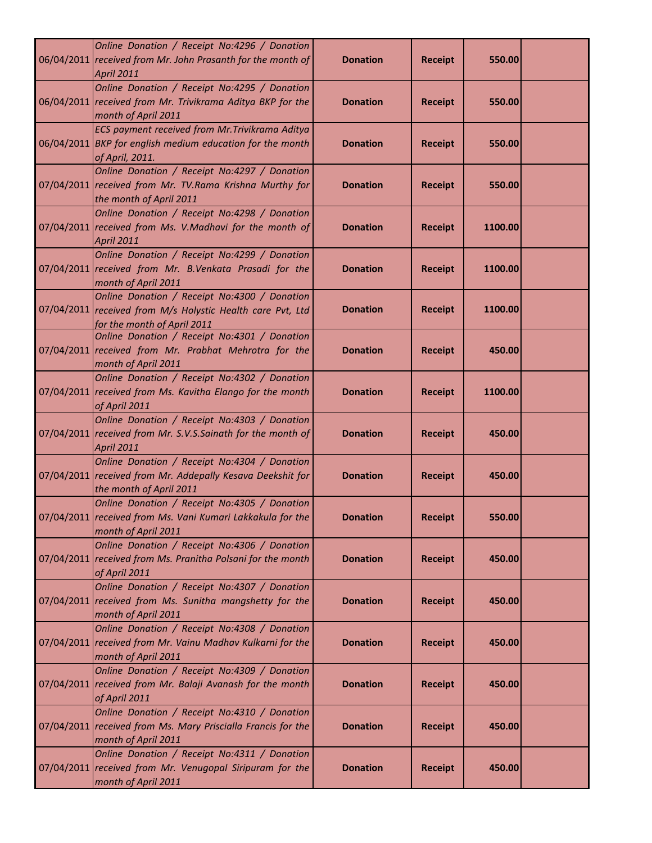| Online Donation / Receipt No:4296 / Donation<br>06/04/2011 received from Mr. John Prasanth for the month of<br><b>April 2011</b>          | <b>Donation</b> | <b>Receipt</b> | 550.00  |  |
|-------------------------------------------------------------------------------------------------------------------------------------------|-----------------|----------------|---------|--|
| Online Donation / Receipt No:4295 / Donation<br>06/04/2011 received from Mr. Trivikrama Aditya BKP for the<br>month of April 2011         | <b>Donation</b> | <b>Receipt</b> | 550.00  |  |
| ECS payment received from Mr. Trivikrama Aditya<br>06/04/2011 BKP for english medium education for the month<br>of April, 2011.           | <b>Donation</b> | <b>Receipt</b> | 550.00  |  |
| Online Donation / Receipt No:4297 / Donation<br>07/04/2011 received from Mr. TV.Rama Krishna Murthy for<br>the month of April 2011        | <b>Donation</b> | <b>Receipt</b> | 550.00  |  |
| Online Donation / Receipt No:4298 / Donation<br>07/04/2011 received from Ms. V.Madhavi for the month of<br><b>April 2011</b>              | <b>Donation</b> | <b>Receipt</b> | 1100.00 |  |
| Online Donation / Receipt No:4299 / Donation<br>07/04/2011 received from Mr. B.Venkata Prasadi for the<br>month of April 2011             | <b>Donation</b> | <b>Receipt</b> | 1100.00 |  |
| Online Donation / Receipt No:4300 / Donation<br>07/04/2011 received from M/s Holystic Health care Pvt, Ltd<br>for the month of April 2011 | <b>Donation</b> | <b>Receipt</b> | 1100.00 |  |
| Online Donation / Receipt No:4301 / Donation<br>07/04/2011 received from Mr. Prabhat Mehrotra for the<br>month of April 2011              | <b>Donation</b> | <b>Receipt</b> | 450.00  |  |
| Online Donation / Receipt No:4302 / Donation<br>07/04/2011 received from Ms. Kavitha Elango for the month<br>of April 2011                | <b>Donation</b> | <b>Receipt</b> | 1100.00 |  |
| Online Donation / Receipt No:4303 / Donation<br>07/04/2011 received from Mr. S.V.S.Sainath for the month of<br><b>April 2011</b>          | <b>Donation</b> | <b>Receipt</b> | 450.00  |  |
| Online Donation / Receipt No:4304 / Donation<br>07/04/2011 received from Mr. Addepally Kesava Deekshit for<br>the month of April 2011     | <b>Donation</b> | <b>Receipt</b> | 450.00  |  |
| Online Donation / Receipt No:4305 / Donation<br>07/04/2011 received from Ms. Vani Kumari Lakkakula for the<br>month of April 2011         | <b>Donation</b> | <b>Receipt</b> | 550.00  |  |
| Online Donation / Receipt No:4306 / Donation<br>07/04/2011 received from Ms. Pranitha Polsani for the month<br>of April 2011              | <b>Donation</b> | <b>Receipt</b> | 450.00  |  |
| Online Donation / Receipt No:4307 / Donation<br>07/04/2011 received from Ms. Sunitha mangshetty for the<br>month of April 2011            | <b>Donation</b> | <b>Receipt</b> | 450.00  |  |
| Online Donation / Receipt No:4308 / Donation<br>07/04/2011 received from Mr. Vainu Madhav Kulkarni for the<br>month of April 2011         | <b>Donation</b> | <b>Receipt</b> | 450.00  |  |
| Online Donation / Receipt No:4309 / Donation<br>07/04/2011 received from Mr. Balaji Avanash for the month<br>of April 2011                | <b>Donation</b> | <b>Receipt</b> | 450.00  |  |
| Online Donation / Receipt No:4310 / Donation<br>07/04/2011 received from Ms. Mary Priscialla Francis for the<br>month of April 2011       | <b>Donation</b> | <b>Receipt</b> | 450.00  |  |
| Online Donation / Receipt No:4311 / Donation<br>07/04/2011 received from Mr. Venugopal Siripuram for the<br>month of April 2011           | <b>Donation</b> | <b>Receipt</b> | 450.00  |  |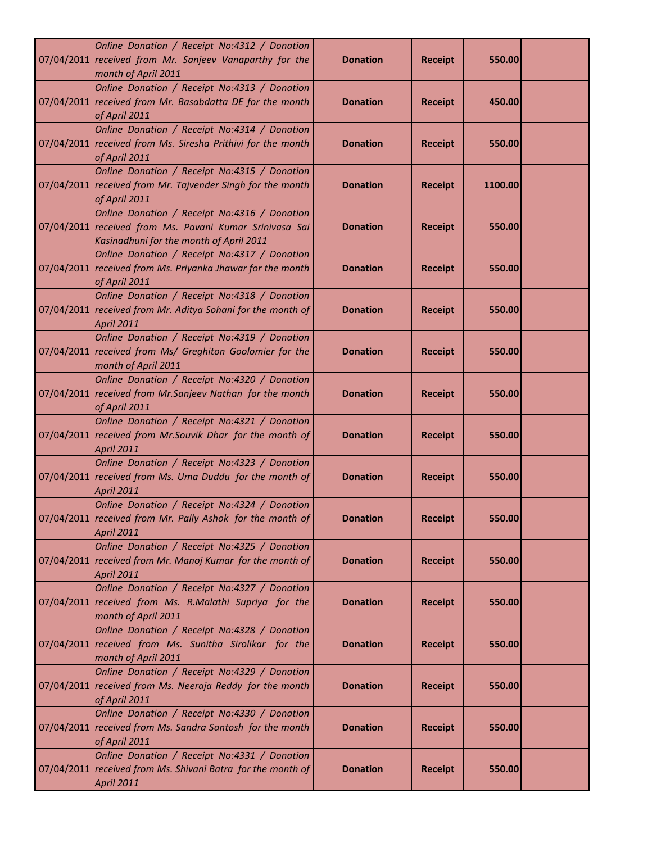| Online Donation / Receipt No:4312 / Donation<br>07/04/2011 received from Mr. Sanjeev Vanaparthy for the<br>month of April 2011                     | <b>Donation</b> | <b>Receipt</b> | 550.00  |  |
|----------------------------------------------------------------------------------------------------------------------------------------------------|-----------------|----------------|---------|--|
| Online Donation / Receipt No:4313 / Donation<br>07/04/2011 received from Mr. Basabdatta DE for the month<br>of April 2011                          | <b>Donation</b> | <b>Receipt</b> | 450.00  |  |
| Online Donation / Receipt No:4314 / Donation<br>07/04/2011 received from Ms. Siresha Prithivi for the month<br>of April 2011                       | <b>Donation</b> | <b>Receipt</b> | 550.00  |  |
| Online Donation / Receipt No:4315 / Donation<br>07/04/2011 received from Mr. Tajvender Singh for the month<br>of April 2011                        | <b>Donation</b> | <b>Receipt</b> | 1100.00 |  |
| Online Donation / Receipt No:4316 / Donation<br>07/04/2011 received from Ms. Pavani Kumar Srinivasa Sai<br>Kasinadhuni for the month of April 2011 | <b>Donation</b> | <b>Receipt</b> | 550.00  |  |
| Online Donation / Receipt No:4317 / Donation<br>07/04/2011 received from Ms. Priyanka Jhawar for the month<br>of April 2011                        | <b>Donation</b> | <b>Receipt</b> | 550.00  |  |
| Online Donation / Receipt No:4318 / Donation<br>07/04/2011 received from Mr. Aditya Sohani for the month of<br><b>April 2011</b>                   | <b>Donation</b> | <b>Receipt</b> | 550.00  |  |
| Online Donation / Receipt No:4319 / Donation<br>07/04/2011 received from Ms/ Greghiton Goolomier for the<br>month of April 2011                    | <b>Donation</b> | <b>Receipt</b> | 550.00  |  |
| Online Donation / Receipt No:4320 / Donation<br>07/04/2011 received from Mr.Sanjeev Nathan for the month<br>of April 2011                          | <b>Donation</b> | <b>Receipt</b> | 550.00  |  |
| Online Donation / Receipt No:4321 / Donation<br>07/04/2011 received from Mr.Souvik Dhar for the month of<br><b>April 2011</b>                      | <b>Donation</b> | <b>Receipt</b> | 550.00  |  |
| Online Donation / Receipt No:4323 / Donation<br>07/04/2011 received from Ms. Uma Duddu for the month of<br><b>April 2011</b>                       | <b>Donation</b> | <b>Receipt</b> | 550.00  |  |
| Online Donation / Receipt No:4324 / Donation<br>07/04/2011 received from Mr. Pally Ashok for the month of<br><b>April 2011</b>                     | <b>Donation</b> | <b>Receipt</b> | 550.00  |  |
| Online Donation / Receipt No:4325 / Donation<br>07/04/2011 received from Mr. Manoj Kumar for the month of<br><b>April 2011</b>                     | <b>Donation</b> | <b>Receipt</b> | 550.00  |  |
| Online Donation / Receipt No:4327 / Donation<br>07/04/2011 received from Ms. R.Malathi Supriya for the<br>month of April 2011                      | <b>Donation</b> | <b>Receipt</b> | 550.00  |  |
| Online Donation / Receipt No:4328 / Donation<br>07/04/2011 received from Ms. Sunitha Sirolikar for the<br>month of April 2011                      | <b>Donation</b> | <b>Receipt</b> | 550.00  |  |
| Online Donation / Receipt No:4329 / Donation<br>07/04/2011 received from Ms. Neeraja Reddy for the month<br>of April 2011                          | <b>Donation</b> | <b>Receipt</b> | 550.00  |  |
| Online Donation / Receipt No:4330 / Donation<br>07/04/2011 received from Ms. Sandra Santosh for the month<br>of April 2011                         | <b>Donation</b> | <b>Receipt</b> | 550.00  |  |
| Online Donation / Receipt No:4331 / Donation<br>07/04/2011 received from Ms. Shivani Batra for the month of<br>April 2011                          | <b>Donation</b> | <b>Receipt</b> | 550.00  |  |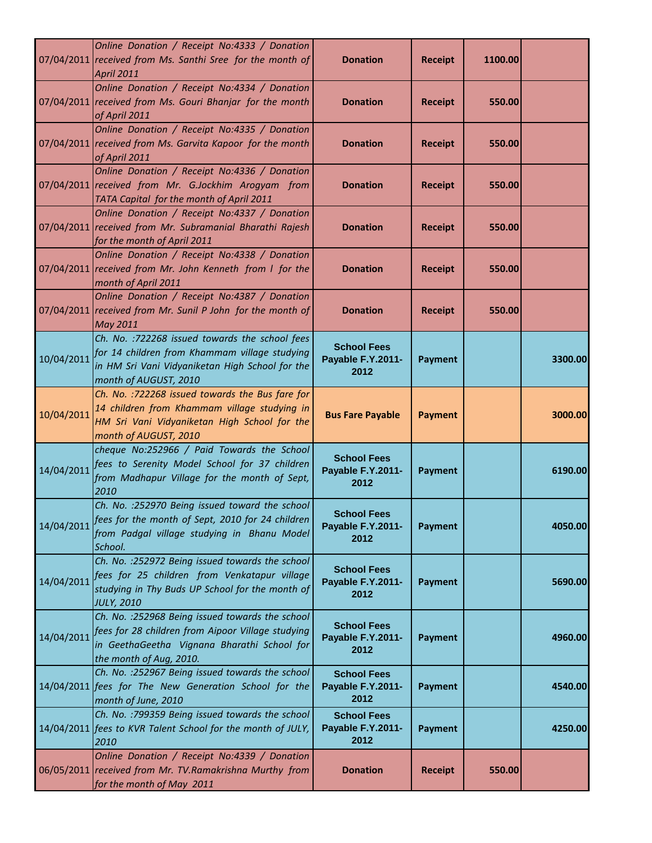|            | Online Donation / Receipt No:4333 / Donation<br>07/04/2011 received from Ms. Santhi Sree for the month of<br><b>April 2011</b>                                                  | <b>Donation</b>                                 | <b>Receipt</b> | 1100.00 |         |
|------------|---------------------------------------------------------------------------------------------------------------------------------------------------------------------------------|-------------------------------------------------|----------------|---------|---------|
|            | Online Donation / Receipt No:4334 / Donation<br>07/04/2011 received from Ms. Gouri Bhanjar for the month<br>of April 2011                                                       | <b>Donation</b>                                 | <b>Receipt</b> | 550.00  |         |
|            | Online Donation / Receipt No:4335 / Donation<br>07/04/2011 received from Ms. Garvita Kapoor for the month<br>of April 2011                                                      | <b>Donation</b>                                 | <b>Receipt</b> | 550.00  |         |
|            | Online Donation / Receipt No:4336 / Donation<br>07/04/2011 received from Mr. G.Jockhim Arogyam from<br>TATA Capital for the month of April 2011                                 | <b>Donation</b>                                 | <b>Receipt</b> | 550.00  |         |
|            | Online Donation / Receipt No:4337 / Donation<br>07/04/2011 received from Mr. Subramanial Bharathi Rajesh<br>for the month of April 2011                                         | <b>Donation</b>                                 | <b>Receipt</b> | 550.00  |         |
|            | Online Donation / Receipt No:4338 / Donation<br>07/04/2011 received from Mr. John Kenneth from I for the<br>month of April 2011                                                 | <b>Donation</b>                                 | <b>Receipt</b> | 550.00  |         |
|            | Online Donation / Receipt No:4387 / Donation<br>07/04/2011 received from Mr. Sunil P John for the month of<br>May 2011                                                          | <b>Donation</b>                                 | <b>Receipt</b> | 550.00  |         |
| 10/04/2011 | Ch. No. : 722268 issued towards the school fees<br>for 14 children from Khammam village studying<br>in HM Sri Vani Vidyaniketan High School for the<br>month of AUGUST, 2010    | <b>School Fees</b><br>Payable F.Y.2011-<br>2012 | <b>Payment</b> |         | 3300.00 |
| 10/04/2011 | Ch. No. : 722268 issued towards the Bus fare for<br>14 children from Khammam village studying in<br>HM Sri Vani Vidyaniketan High School for the<br>month of AUGUST, 2010       | <b>Bus Fare Payable</b>                         | <b>Payment</b> |         | 3000.00 |
| 14/04/2011 | cheque No:252966 / Paid Towards the School<br>fees to Serenity Model School for 37 children<br>from Madhapur Village for the month of Sept,<br>2010                             | <b>School Fees</b><br>Payable F.Y.2011-<br>2012 | <b>Payment</b> |         | 6190.00 |
| 14/04/2011 | Ch. No. : 252970 Being issued toward the school<br>fees for the month of Sept, 2010 for 24 children<br>from Padgal village studying in Bhanu Model<br>School.                   | <b>School Fees</b><br>Payable F.Y.2011-<br>2012 | <b>Payment</b> |         | 4050.00 |
| 14/04/2011 | Ch. No. : 252972 Being issued towards the school<br>fees for 25 children from Venkatapur village<br>studying in Thy Buds UP School for the month of<br><b>JULY, 2010</b>        | <b>School Fees</b><br>Payable F.Y.2011-<br>2012 | <b>Payment</b> |         | 5690.00 |
| 14/04/2011 | Ch. No. : 252968 Being issued towards the school<br>fees for 28 children from Aipoor Village studying<br>in GeethaGeetha Vignana Bharathi School for<br>the month of Aug, 2010. | <b>School Fees</b><br>Payable F.Y.2011-<br>2012 | <b>Payment</b> |         | 4960.00 |
|            | Ch. No. : 252967 Being issued towards the school<br>14/04/2011 fees for The New Generation School for the<br>month of June, 2010                                                | <b>School Fees</b><br>Payable F.Y.2011-<br>2012 | <b>Payment</b> |         | 4540.00 |
|            | Ch. No. : 799359 Being issued towards the school<br>14/04/2011 fees to KVR Talent School for the month of JULY,<br>2010                                                         | <b>School Fees</b><br>Payable F.Y.2011-<br>2012 | <b>Payment</b> |         | 4250.00 |
|            | Online Donation / Receipt No:4339 / Donation<br>06/05/2011 received from Mr. TV.Ramakrishna Murthy from<br>for the month of May 2011                                            | <b>Donation</b>                                 | <b>Receipt</b> | 550.00  |         |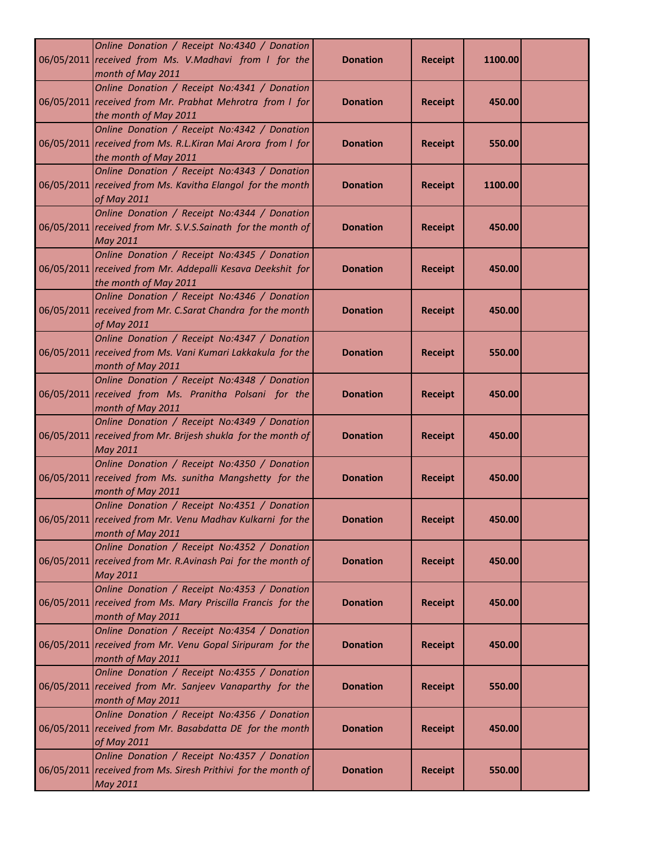| Online Donation / Receipt No:4340 / Donation<br>06/05/2011 received from Ms. V.Madhavi from I for the<br>month of May 2011           | <b>Donation</b> | <b>Receipt</b> | 1100.00 |  |
|--------------------------------------------------------------------------------------------------------------------------------------|-----------------|----------------|---------|--|
| Online Donation / Receipt No:4341 / Donation<br>06/05/2011 received from Mr. Prabhat Mehrotra from I for<br>the month of May 2011    | <b>Donation</b> | <b>Receipt</b> | 450.00  |  |
| Online Donation / Receipt No:4342 / Donation<br>06/05/2011 received from Ms. R.L.Kiran Mai Arora from I for<br>the month of May 2011 | <b>Donation</b> | <b>Receipt</b> | 550.00  |  |
| Online Donation / Receipt No:4343 / Donation<br>06/05/2011 received from Ms. Kavitha Elangol for the month<br>of May 2011            | <b>Donation</b> | <b>Receipt</b> | 1100.00 |  |
| Online Donation / Receipt No:4344 / Donation<br>06/05/2011 received from Mr. S.V.S.Sainath for the month of<br><b>May 2011</b>       | <b>Donation</b> | <b>Receipt</b> | 450.00  |  |
| Online Donation / Receipt No:4345 / Donation<br>06/05/2011 received from Mr. Addepalli Kesava Deekshit for<br>the month of May 2011  | <b>Donation</b> | <b>Receipt</b> | 450.00  |  |
| Online Donation / Receipt No:4346 / Donation<br>06/05/2011 received from Mr. C.Sarat Chandra for the month<br>of May 2011            | <b>Donation</b> | <b>Receipt</b> | 450.00  |  |
| Online Donation / Receipt No:4347 / Donation<br>06/05/2011 received from Ms. Vani Kumari Lakkakula for the<br>month of May 2011      | <b>Donation</b> | <b>Receipt</b> | 550.00  |  |
| Online Donation / Receipt No:4348 / Donation<br>06/05/2011 received from Ms. Pranitha Polsani for the<br>month of May 2011           | <b>Donation</b> | <b>Receipt</b> | 450.00  |  |
| Online Donation / Receipt No:4349 / Donation<br>06/05/2011 received from Mr. Brijesh shukla for the month of<br>May 2011             | <b>Donation</b> | <b>Receipt</b> | 450.00  |  |
| Online Donation / Receipt No:4350 / Donation<br>06/05/2011 received from Ms. sunitha Mangshetty for the<br>month of May 2011         | <b>Donation</b> | <b>Receipt</b> | 450.00  |  |
| Online Donation / Receipt No:4351 / Donation<br>06/05/2011 received from Mr. Venu Madhav Kulkarni for the<br>month of May 2011       | <b>Donation</b> | <b>Receipt</b> | 450.00  |  |
| Online Donation / Receipt No:4352 / Donation<br>06/05/2011 received from Mr. R.Avinash Pai for the month of<br><b>May 2011</b>       | <b>Donation</b> | <b>Receipt</b> | 450.00  |  |
| Online Donation / Receipt No:4353 / Donation<br>06/05/2011 received from Ms. Mary Priscilla Francis for the<br>month of May 2011     | <b>Donation</b> | <b>Receipt</b> | 450.00  |  |
| Online Donation / Receipt No:4354 / Donation<br>06/05/2011 received from Mr. Venu Gopal Siripuram for the<br>month of May 2011       | <b>Donation</b> | <b>Receipt</b> | 450.00  |  |
| Online Donation / Receipt No:4355 / Donation<br>06/05/2011 received from Mr. Sanjeev Vanaparthy for the<br>month of May 2011         | <b>Donation</b> | <b>Receipt</b> | 550.00  |  |
| Online Donation / Receipt No:4356 / Donation<br>06/05/2011 received from Mr. Basabdatta DE for the month<br>of May 2011              | <b>Donation</b> | <b>Receipt</b> | 450.00  |  |
| Online Donation / Receipt No:4357 / Donation<br>06/05/2011 received from Ms. Siresh Prithivi for the month of<br><b>May 2011</b>     | <b>Donation</b> | <b>Receipt</b> | 550.00  |  |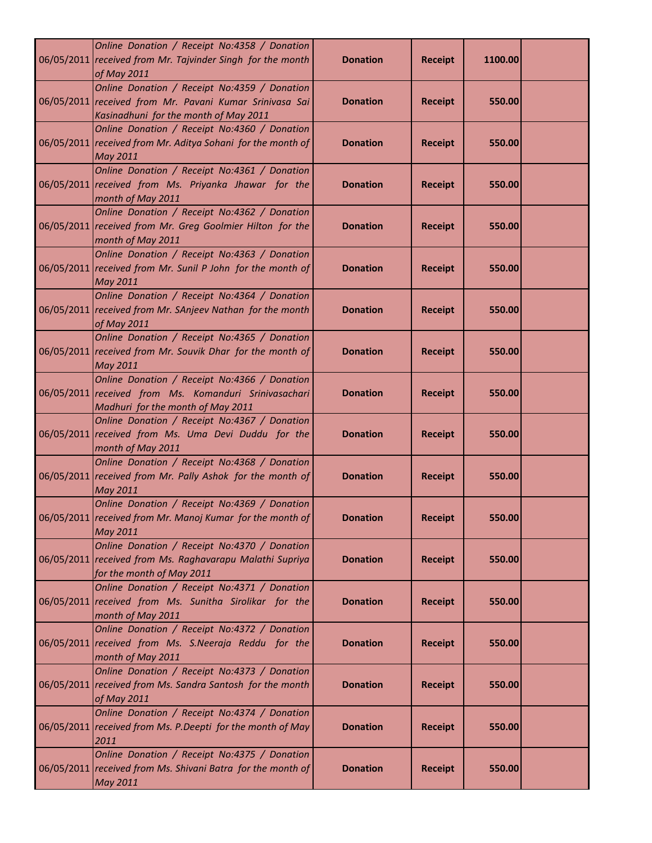| Online Donation / Receipt No:4358 / Donation<br>06/05/2011 received from Mr. Tajvinder Singh for the month<br>of May 2011                        | <b>Donation</b> | <b>Receipt</b> | 1100.00 |  |
|--------------------------------------------------------------------------------------------------------------------------------------------------|-----------------|----------------|---------|--|
| Online Donation / Receipt No:4359 / Donation<br>06/05/2011 received from Mr. Pavani Kumar Srinivasa Sai<br>Kasinadhuni for the month of May 2011 | <b>Donation</b> | <b>Receipt</b> | 550.00  |  |
| Online Donation / Receipt No:4360 / Donation<br>06/05/2011 received from Mr. Aditya Sohani for the month of<br><b>May 2011</b>                   | <b>Donation</b> | <b>Receipt</b> | 550.00  |  |
| Online Donation / Receipt No:4361 / Donation<br>06/05/2011 received from Ms. Priyanka Jhawar for the<br>month of May 2011                        | <b>Donation</b> | <b>Receipt</b> | 550.00  |  |
| Online Donation / Receipt No:4362 / Donation<br>06/05/2011 received from Mr. Greg Goolmier Hilton for the<br>month of May 2011                   | <b>Donation</b> | <b>Receipt</b> | 550.00  |  |
| Online Donation / Receipt No:4363 / Donation<br>06/05/2011 received from Mr. Sunil P John for the month of<br>May 2011                           | <b>Donation</b> | <b>Receipt</b> | 550.00  |  |
| Online Donation / Receipt No:4364 / Donation<br>06/05/2011 received from Mr. SAnjeev Nathan for the month<br>of May 2011                         | <b>Donation</b> | <b>Receipt</b> | 550.00  |  |
| Online Donation / Receipt No:4365 / Donation<br>06/05/2011 received from Mr. Souvik Dhar for the month of<br>May 2011                            | <b>Donation</b> | <b>Receipt</b> | 550.00  |  |
| Online Donation / Receipt No:4366 / Donation<br>06/05/2011 received from Ms. Komanduri Srinivasachari<br>Madhuri for the month of May 2011       | <b>Donation</b> | <b>Receipt</b> | 550.00  |  |
| Online Donation / Receipt No:4367 / Donation<br>06/05/2011 received from Ms. Uma Devi Duddu for the<br>month of May 2011                         | <b>Donation</b> | <b>Receipt</b> | 550.00  |  |
| Online Donation / Receipt No:4368 / Donation<br>06/05/2011 received from Mr. Pally Ashok for the month of<br>May 2011                            | <b>Donation</b> | <b>Receipt</b> | 550.00  |  |
| Online Donation / Receipt No:4369 / Donation<br>06/05/2011 received from Mr. Manoj Kumar for the month of<br><b>May 2011</b>                     | <b>Donation</b> | <b>Receipt</b> | 550.00  |  |
| Online Donation / Receipt No:4370 / Donation<br>06/05/2011 received from Ms. Raghavarapu Malathi Supriya<br>for the month of May 2011            | <b>Donation</b> | <b>Receipt</b> | 550.00  |  |
| Online Donation / Receipt No:4371 / Donation<br>06/05/2011 received from Ms. Sunitha Sirolikar for the<br>month of May 2011                      | <b>Donation</b> | <b>Receipt</b> | 550.00  |  |
| Online Donation / Receipt No:4372 / Donation<br>06/05/2011 received from Ms. S.Neeraja Reddu for the<br>month of May 2011                        | <b>Donation</b> | <b>Receipt</b> | 550.00  |  |
| Online Donation / Receipt No:4373 / Donation<br>06/05/2011 received from Ms. Sandra Santosh for the month<br>of May 2011                         | <b>Donation</b> | <b>Receipt</b> | 550.00  |  |
| Online Donation / Receipt No:4374 / Donation<br>06/05/2011 received from Ms. P.Deepti for the month of May<br>2011                               | <b>Donation</b> | <b>Receipt</b> | 550.00  |  |
| Online Donation / Receipt No:4375 / Donation<br>06/05/2011 received from Ms. Shivani Batra for the month of<br><b>May 2011</b>                   | <b>Donation</b> | <b>Receipt</b> | 550.00  |  |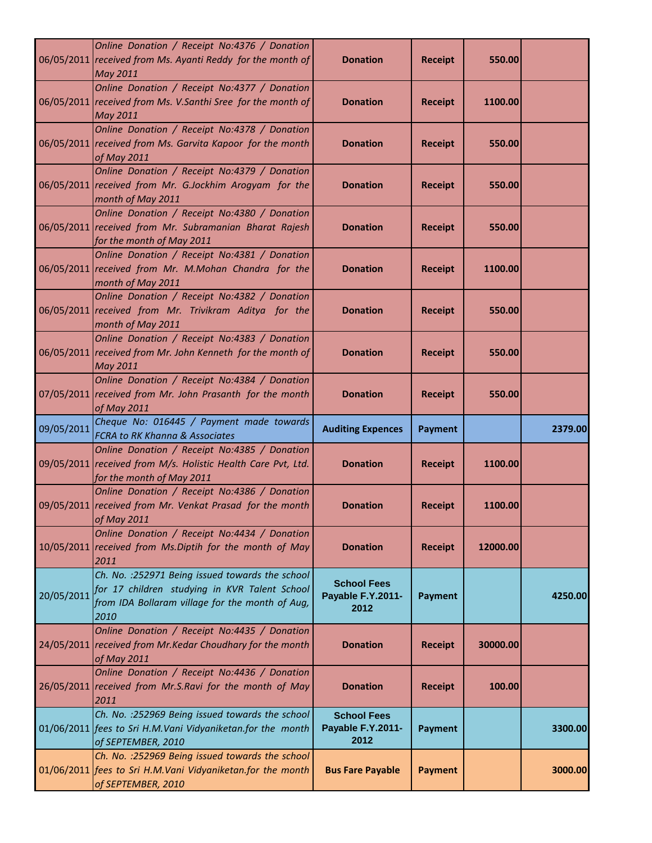|            | Online Donation / Receipt No:4376 / Donation<br>06/05/2011 received from Ms. Ayanti Reddy for the month of<br><b>May 2011</b>                                | <b>Donation</b>                                 | <b>Receipt</b> | 550.00   |         |
|------------|--------------------------------------------------------------------------------------------------------------------------------------------------------------|-------------------------------------------------|----------------|----------|---------|
|            | Online Donation / Receipt No:4377 / Donation<br>06/05/2011 received from Ms. V.Santhi Sree for the month of<br><b>May 2011</b>                               | <b>Donation</b>                                 | <b>Receipt</b> | 1100.00  |         |
|            | Online Donation / Receipt No:4378 / Donation<br>06/05/2011 received from Ms. Garvita Kapoor for the month<br>of May 2011                                     | <b>Donation</b>                                 | <b>Receipt</b> | 550.00   |         |
|            | Online Donation / Receipt No:4379 / Donation<br>06/05/2011 received from Mr. G.Jockhim Arogyam for the<br>month of May 2011                                  | <b>Donation</b>                                 | <b>Receipt</b> | 550.00   |         |
|            | Online Donation / Receipt No:4380 / Donation<br>06/05/2011 received from Mr. Subramanian Bharat Rajesh<br>for the month of May 2011                          | <b>Donation</b>                                 | <b>Receipt</b> | 550.00   |         |
|            | Online Donation / Receipt No:4381 / Donation<br>06/05/2011 received from Mr. M.Mohan Chandra for the<br>month of May 2011                                    | <b>Donation</b>                                 | <b>Receipt</b> | 1100.00  |         |
|            | Online Donation / Receipt No:4382 / Donation<br>06/05/2011 received from Mr. Trivikram Aditya for the<br>month of May 2011                                   | <b>Donation</b>                                 | <b>Receipt</b> | 550.00   |         |
|            | Online Donation / Receipt No:4383 / Donation<br>06/05/2011 received from Mr. John Kenneth for the month of<br><b>May 2011</b>                                | <b>Donation</b>                                 | <b>Receipt</b> | 550.00   |         |
|            | Online Donation / Receipt No:4384 / Donation<br>07/05/2011 received from Mr. John Prasanth for the month<br>of May 2011                                      | <b>Donation</b>                                 | <b>Receipt</b> | 550.00   |         |
| 09/05/2011 | Cheque No: 016445 / Payment made towards<br><b>FCRA to RK Khanna &amp; Associates</b>                                                                        | <b>Auditing Expences</b>                        | <b>Payment</b> |          | 2379.00 |
|            | Online Donation / Receipt No:4385 / Donation<br>09/05/2011 received from M/s. Holistic Health Care Pvt, Ltd.<br>for the month of May 2011                    | <b>Donation</b>                                 | <b>Receipt</b> | 1100.00  |         |
|            | Online Donation / Receipt No:4386 / Donation<br>09/05/2011 received from Mr. Venkat Prasad for the month<br>of May 2011                                      | <b>Donation</b>                                 | <b>Receipt</b> | 1100.00  |         |
|            | Online Donation / Receipt No:4434 / Donation<br>10/05/2011 received from Ms. Diptih for the month of May<br>2011                                             | <b>Donation</b>                                 | <b>Receipt</b> | 12000.00 |         |
| 20/05/2011 | Ch. No. : 252971 Being issued towards the school<br>for 17 children studying in KVR Talent School<br>from IDA Bollaram village for the month of Aug,<br>2010 | <b>School Fees</b><br>Payable F.Y.2011-<br>2012 | <b>Payment</b> |          | 4250.00 |
|            | Online Donation / Receipt No:4435 / Donation<br>24/05/2011 received from Mr.Kedar Choudhary for the month<br>of May 2011                                     | <b>Donation</b>                                 | <b>Receipt</b> | 30000.00 |         |
|            | Online Donation / Receipt No:4436 / Donation<br>26/05/2011 received from Mr.S.Ravi for the month of May<br>2011                                              | <b>Donation</b>                                 | <b>Receipt</b> | 100.00   |         |
|            | Ch. No. : 252969 Being issued towards the school<br>01/06/2011 fees to Sri H.M.Vani Vidyaniketan.for the month<br>of SEPTEMBER, 2010                         | <b>School Fees</b><br>Payable F.Y.2011-<br>2012 | <b>Payment</b> |          | 3300.00 |
|            | Ch. No. : 252969 Being issued towards the school<br>01/06/2011 fees to Sri H.M.Vani Vidyaniketan.for the month<br>of SEPTEMBER, 2010                         | <b>Bus Fare Payable</b>                         | <b>Payment</b> |          | 3000.00 |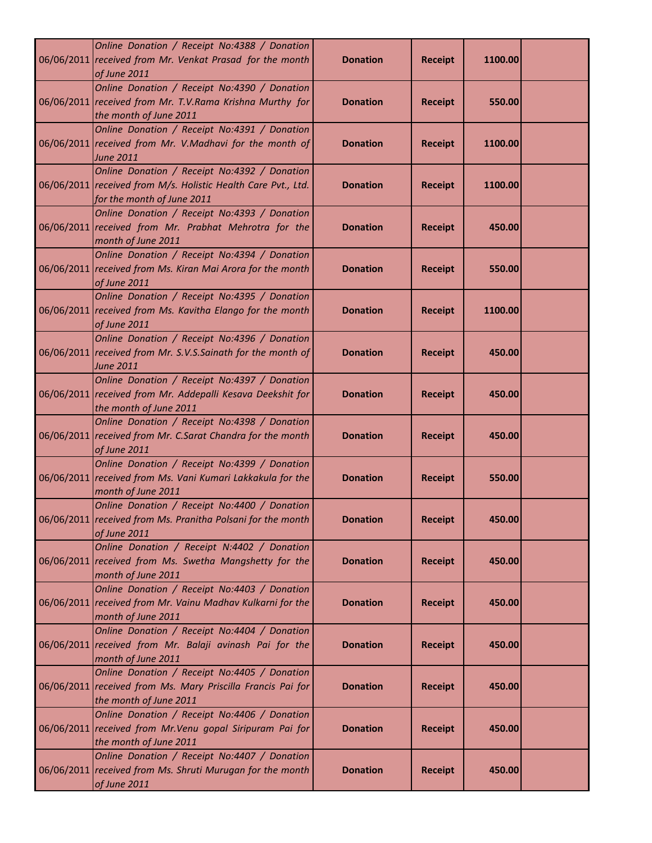| Online Donation / Receipt No:4388 / Donation<br>06/06/2011 received from Mr. Venkat Prasad for the month<br>of June 2011                    | <b>Donation</b> | <b>Receipt</b> | 1100.00 |  |
|---------------------------------------------------------------------------------------------------------------------------------------------|-----------------|----------------|---------|--|
| Online Donation / Receipt No:4390 / Donation<br>06/06/2011 received from Mr. T.V.Rama Krishna Murthy for<br>the month of June 2011          | <b>Donation</b> | <b>Receipt</b> | 550.00  |  |
| Online Donation / Receipt No:4391 / Donation<br>06/06/2011 received from Mr. V.Madhavi for the month of<br><b>June 2011</b>                 | <b>Donation</b> | <b>Receipt</b> | 1100.00 |  |
| Online Donation / Receipt No:4392 / Donation<br>06/06/2011 received from M/s. Holistic Health Care Pvt., Ltd.<br>for the month of June 2011 | <b>Donation</b> | <b>Receipt</b> | 1100.00 |  |
| Online Donation / Receipt No:4393 / Donation<br>06/06/2011 received from Mr. Prabhat Mehrotra for the<br>month of June 2011                 | <b>Donation</b> | <b>Receipt</b> | 450.00  |  |
| Online Donation / Receipt No:4394 / Donation<br>06/06/2011 received from Ms. Kiran Mai Arora for the month<br>of June 2011                  | <b>Donation</b> | <b>Receipt</b> | 550.00  |  |
| Online Donation / Receipt No:4395 / Donation<br>06/06/2011 received from Ms. Kavitha Elango for the month<br>of June 2011                   | <b>Donation</b> | <b>Receipt</b> | 1100.00 |  |
| Online Donation / Receipt No:4396 / Donation<br>06/06/2011 received from Mr. S.V.S.Sainath for the month of<br><b>June 2011</b>             | <b>Donation</b> | <b>Receipt</b> | 450.00  |  |
| Online Donation / Receipt No:4397 / Donation<br>06/06/2011 received from Mr. Addepalli Kesava Deekshit for<br>the month of June 2011        | <b>Donation</b> | <b>Receipt</b> | 450.00  |  |
| Online Donation / Receipt No:4398 / Donation<br>06/06/2011 received from Mr. C.Sarat Chandra for the month<br>of June 2011                  | <b>Donation</b> | <b>Receipt</b> | 450.00  |  |
| Online Donation / Receipt No:4399 / Donation<br>06/06/2011 received from Ms. Vani Kumari Lakkakula for the<br>month of June 2011            | <b>Donation</b> | <b>Receipt</b> | 550.00  |  |
| Online Donation / Receipt No:4400 / Donation<br>06/06/2011 received from Ms. Pranitha Polsani for the month<br>of June 2011                 | <b>Donation</b> | <b>Receipt</b> | 450.00  |  |
| Online Donation / Receipt N:4402 / Donation<br>06/06/2011 received from Ms. Swetha Mangshetty for the<br>month of June 2011                 | <b>Donation</b> | <b>Receipt</b> | 450.00  |  |
| Online Donation / Receipt No:4403 / Donation<br>06/06/2011 received from Mr. Vainu Madhav Kulkarni for the<br>month of June 2011            | <b>Donation</b> | <b>Receipt</b> | 450.00  |  |
| Online Donation / Receipt No:4404 / Donation<br>06/06/2011 received from Mr. Balaji avinash Pai for the<br>month of June 2011               | <b>Donation</b> | <b>Receipt</b> | 450.00  |  |
| Online Donation / Receipt No:4405 / Donation<br>06/06/2011 received from Ms. Mary Priscilla Francis Pai for<br>the month of June 2011       | <b>Donation</b> | <b>Receipt</b> | 450.00  |  |
| Online Donation / Receipt No:4406 / Donation<br>06/06/2011 received from Mr. Venu gopal Siripuram Pai for<br>the month of June 2011         | <b>Donation</b> | <b>Receipt</b> | 450.00  |  |
| Online Donation / Receipt No:4407 / Donation<br>06/06/2011 received from Ms. Shruti Murugan for the month<br>of June 2011                   | <b>Donation</b> | <b>Receipt</b> | 450.00  |  |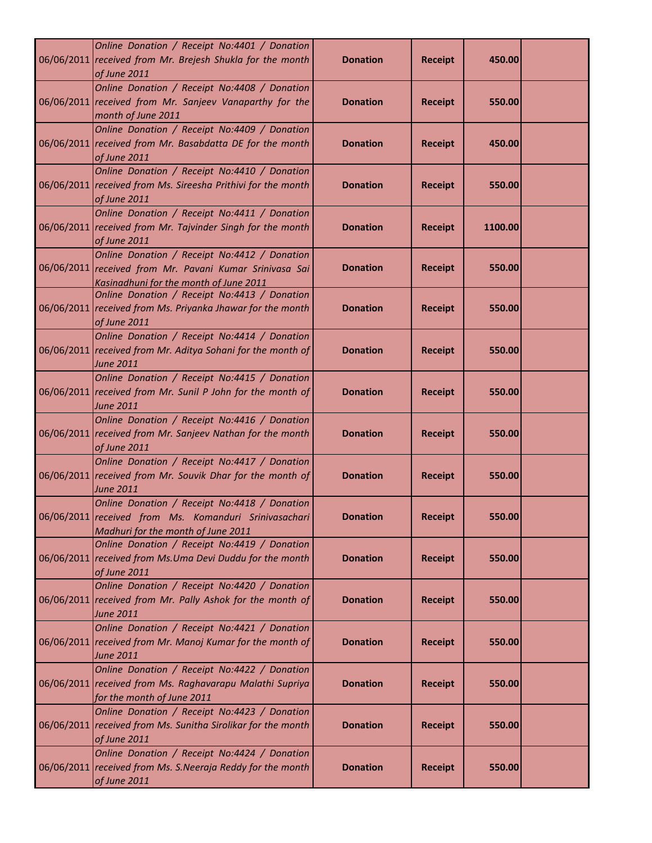| Online Donation / Receipt No:4401 / Donation<br>06/06/2011 received from Mr. Brejesh Shukla for the month<br>of June 2011                         | <b>Donation</b> | <b>Receipt</b> | 450.00  |  |
|---------------------------------------------------------------------------------------------------------------------------------------------------|-----------------|----------------|---------|--|
| Online Donation / Receipt No:4408 / Donation<br>06/06/2011 received from Mr. Sanjeev Vanaparthy for the<br>month of June 2011                     | <b>Donation</b> | <b>Receipt</b> | 550.00  |  |
| Online Donation / Receipt No:4409 / Donation<br>06/06/2011 received from Mr. Basabdatta DE for the month<br>of June 2011                          | <b>Donation</b> | <b>Receipt</b> | 450.00  |  |
| Online Donation / Receipt No:4410 / Donation<br>06/06/2011 received from Ms. Sireesha Prithivi for the month<br>of June 2011                      | <b>Donation</b> | <b>Receipt</b> | 550.00  |  |
| Online Donation / Receipt No:4411 / Donation<br>06/06/2011 received from Mr. Tajvinder Singh for the month<br>of June 2011                        | <b>Donation</b> | <b>Receipt</b> | 1100.00 |  |
| Online Donation / Receipt No:4412 / Donation<br>06/06/2011 received from Mr. Pavani Kumar Srinivasa Sai<br>Kasinadhuni for the month of June 2011 | <b>Donation</b> | <b>Receipt</b> | 550.00  |  |
| Online Donation / Receipt No:4413 / Donation<br>06/06/2011 received from Ms. Priyanka Jhawar for the month<br>of June 2011                        | <b>Donation</b> | <b>Receipt</b> | 550.00  |  |
| Online Donation / Receipt No:4414 / Donation<br>06/06/2011 received from Mr. Aditya Sohani for the month of<br>June 2011                          | <b>Donation</b> | <b>Receipt</b> | 550.00  |  |
| Online Donation / Receipt No:4415 / Donation<br>06/06/2011 received from Mr. Sunil P John for the month of<br><b>June 2011</b>                    | <b>Donation</b> | <b>Receipt</b> | 550.00  |  |
| Online Donation / Receipt No:4416 / Donation<br>06/06/2011 received from Mr. Sanjeev Nathan for the month<br>of June 2011                         | <b>Donation</b> | <b>Receipt</b> | 550.00  |  |
| Online Donation / Receipt No:4417 / Donation<br>06/06/2011 received from Mr. Souvik Dhar for the month of<br><b>June 2011</b>                     | <b>Donation</b> | <b>Receipt</b> | 550.00  |  |
| Online Donation / Receipt No:4418 / Donation<br>06/06/2011 received from Ms. Komanduri Srinivasachari<br>Madhuri for the month of June 2011       | Donation        | Receipt        | 550.00  |  |
| Online Donation / Receipt No:4419 / Donation<br>06/06/2011 received from Ms.Uma Devi Duddu for the month<br>of June 2011                          | <b>Donation</b> | <b>Receipt</b> | 550.00  |  |
| Online Donation / Receipt No:4420 / Donation<br>06/06/2011 received from Mr. Pally Ashok for the month of<br>June 2011                            | <b>Donation</b> | <b>Receipt</b> | 550.00  |  |
| Online Donation / Receipt No:4421 / Donation<br>06/06/2011 received from Mr. Manoj Kumar for the month of<br><b>June 2011</b>                     | <b>Donation</b> | <b>Receipt</b> | 550.00  |  |
| Online Donation / Receipt No:4422 / Donation<br>06/06/2011 received from Ms. Raghavarapu Malathi Supriya<br>for the month of June 2011            | <b>Donation</b> | <b>Receipt</b> | 550.00  |  |
| Online Donation / Receipt No:4423 / Donation<br>06/06/2011 received from Ms. Sunitha Sirolikar for the month<br>of June 2011                      | <b>Donation</b> | <b>Receipt</b> | 550.00  |  |
| Online Donation / Receipt No:4424 / Donation<br>06/06/2011 received from Ms. S. Neeraja Reddy for the month<br>of June 2011                       | <b>Donation</b> | <b>Receipt</b> | 550.00  |  |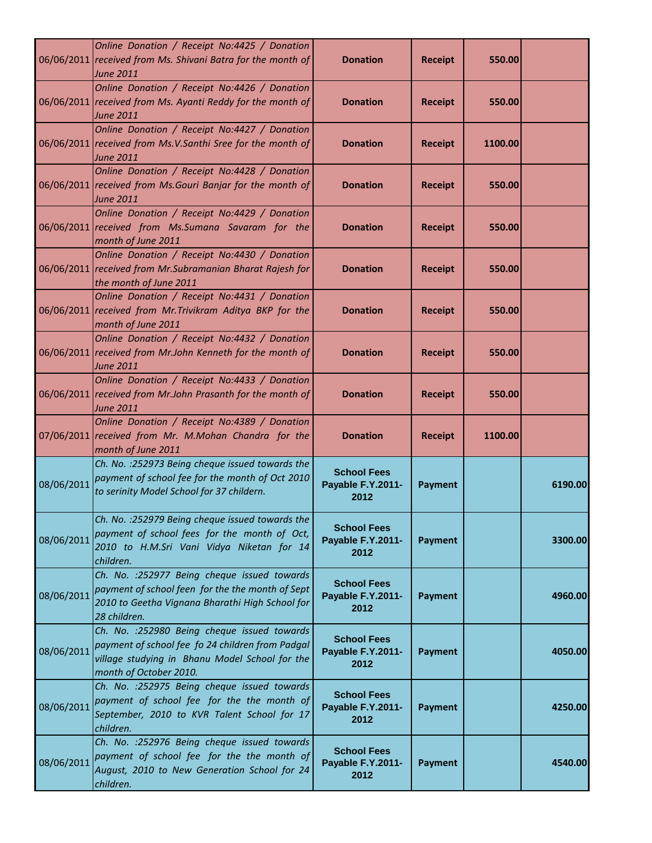|            | Online Donation / Receipt No:4425 / Donation<br>06/06/2011 received from Ms. Shivani Batra for the month of<br>June 2011                                                     | <b>Donation</b>                                 | <b>Receipt</b> | 550.00  |         |
|------------|------------------------------------------------------------------------------------------------------------------------------------------------------------------------------|-------------------------------------------------|----------------|---------|---------|
|            | Online Donation / Receipt No:4426 / Donation<br>06/06/2011 received from Ms. Ayanti Reddy for the month of<br>June 2011                                                      | <b>Donation</b>                                 | <b>Receipt</b> | 550.00  |         |
|            | Online Donation / Receipt No:4427 / Donation<br>06/06/2011 received from Ms.V.Santhi Sree for the month of<br>June 2011                                                      | <b>Donation</b>                                 | <b>Receipt</b> | 1100.00 |         |
|            | Online Donation / Receipt No:4428 / Donation<br>06/06/2011 received from Ms. Gouri Banjar for the month of<br>June 2011                                                      | <b>Donation</b>                                 | <b>Receipt</b> | 550.00  |         |
|            | Online Donation / Receipt No:4429 / Donation<br>06/06/2011 received from Ms. Sumana Savaram for the<br>month of June 2011                                                    | <b>Donation</b>                                 | <b>Receipt</b> | 550.00  |         |
|            | Online Donation / Receipt No:4430 / Donation<br>06/06/2011 received from Mr. Subramanian Bharat Rajesh for<br>the month of June 2011                                         | <b>Donation</b>                                 | <b>Receipt</b> | 550.00  |         |
|            | Online Donation / Receipt No:4431 / Donation<br>06/06/2011 received from Mr. Trivikram Aditya BKP for the<br>month of June 2011                                              | <b>Donation</b>                                 | <b>Receipt</b> | 550.00  |         |
|            | Online Donation / Receipt No:4432 / Donation<br>06/06/2011 received from Mr.John Kenneth for the month of<br>June 2011                                                       | <b>Donation</b>                                 | <b>Receipt</b> | 550.00  |         |
|            | Online Donation / Receipt No:4433 / Donation<br>06/06/2011 received from Mr.John Prasanth for the month of<br><b>June 2011</b>                                               | <b>Donation</b>                                 | <b>Receipt</b> | 550.00  |         |
|            | Online Donation / Receipt No:4389 / Donation<br>07/06/2011 received from Mr. M.Mohan Chandra for the<br>month of June 2011                                                   | <b>Donation</b>                                 | <b>Receipt</b> | 1100.00 |         |
| 08/06/2011 | Ch. No. : 252973 Being cheque issued towards the<br>payment of school fee for the month of Oct 2010<br>to serinity Model School for 37 childern.                             | <b>School Fees</b><br>Payable F.Y.2011-<br>2012 | <b>Payment</b> |         | 6190.00 |
| 08/06/2011 | Ch. No. : 252979 Being cheque issued towards the<br>payment of school fees for the month of Oct,<br>2010 to H.M.Sri Vani Vidya Niketan for 14<br>children.                   | <b>School Fees</b><br>Payable F.Y.2011-<br>2012 | <b>Payment</b> |         | 3300.00 |
| 08/06/2011 | Ch. No. : 252977 Being cheque issued towards<br>payment of school feen for the the month of Sept                                                                             | <b>School Fees</b><br>Payable F.Y.2011-         | Payment        |         | 4960.00 |
|            | 2010 to Geetha Vignana Bharathi High School for<br>28 children.                                                                                                              | 2012                                            |                |         |         |
| 08/06/2011 | Ch. No. : 252980 Being cheque issued towards<br>payment of school fee fo 24 children from Padgal<br>village studying in Bhanu Model School for the<br>month of October 2010. | <b>School Fees</b><br>Payable F.Y.2011-<br>2012 | <b>Payment</b> |         | 4050.00 |
| 08/06/2011 | Ch. No. : 252975 Being cheque issued towards<br>payment of school fee for the the month of<br>September, 2010 to KVR Talent School for 17<br>children.                       | <b>School Fees</b><br>Payable F.Y.2011-<br>2012 | <b>Payment</b> |         | 4250.00 |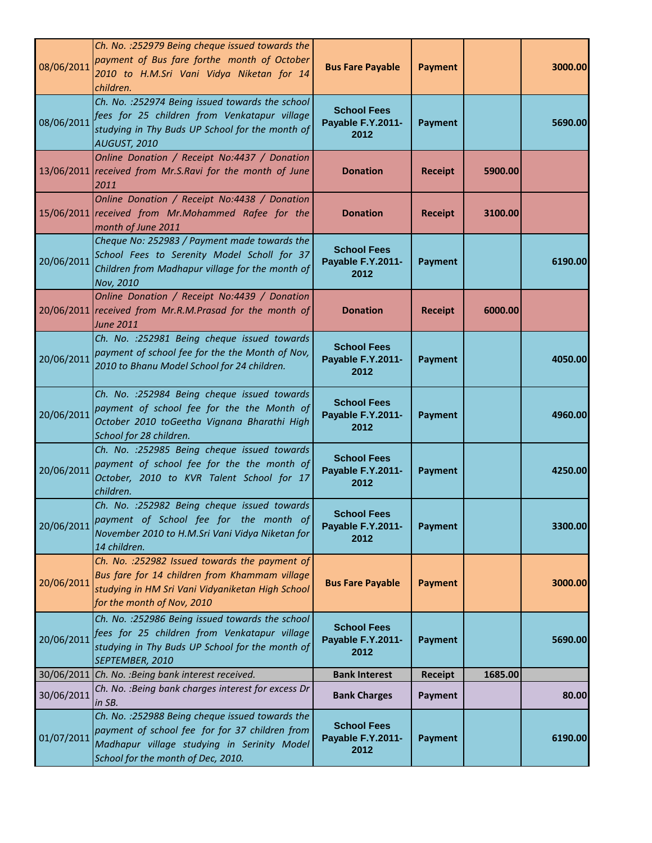| 08/06/2011 | Ch. No. : 252979 Being cheque issued towards the<br>payment of Bus fare forthe month of October<br>2010 to H.M.Sri Vani Vidya Niketan for 14<br>children.                               | <b>Bus Fare Payable</b>                         | <b>Payment</b> |         | 3000.00 |
|------------|-----------------------------------------------------------------------------------------------------------------------------------------------------------------------------------------|-------------------------------------------------|----------------|---------|---------|
| 08/06/2011 | Ch. No. : 252974 Being issued towards the school<br>fees for 25 children from Venkatapur village<br>studying in Thy Buds UP School for the month of<br>AUGUST, 2010                     | <b>School Fees</b><br>Payable F.Y.2011-<br>2012 | <b>Payment</b> |         | 5690.00 |
|            | Online Donation / Receipt No:4437 / Donation<br>13/06/2011 received from Mr.S.Ravi for the month of June<br>2011                                                                        | <b>Donation</b>                                 | <b>Receipt</b> | 5900.00 |         |
|            | Online Donation / Receipt No:4438 / Donation<br>15/06/2011 received from Mr.Mohammed Rafee for the<br>month of June 2011                                                                | <b>Donation</b>                                 | <b>Receipt</b> | 3100.00 |         |
| 20/06/2011 | Cheque No: 252983 / Payment made towards the<br>School Fees to Serenity Model Scholl for 37<br>Children from Madhapur village for the month of<br>Nov, 2010                             | <b>School Fees</b><br>Payable F.Y.2011-<br>2012 | <b>Payment</b> |         | 6190.00 |
|            | Online Donation / Receipt No:4439 / Donation<br>20/06/2011 received from Mr.R.M.Prasad for the month of<br><b>June 2011</b>                                                             | <b>Donation</b>                                 | <b>Receipt</b> | 6000.00 |         |
| 20/06/2011 | Ch. No. : 252981 Being cheque issued towards<br>payment of school fee for the the Month of Nov,<br>2010 to Bhanu Model School for 24 children.                                          | <b>School Fees</b><br>Payable F.Y.2011-<br>2012 | Payment        |         | 4050.00 |
| 20/06/2011 | Ch. No. : 252984 Being cheque issued towards<br>payment of school fee for the the Month of<br>October 2010 toGeetha Vignana Bharathi High<br>School for 28 children.                    | <b>School Fees</b><br>Payable F.Y.2011-<br>2012 | <b>Payment</b> |         | 4960.00 |
| 20/06/2011 | Ch. No. : 252985 Being cheque issued towards<br>payment of school fee for the the month of<br>October, 2010 to KVR Talent School for 17<br>children.                                    | <b>School Fees</b><br>Payable F.Y.2011-<br>2012 | <b>Payment</b> |         | 4250.00 |
| 20/06/2011 | Ch. No. : 252982 Being cheque issued towards<br>payment of School fee for the month of<br>November 2010 to H.M.Sri Vani Vidya Niketan for<br>14 children.                               | <b>School Fees</b><br>Payable F.Y.2011-<br>2012 | <b>Payment</b> |         | 3300.00 |
| 20/06/2011 | Ch. No. : 252982 Issued towards the payment of<br>Bus fare for 14 children from Khammam village<br>studying in HM Sri Vani Vidyaniketan High School<br>for the month of Nov, 2010       | <b>Bus Fare Payable</b>                         | <b>Payment</b> |         | 3000.00 |
| 20/06/2011 | Ch. No. : 252986 Being issued towards the school<br>fees for 25 children from Venkatapur village<br>studying in Thy Buds UP School for the month of<br>SEPTEMBER, 2010                  | <b>School Fees</b><br>Payable F.Y.2011-<br>2012 | <b>Payment</b> |         | 5690.00 |
|            | 30/06/2011 Ch. No. : Being bank interest received.                                                                                                                                      | <b>Bank Interest</b>                            | <b>Receipt</b> | 1685.00 |         |
| 30/06/2011 | Ch. No. : Being bank charges interest for excess Dr<br>in SB.                                                                                                                           | <b>Bank Charges</b>                             | <b>Payment</b> |         | 80.00   |
| 01/07/2011 | Ch. No. : 252988 Being cheque issued towards the<br>payment of school fee for for 37 children from<br>Madhapur village studying in Serinity Model<br>School for the month of Dec, 2010. | <b>School Fees</b><br>Payable F.Y.2011-<br>2012 | <b>Payment</b> |         | 6190.00 |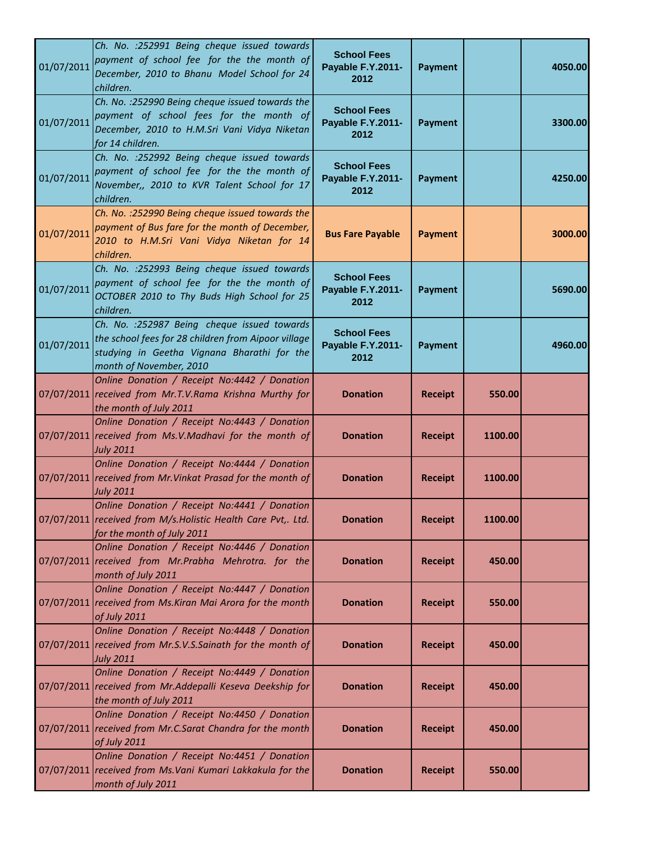| 01/07/2011 | Ch. No. : 252991 Being cheque issued towards<br>payment of school fee for the the month of<br>December, 2010 to Bhanu Model School for 24<br>children.                        | <b>School Fees</b><br>Payable F.Y.2011-<br>2012 | <b>Payment</b> |         | 4050.00 |
|------------|-------------------------------------------------------------------------------------------------------------------------------------------------------------------------------|-------------------------------------------------|----------------|---------|---------|
| 01/07/2011 | Ch. No. : 252990 Being cheque issued towards the<br>payment of school fees for the month of<br>December, 2010 to H.M.Sri Vani Vidya Niketan<br>for 14 children.               | <b>School Fees</b><br>Payable F.Y.2011-<br>2012 | <b>Payment</b> |         | 3300.00 |
| 01/07/2011 | Ch. No. : 252992 Being cheque issued towards<br>payment of school fee for the the month of<br>November,, 2010 to KVR Talent School for 17<br>children.                        | <b>School Fees</b><br>Payable F.Y.2011-<br>2012 | <b>Payment</b> |         | 4250.00 |
| 01/07/2011 | Ch. No. : 252990 Being cheque issued towards the<br>payment of Bus fare for the month of December,<br>2010 to H.M.Sri Vani Vidya Niketan for 14<br>children.                  | <b>Bus Fare Payable</b>                         | <b>Payment</b> |         | 3000.00 |
| 01/07/2011 | Ch. No. : 252993 Being cheque issued towards<br>payment of school fee for the the month of<br>OCTOBER 2010 to Thy Buds High School for 25<br>children.                        | <b>School Fees</b><br>Payable F.Y.2011-<br>2012 | <b>Payment</b> |         | 5690.00 |
| 01/07/2011 | Ch. No. : 252987 Being cheque issued towards<br>the school fees for 28 children from Aipoor village<br>studying in Geetha Vignana Bharathi for the<br>month of November, 2010 | <b>School Fees</b><br>Payable F.Y.2011-<br>2012 | <b>Payment</b> |         | 4960.00 |
|            | Online Donation / Receipt No:4442 / Donation<br>07/07/2011 received from Mr.T.V.Rama Krishna Murthy for<br>the month of July 2011                                             | <b>Donation</b>                                 | <b>Receipt</b> | 550.00  |         |
|            | Online Donation / Receipt No:4443 / Donation<br>07/07/2011 received from Ms.V.Madhavi for the month of<br><b>July 2011</b>                                                    | <b>Donation</b>                                 | <b>Receipt</b> | 1100.00 |         |
|            | Online Donation / Receipt No:4444 / Donation<br>07/07/2011 received from Mr. Vinkat Prasad for the month of<br><b>July 2011</b>                                               | <b>Donation</b>                                 | <b>Receipt</b> | 1100.00 |         |
|            | Online Donation / Receipt No:4441 / Donation<br>07/07/2011 received from M/s. Holistic Health Care Pvt,. Ltd.<br>for the month of July 2011                                   | <b>Donation</b>                                 | <b>Receipt</b> | 1100.00 |         |
|            | Online Donation / Receipt No:4446 / Donation<br>07/07/2011 received from Mr.Prabha Mehrotra. for the<br>month of July 2011                                                    | <b>Donation</b>                                 | <b>Receipt</b> | 450.00  |         |
|            | Online Donation / Receipt No:4447 / Donation<br>07/07/2011 received from Ms. Kiran Mai Arora for the month<br>of July 2011                                                    | <b>Donation</b>                                 | <b>Receipt</b> | 550.00  |         |
|            | Online Donation / Receipt No:4448 / Donation<br>07/07/2011 received from Mr.S.V.S.Sainath for the month of<br><b>July 2011</b>                                                | <b>Donation</b>                                 | <b>Receipt</b> | 450.00  |         |
|            | Online Donation / Receipt No:4449 / Donation<br>07/07/2011 received from Mr.Addepalli Keseva Deekship for<br>the month of July 2011                                           | <b>Donation</b>                                 | <b>Receipt</b> | 450.00  |         |
|            | Online Donation / Receipt No:4450 / Donation<br>07/07/2011 received from Mr.C.Sarat Chandra for the month<br>of July 2011                                                     | <b>Donation</b>                                 | <b>Receipt</b> | 450.00  |         |
|            | Online Donation / Receipt No:4451 / Donation<br>07/07/2011 received from Ms. Vani Kumari Lakkakula for the<br>month of July 2011                                              | <b>Donation</b>                                 | <b>Receipt</b> | 550.00  |         |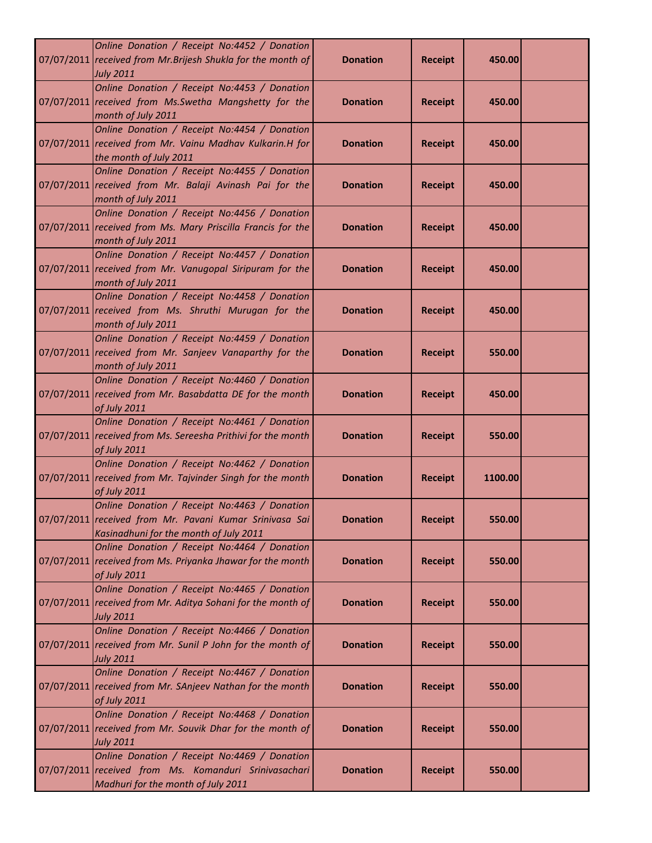| Online Donation / Receipt No:4452 / Donation<br>07/07/2011 received from Mr. Brijesh Shukla for the month of<br><b>July 2011</b>                  | <b>Donation</b> | <b>Receipt</b> | 450.00  |  |
|---------------------------------------------------------------------------------------------------------------------------------------------------|-----------------|----------------|---------|--|
| Online Donation / Receipt No:4453 / Donation<br>07/07/2011 received from Ms. Swetha Mangshetty for the<br>month of July 2011                      | <b>Donation</b> | <b>Receipt</b> | 450.00  |  |
| Online Donation / Receipt No:4454 / Donation<br>07/07/2011 received from Mr. Vainu Madhav Kulkarin.H for<br>the month of July 2011                | <b>Donation</b> | <b>Receipt</b> | 450.00  |  |
| Online Donation / Receipt No:4455 / Donation<br>07/07/2011 received from Mr. Balaji Avinash Pai for the<br>month of July 2011                     | <b>Donation</b> | <b>Receipt</b> | 450.00  |  |
| Online Donation / Receipt No:4456 / Donation<br>07/07/2011 received from Ms. Mary Priscilla Francis for the<br>month of July 2011                 | <b>Donation</b> | <b>Receipt</b> | 450.00  |  |
| Online Donation / Receipt No:4457 / Donation<br>07/07/2011 received from Mr. Vanugopal Siripuram for the<br>month of July 2011                    | <b>Donation</b> | <b>Receipt</b> | 450.00  |  |
| Online Donation / Receipt No:4458 / Donation<br>07/07/2011 received from Ms. Shruthi Murugan for the<br>month of July 2011                        | <b>Donation</b> | <b>Receipt</b> | 450.00  |  |
| Online Donation / Receipt No:4459 / Donation<br>07/07/2011 received from Mr. Sanjeev Vanaparthy for the<br>month of July 2011                     | <b>Donation</b> | <b>Receipt</b> | 550.00  |  |
| Online Donation / Receipt No:4460 / Donation<br>07/07/2011 received from Mr. Basabdatta DE for the month<br>of July 2011                          | <b>Donation</b> | <b>Receipt</b> | 450.00  |  |
| Online Donation / Receipt No:4461 / Donation<br>07/07/2011 received from Ms. Sereesha Prithivi for the month<br>of July 2011                      | <b>Donation</b> | <b>Receipt</b> | 550.00  |  |
| Online Donation / Receipt No:4462 / Donation<br>07/07/2011 received from Mr. Tajvinder Singh for the month<br>of July 2011                        | <b>Donation</b> | <b>Receipt</b> | 1100.00 |  |
| Online Donation / Receipt No:4463 / Donation<br>07/07/2011 received from Mr. Pavani Kumar Srinivasa Sai<br>Kasinadhuni for the month of July 2011 | <b>Donation</b> | <b>Receipt</b> | 550.00  |  |
| Online Donation / Receipt No:4464 / Donation<br>07/07/2011 received from Ms. Priyanka Jhawar for the month<br>of July 2011                        | <b>Donation</b> | <b>Receipt</b> | 550.00  |  |
| Online Donation / Receipt No:4465 / Donation<br>07/07/2011 received from Mr. Aditya Sohani for the month of<br><b>July 2011</b>                   | <b>Donation</b> | <b>Receipt</b> | 550.00  |  |
| Online Donation / Receipt No:4466 / Donation<br>07/07/2011 received from Mr. Sunil P John for the month of<br><b>July 2011</b>                    | <b>Donation</b> | <b>Receipt</b> | 550.00  |  |
| Online Donation / Receipt No:4467 / Donation<br>07/07/2011 received from Mr. SAnjeev Nathan for the month<br>of July 2011                         | <b>Donation</b> | <b>Receipt</b> | 550.00  |  |
| Online Donation / Receipt No:4468 / Donation<br>07/07/2011 received from Mr. Souvik Dhar for the month of<br><b>July 2011</b>                     | <b>Donation</b> | <b>Receipt</b> | 550.00  |  |
| Online Donation / Receipt No:4469 / Donation<br>07/07/2011 received from Ms. Komanduri Srinivasachari<br>Madhuri for the month of July 2011       | <b>Donation</b> | <b>Receipt</b> | 550.00  |  |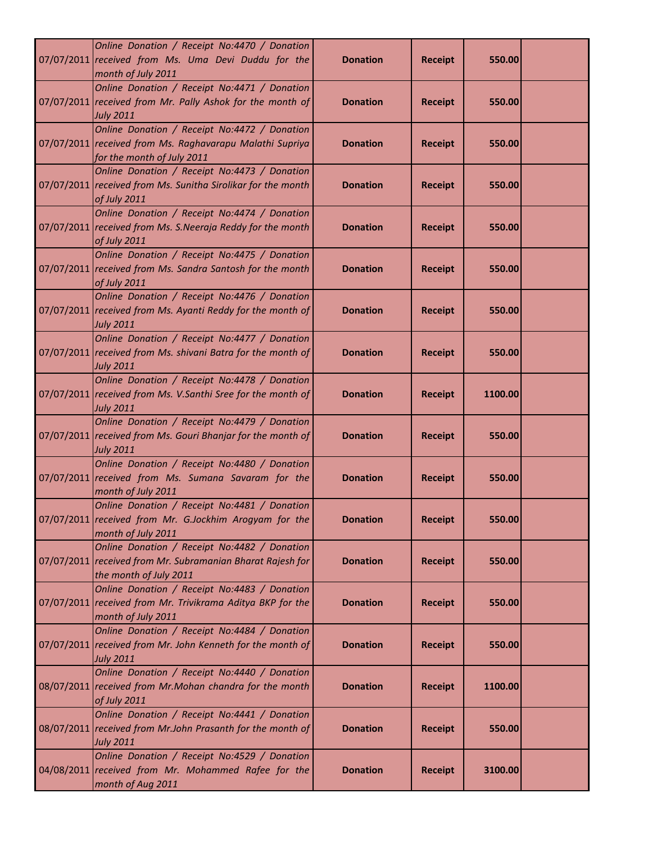| Online Donation / Receipt No:4470 / Donation<br>07/07/2011 received from Ms. Uma Devi Duddu for the<br>month of July 2011              | <b>Donation</b> | <b>Receipt</b> | 550.00  |  |
|----------------------------------------------------------------------------------------------------------------------------------------|-----------------|----------------|---------|--|
| Online Donation / Receipt No:4471 / Donation<br>07/07/2011 received from Mr. Pally Ashok for the month of<br><b>July 2011</b>          | <b>Donation</b> | <b>Receipt</b> | 550.00  |  |
| Online Donation / Receipt No:4472 / Donation<br>07/07/2011 received from Ms. Raghavarapu Malathi Supriya<br>for the month of July 2011 | <b>Donation</b> | <b>Receipt</b> | 550.00  |  |
| Online Donation / Receipt No:4473 / Donation<br>07/07/2011 received from Ms. Sunitha Sirolikar for the month<br>of July 2011           | <b>Donation</b> | <b>Receipt</b> | 550.00  |  |
| Online Donation / Receipt No:4474 / Donation<br>07/07/2011 received from Ms. S. Neeraja Reddy for the month<br>of July 2011            | <b>Donation</b> | <b>Receipt</b> | 550.00  |  |
| Online Donation / Receipt No:4475 / Donation<br>07/07/2011 received from Ms. Sandra Santosh for the month<br>of July 2011              | <b>Donation</b> | <b>Receipt</b> | 550.00  |  |
| Online Donation / Receipt No:4476 / Donation<br>07/07/2011 received from Ms. Ayanti Reddy for the month of<br><b>July 2011</b>         | <b>Donation</b> | <b>Receipt</b> | 550.00  |  |
| Online Donation / Receipt No:4477 / Donation<br>07/07/2011 received from Ms. shivani Batra for the month of<br><b>July 2011</b>        | <b>Donation</b> | <b>Receipt</b> | 550.00  |  |
| Online Donation / Receipt No:4478 / Donation<br>07/07/2011 received from Ms. V.Santhi Sree for the month of<br><b>July 2011</b>        | <b>Donation</b> | <b>Receipt</b> | 1100.00 |  |
| Online Donation / Receipt No:4479 / Donation<br>07/07/2011 received from Ms. Gouri Bhanjar for the month of<br><b>July 2011</b>        | <b>Donation</b> | <b>Receipt</b> | 550.00  |  |
| Online Donation / Receipt No:4480 / Donation<br>07/07/2011 received from Ms. Sumana Savaram for the<br>month of July 2011              | <b>Donation</b> | <b>Receipt</b> | 550.00  |  |
| Online Donation / Receipt No:4481 / Donation<br>07/07/2011 received from Mr. G.Jockhim Arogyam for the<br>month of July 2011           | <b>Donation</b> | <b>Receipt</b> | 550.00  |  |
| Online Donation / Receipt No:4482 / Donation<br>07/07/2011 received from Mr. Subramanian Bharat Rajesh for<br>the month of July 2011   | <b>Donation</b> | <b>Receipt</b> | 550.00  |  |
| Online Donation / Receipt No:4483 / Donation<br>07/07/2011 received from Mr. Trivikrama Aditya BKP for the<br>month of July 2011       | <b>Donation</b> | <b>Receipt</b> | 550.00  |  |
| Online Donation / Receipt No:4484 / Donation<br>07/07/2011 received from Mr. John Kenneth for the month of<br><b>July 2011</b>         | <b>Donation</b> | <b>Receipt</b> | 550.00  |  |
| Online Donation / Receipt No:4440 / Donation<br>08/07/2011 received from Mr.Mohan chandra for the month<br>of July 2011                | <b>Donation</b> | <b>Receipt</b> | 1100.00 |  |
| Online Donation / Receipt No:4441 / Donation<br>08/07/2011 received from Mr.John Prasanth for the month of<br><b>July 2011</b>         | <b>Donation</b> | <b>Receipt</b> | 550.00  |  |
| Online Donation / Receipt No:4529 / Donation<br>04/08/2011 received from Mr. Mohammed Rafee for the<br>month of Aug 2011               | <b>Donation</b> | <b>Receipt</b> | 3100.00 |  |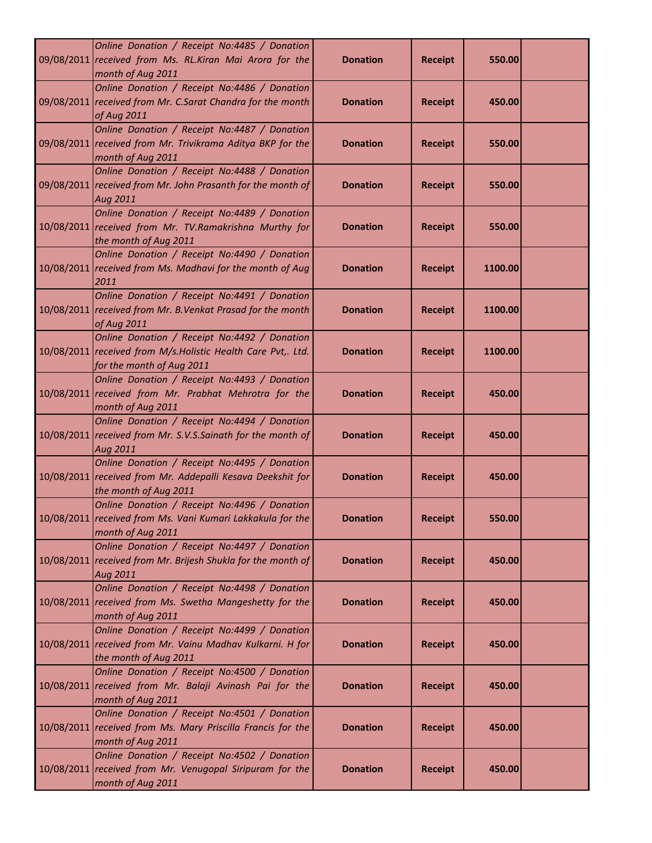| Online Donation / Receipt No:4485 / Donation<br>09/08/2011 received from Ms. RL.Kiran Mai Arora for the<br>month of Aug 2011               | <b>Donation</b> | <b>Receipt</b> | 550.00  |  |
|--------------------------------------------------------------------------------------------------------------------------------------------|-----------------|----------------|---------|--|
| Online Donation / Receipt No:4486 / Donation<br>09/08/2011 received from Mr. C.Sarat Chandra for the month<br>of Aug 2011                  | <b>Donation</b> | <b>Receipt</b> | 450.00  |  |
| Online Donation / Receipt No:4487 / Donation<br>09/08/2011 received from Mr. Trivikrama Aditya BKP for the<br>month of Aug 2011            | <b>Donation</b> | <b>Receipt</b> | 550.00  |  |
| Online Donation / Receipt No:4488 / Donation<br>09/08/2011 received from Mr. John Prasanth for the month of<br>Aug 2011                    | <b>Donation</b> | <b>Receipt</b> | 550.00  |  |
| Online Donation / Receipt No:4489 / Donation<br>10/08/2011 received from Mr. TV.Ramakrishna Murthy for<br>the month of Aug 2011            | <b>Donation</b> | <b>Receipt</b> | 550.00  |  |
| Online Donation / Receipt No:4490 / Donation<br>10/08/2011 received from Ms. Madhavi for the month of Aug<br>2011                          | <b>Donation</b> | <b>Receipt</b> | 1100.00 |  |
| Online Donation / Receipt No:4491 / Donation<br>10/08/2011 received from Mr. B. Venkat Prasad for the month<br>of Aug 2011                 | <b>Donation</b> | <b>Receipt</b> | 1100.00 |  |
| Online Donation / Receipt No:4492 / Donation<br>10/08/2011 received from M/s. Holistic Health Care Pvt,. Ltd.<br>for the month of Aug 2011 | <b>Donation</b> | <b>Receipt</b> | 1100.00 |  |
| Online Donation / Receipt No:4493 / Donation<br>10/08/2011 received from Mr. Prabhat Mehrotra for the<br>month of Aug 2011                 | <b>Donation</b> | <b>Receipt</b> | 450.00  |  |
| Online Donation / Receipt No:4494 / Donation<br>10/08/2011 received from Mr. S.V.S.Sainath for the month of<br>Aug 2011                    | <b>Donation</b> | <b>Receipt</b> | 450.00  |  |
| Online Donation / Receipt No:4495 / Donation<br>10/08/2011 received from Mr. Addepalli Kesava Deekshit for<br>the month of Aug 2011        | <b>Donation</b> | <b>Receipt</b> | 450.00  |  |
| Online Donation / Receipt No:4496 / Donation<br>10/08/2011 received from Ms. Vani Kumari Lakkakula for the<br>month of Aug 2011            | <b>Donation</b> | <b>Receipt</b> | 550.00  |  |
| Online Donation / Receipt No:4497 / Donation<br>10/08/2011 received from Mr. Brijesh Shukla for the month of<br>Aug 2011                   | <b>Donation</b> | <b>Receipt</b> | 450.00  |  |
| Online Donation / Receipt No:4498 / Donation<br>10/08/2011 received from Ms. Swetha Mangeshetty for the<br>month of Aug 2011               | <b>Donation</b> | <b>Receipt</b> | 450.00  |  |
| Online Donation / Receipt No:4499 / Donation<br>10/08/2011 received from Mr. Vainu Madhav Kulkarni. H for<br>the month of Aug 2011         | <b>Donation</b> | <b>Receipt</b> | 450.00  |  |
| Online Donation / Receipt No:4500 / Donation<br>10/08/2011 received from Mr. Balaji Avinash Pai for the<br>month of Aug 2011               | <b>Donation</b> | <b>Receipt</b> | 450.00  |  |
| Online Donation / Receipt No:4501 / Donation<br>10/08/2011 received from Ms. Mary Priscilla Francis for the<br>month of Aug 2011           | <b>Donation</b> | <b>Receipt</b> | 450.00  |  |
| Online Donation / Receipt No:4502 / Donation<br>10/08/2011 received from Mr. Venugopal Siripuram for the<br>month of Aug 2011              | <b>Donation</b> | <b>Receipt</b> | 450.00  |  |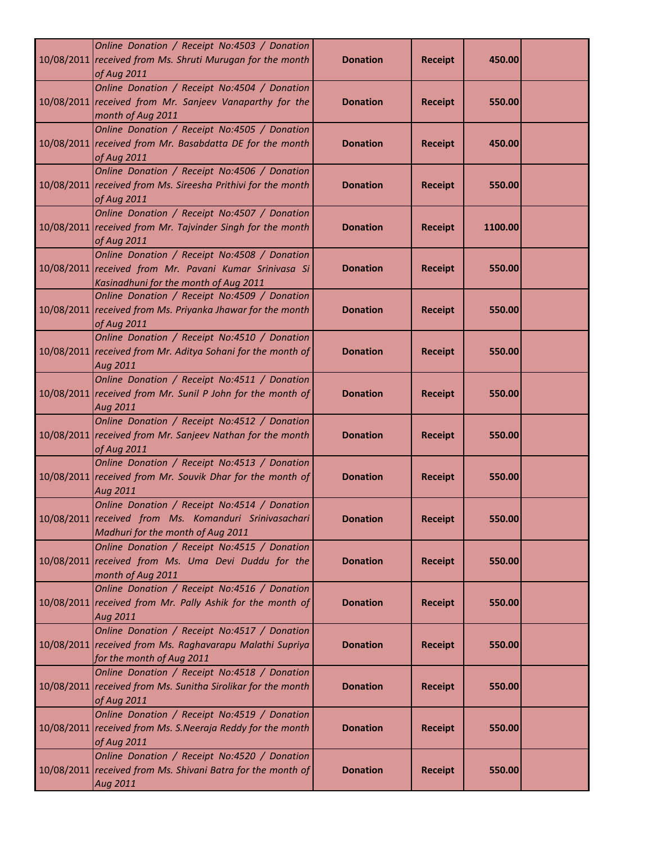| Online Donation / Receipt No:4503 / Donation<br>10/08/2011 received from Ms. Shruti Murugan for the month<br>of Aug 2011                        | <b>Donation</b> | <b>Receipt</b> | 450.00  |  |
|-------------------------------------------------------------------------------------------------------------------------------------------------|-----------------|----------------|---------|--|
| Online Donation / Receipt No:4504 / Donation<br>10/08/2011 received from Mr. Sanjeev Vanaparthy for the<br>month of Aug 2011                    | <b>Donation</b> | <b>Receipt</b> | 550.00  |  |
| Online Donation / Receipt No:4505 / Donation<br>10/08/2011 received from Mr. Basabdatta DE for the month<br>of Aug 2011                         | <b>Donation</b> | <b>Receipt</b> | 450.00  |  |
| Online Donation / Receipt No:4506 / Donation<br>10/08/2011 received from Ms. Sireesha Prithivi for the month<br>of Aug 2011                     | <b>Donation</b> | <b>Receipt</b> | 550.00  |  |
| Online Donation / Receipt No:4507 / Donation<br>10/08/2011 received from Mr. Tajvinder Singh for the month<br>of Aug 2011                       | <b>Donation</b> | <b>Receipt</b> | 1100.00 |  |
| Online Donation / Receipt No:4508 / Donation<br>10/08/2011 received from Mr. Pavani Kumar Srinivasa Si<br>Kasinadhuni for the month of Aug 2011 | <b>Donation</b> | <b>Receipt</b> | 550.00  |  |
| Online Donation / Receipt No:4509 / Donation<br>10/08/2011 received from Ms. Priyanka Jhawar for the month<br>of Aug 2011                       | <b>Donation</b> | <b>Receipt</b> | 550.00  |  |
| Online Donation / Receipt No:4510 / Donation<br>10/08/2011 received from Mr. Aditya Sohani for the month of<br>Aug 2011                         | <b>Donation</b> | <b>Receipt</b> | 550.00  |  |
| Online Donation / Receipt No:4511 / Donation<br>10/08/2011 received from Mr. Sunil P John for the month of<br>Aug 2011                          | <b>Donation</b> | <b>Receipt</b> | 550.00  |  |
| Online Donation / Receipt No:4512 / Donation<br>10/08/2011 received from Mr. Sanjeev Nathan for the month<br>of Aug 2011                        | <b>Donation</b> | <b>Receipt</b> | 550.00  |  |
| Online Donation / Receipt No:4513 / Donation<br>10/08/2011 received from Mr. Souvik Dhar for the month of<br>Aug 2011                           | <b>Donation</b> | <b>Receipt</b> | 550.00  |  |
| Online Donation / Receipt No:4514 / Donation<br>10/08/2011 received from Ms. Komanduri Srinivasachari<br>Madhuri for the month of Aug 2011      | <b>Donation</b> | <b>Receipt</b> | 550.00  |  |
| Online Donation / Receipt No:4515 / Donation<br>10/08/2011 received from Ms. Uma Devi Duddu for the<br>month of Aug 2011                        | <b>Donation</b> | <b>Receipt</b> | 550.00  |  |
| Online Donation / Receipt No:4516 / Donation<br>10/08/2011 received from Mr. Pally Ashik for the month of<br>Aug 2011                           | <b>Donation</b> | <b>Receipt</b> | 550.00  |  |
| Online Donation / Receipt No:4517 / Donation<br>10/08/2011 received from Ms. Raghavarapu Malathi Supriya<br>for the month of Aug 2011           | <b>Donation</b> | <b>Receipt</b> | 550.00  |  |
| Online Donation / Receipt No:4518 / Donation<br>10/08/2011 received from Ms. Sunitha Sirolikar for the month<br>of Aug 2011                     | <b>Donation</b> | <b>Receipt</b> | 550.00  |  |
| Online Donation / Receipt No:4519 / Donation<br>10/08/2011 received from Ms. S. Neeraja Reddy for the month<br>of Aug 2011                      | <b>Donation</b> | <b>Receipt</b> | 550.00  |  |
| Online Donation / Receipt No:4520 / Donation<br>10/08/2011 received from Ms. Shivani Batra for the month of<br>Aug 2011                         | <b>Donation</b> | <b>Receipt</b> | 550.00  |  |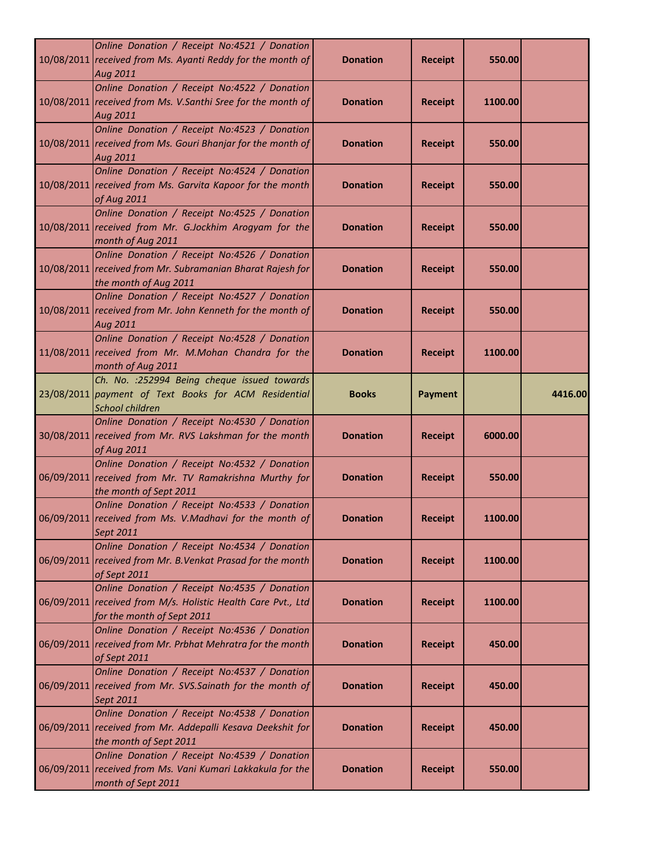| Online Donation / Receipt No:4521 / Donation<br>10/08/2011 received from Ms. Ayanti Reddy for the month of<br>Aug 2011                     | <b>Donation</b> | <b>Receipt</b> | 550.00  |         |
|--------------------------------------------------------------------------------------------------------------------------------------------|-----------------|----------------|---------|---------|
| Online Donation / Receipt No:4522 / Donation<br>10/08/2011 received from Ms. V.Santhi Sree for the month of<br>Aug 2011                    | <b>Donation</b> | <b>Receipt</b> | 1100.00 |         |
| Online Donation / Receipt No:4523 / Donation<br>10/08/2011 received from Ms. Gouri Bhanjar for the month of<br>Aug 2011                    | <b>Donation</b> | <b>Receipt</b> | 550.00  |         |
| Online Donation / Receipt No:4524 / Donation<br>10/08/2011 received from Ms. Garvita Kapoor for the month<br>of Aug 2011                   | <b>Donation</b> | <b>Receipt</b> | 550.00  |         |
| Online Donation / Receipt No:4525 / Donation<br>10/08/2011 received from Mr. G.Jockhim Arogyam for the<br>month of Aug 2011                | <b>Donation</b> | <b>Receipt</b> | 550.00  |         |
| Online Donation / Receipt No:4526 / Donation<br>10/08/2011 received from Mr. Subramanian Bharat Rajesh for<br>the month of Aug 2011        | <b>Donation</b> | <b>Receipt</b> | 550.00  |         |
| Online Donation / Receipt No:4527 / Donation<br>10/08/2011 received from Mr. John Kenneth for the month of<br>Aug 2011                     | <b>Donation</b> | <b>Receipt</b> | 550.00  |         |
| Online Donation / Receipt No:4528 / Donation<br>11/08/2011 received from Mr. M.Mohan Chandra for the<br>month of Aug 2011                  | <b>Donation</b> | <b>Receipt</b> | 1100.00 |         |
| Ch. No. : 252994 Being cheque issued towards<br>23/08/2011 payment of Text Books for ACM Residential<br><b>School children</b>             | <b>Books</b>    | <b>Payment</b> |         | 4416.00 |
| Online Donation / Receipt No:4530 / Donation<br>30/08/2011 received from Mr. RVS Lakshman for the month<br>of Aug 2011                     | <b>Donation</b> | <b>Receipt</b> | 6000.00 |         |
| Online Donation / Receipt No:4532 / Donation<br>06/09/2011 received from Mr. TV Ramakrishna Murthy for<br>the month of Sept 2011           | <b>Donation</b> | <b>Receipt</b> | 550.00  |         |
| Online Donation / Receipt No:4533 / Donation<br>06/09/2011 received from Ms. V.Madhavi for the month of<br>Sept 2011                       | <b>Donation</b> | <b>Receipt</b> | 1100.00 |         |
| Online Donation / Receipt No:4534 / Donation<br>06/09/2011 received from Mr. B. Venkat Prasad for the month<br>of Sept 2011                | <b>Donation</b> | <b>Receipt</b> | 1100.00 |         |
| Online Donation / Receipt No:4535 / Donation<br>06/09/2011 received from M/s. Holistic Health Care Pvt., Ltd<br>for the month of Sept 2011 | <b>Donation</b> | <b>Receipt</b> | 1100.00 |         |
| Online Donation / Receipt No:4536 / Donation<br>06/09/2011 received from Mr. Prbhat Mehratra for the month<br>of Sept 2011                 | <b>Donation</b> | <b>Receipt</b> | 450.00  |         |
| Online Donation / Receipt No:4537 / Donation<br>06/09/2011 received from Mr. SVS.Sainath for the month of<br>Sept 2011                     | <b>Donation</b> | <b>Receipt</b> | 450.00  |         |
| Online Donation / Receipt No:4538 / Donation<br>06/09/2011 received from Mr. Addepalli Kesava Deekshit for<br>the month of Sept 2011       | <b>Donation</b> | <b>Receipt</b> | 450.00  |         |
| Online Donation / Receipt No:4539 / Donation<br>06/09/2011 received from Ms. Vani Kumari Lakkakula for the<br>month of Sept 2011           | <b>Donation</b> | <b>Receipt</b> | 550.00  |         |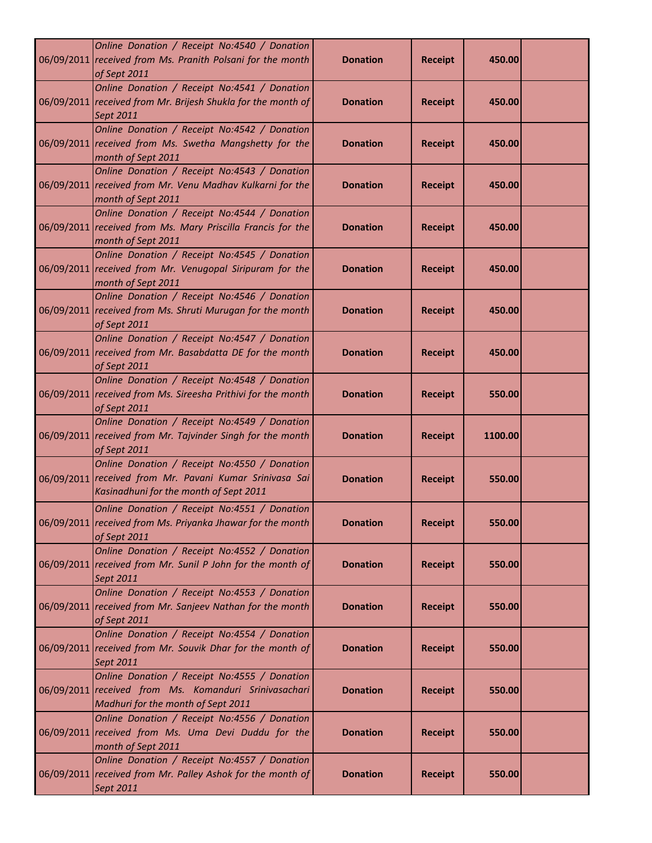| Online Donation / Receipt No:4540 / Donation<br>06/09/2011 received from Ms. Pranith Polsani for the month<br>of Sept 2011                        | <b>Donation</b> | <b>Receipt</b> | 450.00  |  |
|---------------------------------------------------------------------------------------------------------------------------------------------------|-----------------|----------------|---------|--|
| Online Donation / Receipt No:4541 / Donation<br>06/09/2011 received from Mr. Brijesh Shukla for the month of<br>Sept 2011                         | <b>Donation</b> | <b>Receipt</b> | 450.00  |  |
| Online Donation / Receipt No:4542 / Donation<br>06/09/2011 received from Ms. Swetha Mangshetty for the<br>month of Sept 2011                      | <b>Donation</b> | <b>Receipt</b> | 450.00  |  |
| Online Donation / Receipt No:4543 / Donation<br>06/09/2011 received from Mr. Venu Madhav Kulkarni for the<br>month of Sept 2011                   | <b>Donation</b> | <b>Receipt</b> | 450.00  |  |
| Online Donation / Receipt No:4544 / Donation<br>06/09/2011 received from Ms. Mary Priscilla Francis for the<br>month of Sept 2011                 | <b>Donation</b> | <b>Receipt</b> | 450.00  |  |
| Online Donation / Receipt No:4545 / Donation<br>06/09/2011 received from Mr. Venugopal Siripuram for the<br>month of Sept 2011                    | <b>Donation</b> | <b>Receipt</b> | 450.00  |  |
| Online Donation / Receipt No:4546 / Donation<br>06/09/2011 received from Ms. Shruti Murugan for the month<br>of Sept 2011                         | <b>Donation</b> | <b>Receipt</b> | 450.00  |  |
| Online Donation / Receipt No:4547 / Donation<br>06/09/2011 received from Mr. Basabdatta DE for the month<br>of Sept 2011                          | <b>Donation</b> | <b>Receipt</b> | 450.00  |  |
| Online Donation / Receipt No:4548 / Donation<br>06/09/2011 received from Ms. Sireesha Prithivi for the month<br>of Sept 2011                      | <b>Donation</b> | <b>Receipt</b> | 550.00  |  |
| Online Donation / Receipt No:4549 / Donation<br>06/09/2011 received from Mr. Tajvinder Singh for the month<br>of Sept 2011                        | <b>Donation</b> | <b>Receipt</b> | 1100.00 |  |
| Online Donation / Receipt No:4550 / Donation<br>06/09/2011 received from Mr. Pavani Kumar Srinivasa Sai<br>Kasinadhuni for the month of Sept 2011 | <b>Donation</b> | <b>Receipt</b> | 550.00  |  |
| Online Donation / Receipt No:4551 / Donation<br>06/09/2011 received from Ms. Priyanka Jhawar for the month<br>of Sept 2011                        | <b>Donation</b> | <b>Receipt</b> | 550.00  |  |
| Online Donation / Receipt No:4552 / Donation<br>06/09/2011 received from Mr. Sunil P John for the month of<br>Sept 2011                           | <b>Donation</b> | <b>Receipt</b> | 550.00  |  |
| Online Donation / Receipt No:4553 / Donation<br>06/09/2011 received from Mr. Sanjeev Nathan for the month<br>of Sept 2011                         | <b>Donation</b> | <b>Receipt</b> | 550.00  |  |
| Online Donation / Receipt No:4554 / Donation<br>06/09/2011 received from Mr. Souvik Dhar for the month of<br>Sept 2011                            | <b>Donation</b> | <b>Receipt</b> | 550.00  |  |
| Online Donation / Receipt No:4555 / Donation<br>06/09/2011 received from Ms. Komanduri Srinivasachari<br>Madhuri for the month of Sept 2011       | <b>Donation</b> | <b>Receipt</b> | 550.00  |  |
| Online Donation / Receipt No:4556 / Donation<br>06/09/2011 received from Ms. Uma Devi Duddu for the<br>month of Sept 2011                         | <b>Donation</b> | <b>Receipt</b> | 550.00  |  |
| Online Donation / Receipt No:4557 / Donation<br>06/09/2011 received from Mr. Palley Ashok for the month of<br>Sept 2011                           | <b>Donation</b> | <b>Receipt</b> | 550.00  |  |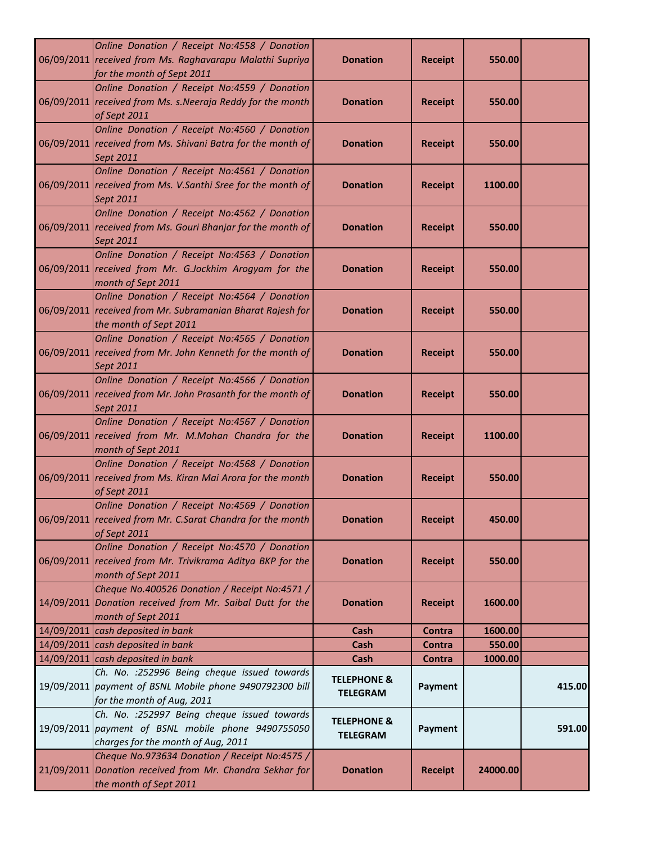| Online Donation / Receipt No:4558 / Donation<br>06/09/2011 received from Ms. Raghavarapu Malathi Supriya<br>for the month of Sept 2011   | <b>Donation</b>                           | <b>Receipt</b> | 550.00   |        |
|------------------------------------------------------------------------------------------------------------------------------------------|-------------------------------------------|----------------|----------|--------|
| Online Donation / Receipt No:4559 / Donation<br>06/09/2011 received from Ms. s. Neeraja Reddy for the month<br>of Sept 2011              | <b>Donation</b>                           | <b>Receipt</b> | 550.00   |        |
| Online Donation / Receipt No:4560 / Donation<br>06/09/2011 received from Ms. Shivani Batra for the month of<br>Sept 2011                 | <b>Donation</b>                           | <b>Receipt</b> | 550.00   |        |
| Online Donation / Receipt No:4561 / Donation<br>06/09/2011 received from Ms. V.Santhi Sree for the month of<br>Sept 2011                 | <b>Donation</b>                           | <b>Receipt</b> | 1100.00  |        |
| Online Donation / Receipt No:4562 / Donation<br>06/09/2011 received from Ms. Gouri Bhanjar for the month of<br>Sept 2011                 | <b>Donation</b>                           | <b>Receipt</b> | 550.00   |        |
| Online Donation / Receipt No:4563 / Donation<br>06/09/2011 received from Mr. G.Jockhim Arogyam for the<br>month of Sept 2011             | <b>Donation</b>                           | <b>Receipt</b> | 550.00   |        |
| Online Donation / Receipt No:4564 / Donation<br>06/09/2011 received from Mr. Subramanian Bharat Rajesh for<br>the month of Sept 2011     | <b>Donation</b>                           | <b>Receipt</b> | 550.00   |        |
| Online Donation / Receipt No:4565 / Donation<br>06/09/2011 received from Mr. John Kenneth for the month of<br>Sept 2011                  | <b>Donation</b>                           | <b>Receipt</b> | 550.00   |        |
| Online Donation / Receipt No:4566 / Donation<br>06/09/2011 received from Mr. John Prasanth for the month of<br>Sept 2011                 | <b>Donation</b>                           | <b>Receipt</b> | 550.00   |        |
| Online Donation / Receipt No:4567 / Donation<br>06/09/2011 received from Mr. M.Mohan Chandra for the<br>month of Sept 2011               | <b>Donation</b>                           | <b>Receipt</b> | 1100.00  |        |
| Online Donation / Receipt No:4568 / Donation<br>06/09/2011 received from Ms. Kiran Mai Arora for the month<br>of Sept 2011               | <b>Donation</b>                           | <b>Receipt</b> | 550.00   |        |
| Online Donation / Receipt No:4569 / Donation<br>06/09/2011 received from Mr. C.Sarat Chandra for the month<br>of Sept 2011               | <b>Donation</b>                           | <b>Receipt</b> | 450.00   |        |
| Online Donation / Receipt No:4570 / Donation<br>06/09/2011 received from Mr. Trivikrama Aditya BKP for the<br>month of Sept 2011         | <b>Donation</b>                           | <b>Receipt</b> | 550.00   |        |
| Cheque No.400526 Donation / Receipt No:4571 /<br>14/09/2011 Donation received from Mr. Saibal Dutt for the<br>month of Sept 2011         | <b>Donation</b>                           | <b>Receipt</b> | 1600.00  |        |
| 14/09/2011 cash deposited in bank                                                                                                        | Cash                                      | <b>Contra</b>  | 1600.00  |        |
| 14/09/2011 cash deposited in bank                                                                                                        | <b>Cash</b>                               | Contra         | 550.00   |        |
| 14/09/2011 cash deposited in bank                                                                                                        | Cash                                      | Contra         | 1000.00  |        |
| Ch. No. : 252996 Being cheque issued towards<br>19/09/2011 payment of BSNL Mobile phone 9490792300 bill<br>for the month of Aug, 2011    | <b>TELEPHONE &amp;</b><br><b>TELEGRAM</b> | <b>Payment</b> |          | 415.00 |
| Ch. No. : 252997 Being cheque issued towards<br>19/09/2011 payment of BSNL mobile phone 9490755050<br>charges for the month of Aug, 2011 | <b>TELEPHONE &amp;</b><br><b>TELEGRAM</b> | Payment        |          | 591.00 |
| Cheque No.973634 Donation / Receipt No:4575 /<br>21/09/2011 Donation received from Mr. Chandra Sekhar for<br>the month of Sept 2011      | <b>Donation</b>                           | <b>Receipt</b> | 24000.00 |        |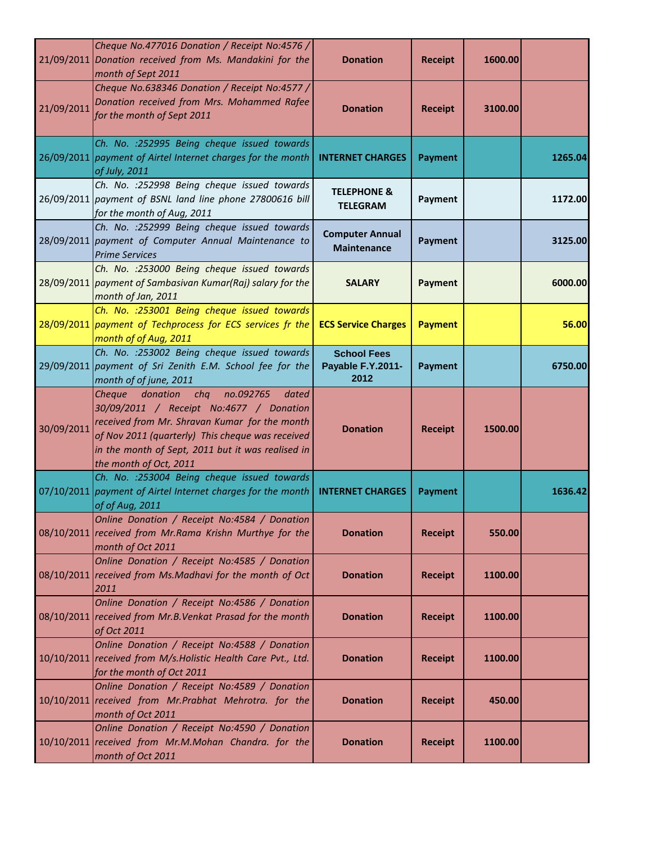|            | Cheque No.477016 Donation / Receipt No:4576 /<br>21/09/2011 Donation received from Ms. Mandakini for the<br>month of Sept 2011                                                                                                                                                 | <b>Donation</b>                                 | <b>Receipt</b> | 1600.00 |         |
|------------|--------------------------------------------------------------------------------------------------------------------------------------------------------------------------------------------------------------------------------------------------------------------------------|-------------------------------------------------|----------------|---------|---------|
| 21/09/2011 | Cheque No.638346 Donation / Receipt No:4577 /<br>Donation received from Mrs. Mohammed Rafee<br>for the month of Sept 2011                                                                                                                                                      | <b>Donation</b>                                 | <b>Receipt</b> | 3100.00 |         |
|            | Ch. No. : 252995 Being cheque issued towards<br>26/09/2011 payment of Airtel Internet charges for the month<br>of July, 2011                                                                                                                                                   | <b>INTERNET CHARGES</b>                         | <b>Payment</b> |         | 1265.04 |
|            | Ch. No. : 252998 Being cheque issued towards<br>26/09/2011 payment of BSNL land line phone 27800616 bill<br>for the month of Aug, 2011                                                                                                                                         | <b>TELEPHONE &amp;</b><br><b>TELEGRAM</b>       | Payment        |         | 1172.00 |
|            | Ch. No. : 252999 Being cheque issued towards<br>28/09/2011 payment of Computer Annual Maintenance to<br><b>Prime Services</b>                                                                                                                                                  | <b>Computer Annual</b><br><b>Maintenance</b>    | <b>Payment</b> |         | 3125.00 |
|            | Ch. No. : 253000 Being cheque issued towards<br>28/09/2011 payment of Sambasivan Kumar(Raj) salary for the<br>month of Jan, 2011                                                                                                                                               | <b>SALARY</b>                                   | <b>Payment</b> |         | 6000.00 |
|            | Ch. No. : 253001 Being cheque issued towards<br>28/09/2011 payment of Techprocess for ECS services fr the<br>month of of Aug, 2011                                                                                                                                             | <b>ECS Service Charges</b>                      | <b>Payment</b> |         | 56.00   |
|            | Ch. No. : 253002 Being cheque issued towards<br>29/09/2011 payment of Sri Zenith E.M. School fee for the<br>month of of june, 2011                                                                                                                                             | <b>School Fees</b><br>Payable F.Y.2011-<br>2012 | <b>Payment</b> |         | 6750.00 |
| 30/09/2011 | donation<br>chq<br>no.092765<br>Cheque<br>dated<br>30/09/2011 / Receipt No:4677 / Donation<br>received from Mr. Shravan Kumar for the month<br>of Nov 2011 (quarterly) This cheque was received<br>in the month of Sept, 2011 but it was realised in<br>the month of Oct, 2011 | <b>Donation</b>                                 | <b>Receipt</b> | 1500.00 |         |
|            | Ch. No. : 253004 Being cheque issued towards<br>07/10/2011 payment of Airtel Internet charges for the month<br>of of Aug, 2011                                                                                                                                                 | <b>INTERNET CHARGES</b>                         | <b>Payment</b> |         | 1636.42 |
|            | Online Donation / Receipt No:4584 / Donation<br>08/10/2011 received from Mr.Rama Krishn Murthye for the<br>month of Oct 2011                                                                                                                                                   | <b>Donation</b>                                 | <b>Receipt</b> | 550.00  |         |
|            | Online Donation / Receipt No:4585 / Donation<br>08/10/2011 received from Ms.Madhavi for the month of Oct<br>2011                                                                                                                                                               | <b>Donation</b>                                 | <b>Receipt</b> | 1100.00 |         |
|            | Online Donation / Receipt No:4586 / Donation<br>08/10/2011 received from Mr.B. Venkat Prasad for the month<br>of Oct 2011                                                                                                                                                      | <b>Donation</b>                                 | <b>Receipt</b> | 1100.00 |         |
|            | Online Donation / Receipt No:4588 / Donation<br>10/10/2011 received from M/s. Holistic Health Care Pvt., Ltd.<br>for the month of Oct 2011                                                                                                                                     | <b>Donation</b>                                 | <b>Receipt</b> | 1100.00 |         |
|            | Online Donation / Receipt No:4589 / Donation<br>10/10/2011 received from Mr. Prabhat Mehrotra. for the<br>month of Oct 2011                                                                                                                                                    | <b>Donation</b>                                 | <b>Receipt</b> | 450.00  |         |
| 10/10/2011 | Online Donation / Receipt No:4590 / Donation<br>received from Mr.M.Mohan Chandra. for the<br>month of Oct 2011                                                                                                                                                                 | <b>Donation</b>                                 | <b>Receipt</b> | 1100.00 |         |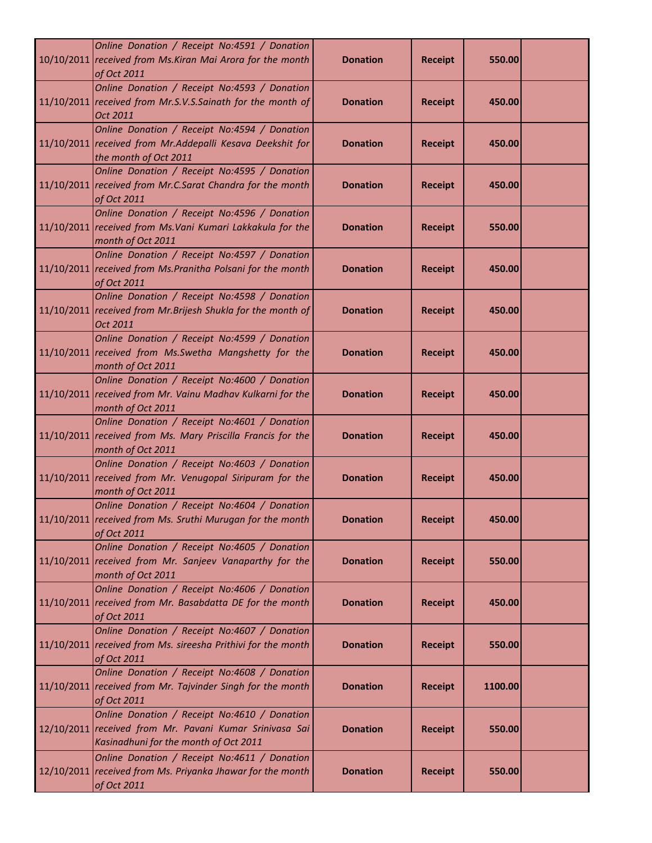| Online Donation / Receipt No:4591 / Donation<br>10/10/2011 received from Ms. Kiran Mai Arora for the month<br>of Oct 2011                        | <b>Donation</b> | <b>Receipt</b> | 550.00  |  |
|--------------------------------------------------------------------------------------------------------------------------------------------------|-----------------|----------------|---------|--|
| Online Donation / Receipt No:4593 / Donation<br>11/10/2011 received from Mr.S.V.S.Sainath for the month of<br>Oct 2011                           | <b>Donation</b> | <b>Receipt</b> | 450.00  |  |
| Online Donation / Receipt No:4594 / Donation<br>11/10/2011 received from Mr.Addepalli Kesava Deekshit for<br>the month of Oct 2011               | <b>Donation</b> | <b>Receipt</b> | 450.00  |  |
| Online Donation / Receipt No:4595 / Donation<br>11/10/2011 received from Mr.C.Sarat Chandra for the month<br>of Oct 2011                         | <b>Donation</b> | <b>Receipt</b> | 450.00  |  |
| Online Donation / Receipt No:4596 / Donation<br>11/10/2011 received from Ms. Vani Kumari Lakkakula for the<br>month of Oct 2011                  | <b>Donation</b> | <b>Receipt</b> | 550.00  |  |
| Online Donation / Receipt No:4597 / Donation<br>11/10/2011 received from Ms. Pranitha Polsani for the month<br>of Oct 2011                       | <b>Donation</b> | <b>Receipt</b> | 450.00  |  |
| Online Donation / Receipt No:4598 / Donation<br>11/10/2011 received from Mr. Brijesh Shukla for the month of<br>Oct 2011                         | <b>Donation</b> | <b>Receipt</b> | 450.00  |  |
| Online Donation / Receipt No:4599 / Donation<br>11/10/2011 received from Ms. Swetha Mangshetty for the<br>month of Oct 2011                      | <b>Donation</b> | <b>Receipt</b> | 450.00  |  |
| Online Donation / Receipt No:4600 / Donation<br>11/10/2011 received from Mr. Vainu Madhav Kulkarni for the<br>month of Oct 2011                  | <b>Donation</b> | <b>Receipt</b> | 450.00  |  |
| Online Donation / Receipt No:4601 / Donation<br>11/10/2011 received from Ms. Mary Priscilla Francis for the<br>month of Oct 2011                 | <b>Donation</b> | <b>Receipt</b> | 450.00  |  |
| Online Donation / Receipt No:4603 / Donation<br>11/10/2011 received from Mr. Venugopal Siripuram for the<br>month of Oct 2011                    | <b>Donation</b> | <b>Receipt</b> | 450.00  |  |
| Online Donation / Receipt No:4604 / Donation<br>11/10/2011 received from Ms. Sruthi Murugan for the month<br>of Oct 2011                         | <b>Donation</b> | <b>Receipt</b> | 450.00  |  |
| Online Donation / Receipt No:4605 / Donation<br>11/10/2011 received from Mr. Sanjeev Vanaparthy for the<br>month of Oct 2011                     | <b>Donation</b> | <b>Receipt</b> | 550.00  |  |
| Online Donation / Receipt No:4606 / Donation<br>11/10/2011 received from Mr. Basabdatta DE for the month<br>of Oct 2011                          | <b>Donation</b> | <b>Receipt</b> | 450.00  |  |
| Online Donation / Receipt No:4607 / Donation<br>11/10/2011 received from Ms. sireesha Prithivi for the month<br>of Oct 2011                      | <b>Donation</b> | <b>Receipt</b> | 550.00  |  |
| Online Donation / Receipt No:4608 / Donation<br>11/10/2011 received from Mr. Tajvinder Singh for the month<br>of Oct 2011                        | <b>Donation</b> | <b>Receipt</b> | 1100.00 |  |
| Online Donation / Receipt No:4610 / Donation<br>12/10/2011 received from Mr. Pavani Kumar Srinivasa Sai<br>Kasinadhuni for the month of Oct 2011 | <b>Donation</b> | <b>Receipt</b> | 550.00  |  |
| Online Donation / Receipt No:4611 / Donation<br>12/10/2011 received from Ms. Priyanka Jhawar for the month<br>of Oct 2011                        | <b>Donation</b> | <b>Receipt</b> | 550.00  |  |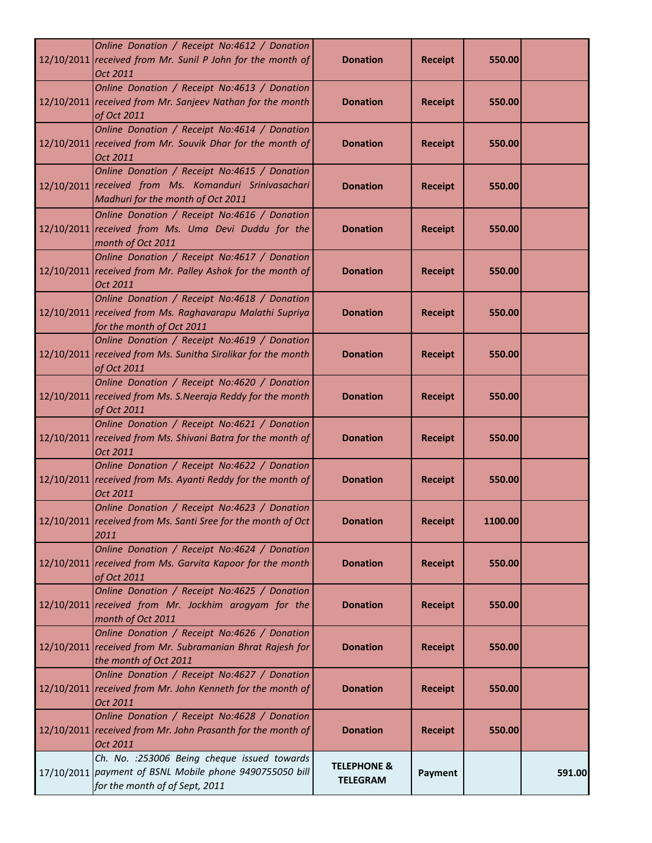| Online Donation / Receipt No:4612 / Donation<br>12/10/2011 received from Mr. Sunil P John for the month of<br>Oct 2011                     | <b>Donation</b>                           | <b>Receipt</b> | 550.00  |        |
|--------------------------------------------------------------------------------------------------------------------------------------------|-------------------------------------------|----------------|---------|--------|
| Online Donation / Receipt No:4613 / Donation<br>12/10/2011 received from Mr. Sanjeev Nathan for the month<br>of Oct 2011                   | <b>Donation</b>                           | <b>Receipt</b> | 550.00  |        |
| Online Donation / Receipt No:4614 / Donation<br>12/10/2011 received from Mr. Souvik Dhar for the month of<br>Oct 2011                      | <b>Donation</b>                           | <b>Receipt</b> | 550.00  |        |
| Online Donation / Receipt No:4615 / Donation<br>12/10/2011 received from Ms. Komanduri Srinivasachari<br>Madhuri for the month of Oct 2011 | <b>Donation</b>                           | <b>Receipt</b> | 550.00  |        |
| Online Donation / Receipt No:4616 / Donation<br>12/10/2011 received from Ms. Uma Devi Duddu for the<br>month of Oct 2011                   | <b>Donation</b>                           | <b>Receipt</b> | 550.00  |        |
| Online Donation / Receipt No:4617 / Donation<br>12/10/2011 received from Mr. Palley Ashok for the month of<br>Oct 2011                     | <b>Donation</b>                           | <b>Receipt</b> | 550.00  |        |
| Online Donation / Receipt No:4618 / Donation<br>12/10/2011 received from Ms. Raghavarapu Malathi Supriya<br>for the month of Oct 2011      | <b>Donation</b>                           | <b>Receipt</b> | 550.00  |        |
| Online Donation / Receipt No:4619 / Donation<br>12/10/2011 received from Ms. Sunitha Sirolikar for the month<br>of Oct 2011                | <b>Donation</b>                           | <b>Receipt</b> | 550.00  |        |
| Online Donation / Receipt No:4620 / Donation<br>12/10/2011 received from Ms. S. Neeraja Reddy for the month<br>of Oct 2011                 | <b>Donation</b>                           | <b>Receipt</b> | 550.00  |        |
| Online Donation / Receipt No:4621 / Donation<br>12/10/2011 received from Ms. Shivani Batra for the month of<br>Oct 2011                    | <b>Donation</b>                           | <b>Receipt</b> | 550.00  |        |
| Online Donation / Receipt No:4622 / Donation<br>12/10/2011 received from Ms. Ayanti Reddy for the month of<br>Oct 2011                     | <b>Donation</b>                           | <b>Receipt</b> | 550.00  |        |
| Online Donation / Receipt No:4623 / Donation<br>12/10/2011 received from Ms. Santi Sree for the month of Oct<br>2011                       | <b>Donation</b>                           | <b>Receipt</b> | 1100.00 |        |
| Online Donation / Receipt No:4624 / Donation<br>12/10/2011 received from Ms. Garvita Kapoor for the month<br>of Oct 2011                   | <b>Donation</b>                           | <b>Receipt</b> | 550.00  |        |
| Online Donation / Receipt No:4625 / Donation<br>12/10/2011 received from Mr. Jockhim arogyam for the<br>month of Oct 2011                  | <b>Donation</b>                           | <b>Receipt</b> | 550.00  |        |
| Online Donation / Receipt No:4626 / Donation<br>12/10/2011 received from Mr. Subramanian Bhrat Rajesh for<br>the month of Oct 2011         | <b>Donation</b>                           | <b>Receipt</b> | 550.00  |        |
| Online Donation / Receipt No:4627 / Donation<br>12/10/2011 received from Mr. John Kenneth for the month of<br>Oct 2011                     | <b>Donation</b>                           | <b>Receipt</b> | 550.00  |        |
| Online Donation / Receipt No:4628 / Donation<br>12/10/2011 received from Mr. John Prasanth for the month of<br>Oct 2011                    | <b>Donation</b>                           | <b>Receipt</b> | 550.00  |        |
| Ch. No. : 253006 Being cheque issued towards<br>17/10/2011 payment of BSNL Mobile phone 9490755050 bill<br>for the month of of Sept, 2011  | <b>TELEPHONE &amp;</b><br><b>TELEGRAM</b> | Payment        |         | 591.00 |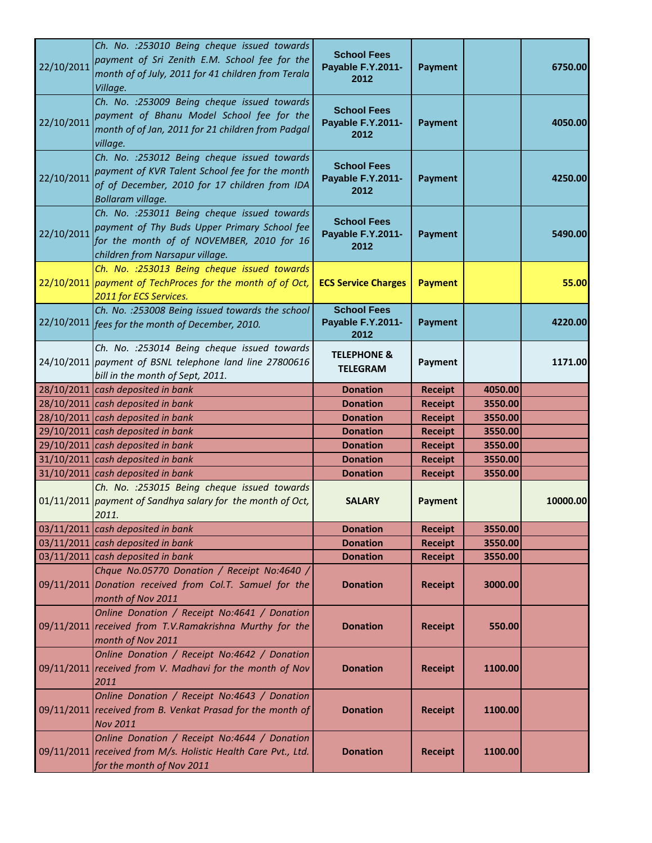| 22/10/2011 | Ch. No. : 253010 Being cheque issued towards<br>payment of Sri Zenith E.M. School fee for the<br>month of of July, 2011 for 41 children from Terala<br>Village.              | <b>School Fees</b><br>Payable F.Y.2011-<br>2012 | <b>Payment</b> |         | 6750.00  |
|------------|------------------------------------------------------------------------------------------------------------------------------------------------------------------------------|-------------------------------------------------|----------------|---------|----------|
| 22/10/2011 | Ch. No. : 253009 Being cheque issued towards<br>payment of Bhanu Model School fee for the<br>month of of Jan, 2011 for 21 children from Padgal<br>village.                   | <b>School Fees</b><br>Payable F.Y.2011-<br>2012 | <b>Payment</b> |         | 4050.00  |
| 22/10/2011 | Ch. No. : 253012 Being cheque issued towards<br>payment of KVR Talent School fee for the month<br>of of December, 2010 for 17 children from IDA<br>Bollaram village.         | <b>School Fees</b><br>Payable F.Y.2011-<br>2012 | <b>Payment</b> |         | 4250.00  |
| 22/10/2011 | Ch. No. : 253011 Being cheque issued towards<br>payment of Thy Buds Upper Primary School fee<br>for the month of of NOVEMBER, 2010 for 16<br>children from Narsapur village. | <b>School Fees</b><br>Payable F.Y.2011-<br>2012 | <b>Payment</b> |         | 5490.00  |
|            | Ch. No. : 253013 Being cheque issued towards<br>22/10/2011 payment of TechProces for the month of of Oct,<br>2011 for ECS Services.                                          | <b>ECS Service Charges</b>                      | <b>Payment</b> |         | 55.00    |
|            | Ch. No. : 253008 Being issued towards the school<br>22/10/2011 fees for the month of December, 2010.                                                                         | <b>School Fees</b><br>Payable F.Y.2011-<br>2012 | <b>Payment</b> |         | 4220.00  |
|            | Ch. No. : 253014 Being cheque issued towards<br>24/10/2011 payment of BSNL telephone land line 27800616<br>bill in the month of Sept, 2011.                                  | <b>TELEPHONE &amp;</b><br><b>TELEGRAM</b>       | Payment        |         | 1171.00  |
|            | 28/10/2011 cash deposited in bank                                                                                                                                            | <b>Donation</b>                                 | <b>Receipt</b> | 4050.00 |          |
|            | 28/10/2011 cash deposited in bank                                                                                                                                            | <b>Donation</b>                                 | <b>Receipt</b> | 3550.00 |          |
|            | 28/10/2011 cash deposited in bank                                                                                                                                            | <b>Donation</b>                                 | <b>Receipt</b> | 3550.00 |          |
|            | 29/10/2011 cash deposited in bank                                                                                                                                            | <b>Donation</b>                                 | <b>Receipt</b> | 3550.00 |          |
|            | 29/10/2011 cash deposited in bank                                                                                                                                            | <b>Donation</b>                                 | <b>Receipt</b> | 3550.00 |          |
|            | $31/10/2011$ cash deposited in bank                                                                                                                                          | <b>Donation</b>                                 | <b>Receipt</b> | 3550.00 |          |
|            | 31/10/2011 cash deposited in bank                                                                                                                                            | <b>Donation</b>                                 | <b>Receipt</b> | 3550.00 |          |
|            | Ch. No. : 253015 Being cheque issued towards<br>01/11/2011 payment of Sandhya salary for the month of Oct,<br>2011.                                                          | <b>SALARY</b>                                   | <b>Payment</b> |         | 10000.00 |
|            | $03/11/2011$ cash deposited in bank                                                                                                                                          | <b>Donation</b>                                 | <b>Receipt</b> | 3550.00 |          |
|            | 03/11/2011 cash deposited in bank                                                                                                                                            | <b>Donation</b>                                 | <b>Receipt</b> | 3550.00 |          |
|            | 03/11/2011 cash deposited in bank                                                                                                                                            | <b>Donation</b>                                 | <b>Receipt</b> | 3550.00 |          |
|            | Chque No.05770 Donation / Receipt No:4640 /<br>09/11/2011 Donation received from Col.T. Samuel for the<br>month of Nov 2011                                                  | <b>Donation</b>                                 | <b>Receipt</b> | 3000.00 |          |
|            | Online Donation / Receipt No:4641 / Donation<br>09/11/2011 received from T.V.Ramakrishna Murthy for the<br>month of Nov 2011                                                 | <b>Donation</b>                                 | <b>Receipt</b> | 550.00  |          |
|            | Online Donation / Receipt No:4642 / Donation<br>09/11/2011 received from V. Madhavi for the month of Nov<br>2011                                                             | <b>Donation</b>                                 | <b>Receipt</b> | 1100.00 |          |
|            | Online Donation / Receipt No:4643 / Donation<br>09/11/2011 received from B. Venkat Prasad for the month of<br><b>Nov 2011</b>                                                | <b>Donation</b>                                 | <b>Receipt</b> | 1100.00 |          |
|            | Online Donation / Receipt No:4644 / Donation<br>09/11/2011 received from M/s. Holistic Health Care Pvt., Ltd.<br>for the month of Nov 2011                                   | <b>Donation</b>                                 | <b>Receipt</b> | 1100.00 |          |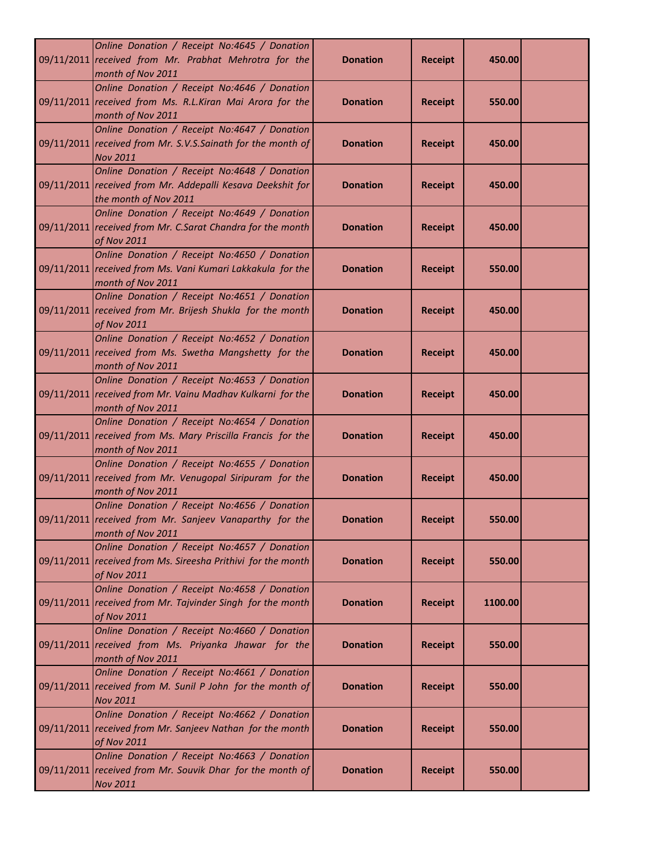| Online Donation / Receipt No:4645 / Donation                                                                                        |                 |                |         |  |
|-------------------------------------------------------------------------------------------------------------------------------------|-----------------|----------------|---------|--|
| 09/11/2011 received from Mr. Prabhat Mehrotra for the<br>month of Nov 2011                                                          | <b>Donation</b> | <b>Receipt</b> | 450.00  |  |
| Online Donation / Receipt No:4646 / Donation<br>09/11/2011 received from Ms. R.L.Kiran Mai Arora for the<br>month of Nov 2011       | <b>Donation</b> | <b>Receipt</b> | 550.00  |  |
| Online Donation / Receipt No:4647 / Donation<br>09/11/2011 received from Mr. S.V.S.Sainath for the month of<br><b>Nov 2011</b>      | <b>Donation</b> | <b>Receipt</b> | 450.00  |  |
| Online Donation / Receipt No:4648 / Donation<br>09/11/2011 received from Mr. Addepalli Kesava Deekshit for<br>the month of Nov 2011 | <b>Donation</b> | <b>Receipt</b> | 450.00  |  |
| Online Donation / Receipt No:4649 / Donation<br>09/11/2011 received from Mr. C.Sarat Chandra for the month<br>of Nov 2011           | <b>Donation</b> | <b>Receipt</b> | 450.00  |  |
| Online Donation / Receipt No:4650 / Donation<br>09/11/2011 received from Ms. Vani Kumari Lakkakula for the<br>month of Nov 2011     | <b>Donation</b> | <b>Receipt</b> | 550.00  |  |
| Online Donation / Receipt No:4651 / Donation<br>09/11/2011 received from Mr. Brijesh Shukla for the month<br>of Nov 2011            | <b>Donation</b> | <b>Receipt</b> | 450.00  |  |
| Online Donation / Receipt No:4652 / Donation<br>09/11/2011 received from Ms. Swetha Mangshetty for the<br>month of Nov 2011         | <b>Donation</b> | <b>Receipt</b> | 450.00  |  |
| Online Donation / Receipt No:4653 / Donation<br>09/11/2011 received from Mr. Vainu Madhav Kulkarni for the<br>month of Nov 2011     | <b>Donation</b> | <b>Receipt</b> | 450.00  |  |
| Online Donation / Receipt No:4654 / Donation<br>09/11/2011 received from Ms. Mary Priscilla Francis for the<br>month of Nov 2011    | <b>Donation</b> | <b>Receipt</b> | 450.00  |  |
| Online Donation / Receipt No:4655 / Donation<br>09/11/2011 received from Mr. Venugopal Siripuram for the<br>month of Nov 2011       | <b>Donation</b> | <b>Receipt</b> | 450.00  |  |
| Online Donation / Receipt No:4656 / Donation<br>09/11/2011 received from Mr. Sanjeev Vanaparthy for the<br>month of Nov 2011        | <b>Donation</b> | <b>Receipt</b> | 550.00  |  |
| Online Donation / Receipt No:4657 / Donation<br>09/11/2011 received from Ms. Sireesha Prithivi for the month<br>of Nov 2011         | <b>Donation</b> | <b>Receipt</b> | 550.00  |  |
| Online Donation / Receipt No:4658 / Donation<br>09/11/2011 received from Mr. Tajvinder Singh for the month<br>of Nov 2011           | <b>Donation</b> | <b>Receipt</b> | 1100.00 |  |
| Online Donation / Receipt No:4660 / Donation<br>09/11/2011 received from Ms. Priyanka Jhawar for the<br>month of Nov 2011           | <b>Donation</b> | <b>Receipt</b> | 550.00  |  |
| Online Donation / Receipt No:4661 / Donation<br>09/11/2011 received from M. Sunil P John for the month of<br><b>Nov 2011</b>        | <b>Donation</b> | <b>Receipt</b> | 550.00  |  |
| Online Donation / Receipt No:4662 / Donation<br>09/11/2011 received from Mr. Sanjeev Nathan for the month<br>of Nov 2011            | <b>Donation</b> | <b>Receipt</b> | 550.00  |  |
| Online Donation / Receipt No:4663 / Donation<br>09/11/2011 received from Mr. Souvik Dhar for the month of<br><b>Nov 2011</b>        | <b>Donation</b> | <b>Receipt</b> | 550.00  |  |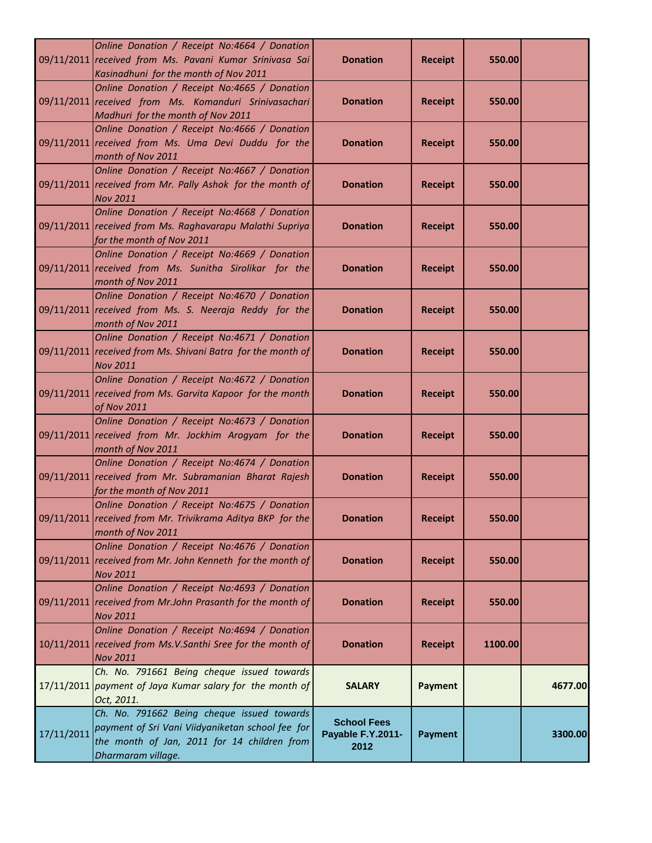|            | Online Donation / Receipt No:4664 / Donation<br>09/11/2011 received from Ms. Pavani Kumar Srinivasa Sai<br>Kasinadhuni for the month of Nov 2011                    | <b>Donation</b>                                 | <b>Receipt</b> | 550.00  |         |
|------------|---------------------------------------------------------------------------------------------------------------------------------------------------------------------|-------------------------------------------------|----------------|---------|---------|
|            | Online Donation / Receipt No:4665 / Donation<br>09/11/2011 received from Ms. Komanduri Srinivasachari<br>Madhuri for the month of Nov 2011                          | <b>Donation</b>                                 | <b>Receipt</b> | 550.00  |         |
|            | Online Donation / Receipt No:4666 / Donation<br>09/11/2011 received from Ms. Uma Devi Duddu for the<br>month of Nov 2011                                            | <b>Donation</b>                                 | <b>Receipt</b> | 550.00  |         |
|            | Online Donation / Receipt No:4667 / Donation<br>09/11/2011 received from Mr. Pally Ashok for the month of<br><b>Nov 2011</b>                                        | <b>Donation</b>                                 | <b>Receipt</b> | 550.00  |         |
|            | Online Donation / Receipt No:4668 / Donation<br>09/11/2011 received from Ms. Raghavarapu Malathi Supriya<br>for the month of Nov 2011                               | <b>Donation</b>                                 | <b>Receipt</b> | 550.00  |         |
|            | Online Donation / Receipt No:4669 / Donation<br>09/11/2011 received from Ms. Sunitha Sirolikar for the<br>month of Nov 2011                                         | <b>Donation</b>                                 | <b>Receipt</b> | 550.00  |         |
|            | Online Donation / Receipt No:4670 / Donation<br>09/11/2011 received from Ms. S. Neeraja Reddy for the<br>month of Nov 2011                                          | <b>Donation</b>                                 | <b>Receipt</b> | 550.00  |         |
|            | Online Donation / Receipt No:4671 / Donation<br>09/11/2011 received from Ms. Shivani Batra for the month of<br><b>Nov 2011</b>                                      | <b>Donation</b>                                 | <b>Receipt</b> | 550.00  |         |
|            | Online Donation / Receipt No:4672 / Donation<br>09/11/2011 received from Ms. Garvita Kapoor for the month<br>of Nov 2011                                            | <b>Donation</b>                                 | <b>Receipt</b> | 550.00  |         |
|            | Online Donation / Receipt No:4673 / Donation<br>09/11/2011 received from Mr. Jockhim Arogyam for the<br>month of Nov 2011                                           | <b>Donation</b>                                 | <b>Receipt</b> | 550.00  |         |
|            | Online Donation / Receipt No:4674 / Donation<br>09/11/2011 received from Mr. Subramanian Bharat Rajesh<br>for the month of Nov 2011                                 | <b>Donation</b>                                 | <b>Receipt</b> | 550.00  |         |
|            | Online Donation / Receipt No:4675 / Donation<br>09/11/2011 received from Mr. Trivikrama Aditya BKP for the<br>month of Nov 2011                                     | <b>Donation</b>                                 | <b>Receipt</b> | 550.00  |         |
|            | Online Donation / Receipt No:4676 / Donation<br>09/11/2011 received from Mr. John Kenneth for the month of<br><b>Nov 2011</b>                                       | <b>Donation</b>                                 | <b>Receipt</b> | 550.00  |         |
|            | Online Donation / Receipt No:4693 / Donation<br>09/11/2011 received from Mr. John Prasanth for the month of<br><b>Nov 2011</b>                                      | <b>Donation</b>                                 | <b>Receipt</b> | 550.00  |         |
|            | Online Donation / Receipt No:4694 / Donation<br>10/11/2011 received from Ms.V.Santhi Sree for the month of<br><b>Nov 2011</b>                                       | <b>Donation</b>                                 | <b>Receipt</b> | 1100.00 |         |
|            | Ch. No. 791661 Being cheque issued towards<br>17/11/2011 payment of Jaya Kumar salary for the month of<br>Oct, 2011.                                                | <b>SALARY</b>                                   | <b>Payment</b> |         | 4677.00 |
| 17/11/2011 | Ch. No. 791662 Being cheque issued towards<br>payment of Sri Vani Viidyaniketan school fee for<br>the month of Jan, 2011 for 14 children from<br>Dharmaram village. | <b>School Fees</b><br>Payable F.Y.2011-<br>2012 | <b>Payment</b> |         | 3300.00 |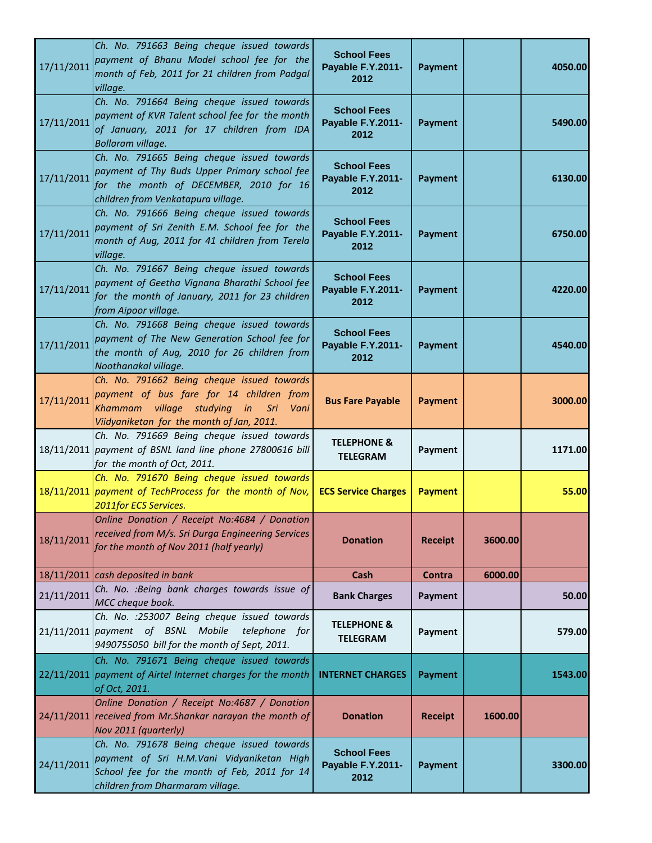| 17/11/2011 | Ch. No. 791663 Being cheque issued towards<br>payment of Bhanu Model school fee for the<br>month of Feb, 2011 for 21 children from Padgal<br>village.                          | <b>School Fees</b><br>Payable F.Y.2011-<br>2012 | <b>Payment</b> |         | 4050.00 |
|------------|--------------------------------------------------------------------------------------------------------------------------------------------------------------------------------|-------------------------------------------------|----------------|---------|---------|
| 17/11/2011 | Ch. No. 791664 Being cheque issued towards<br>payment of KVR Talent school fee for the month<br>of January, 2011 for 17 children from IDA<br>Bollaram village.                 | <b>School Fees</b><br>Payable F.Y.2011-<br>2012 | <b>Payment</b> |         | 5490.00 |
| 17/11/2011 | Ch. No. 791665 Being cheque issued towards<br>payment of Thy Buds Upper Primary school fee<br>for the month of DECEMBER, 2010 for 16<br>children from Venkatapura village.     | <b>School Fees</b><br>Payable F.Y.2011-<br>2012 | <b>Payment</b> |         | 6130.00 |
| 17/11/2011 | Ch. No. 791666 Being cheque issued towards<br>payment of Sri Zenith E.M. School fee for the<br>month of Aug, 2011 for 41 children from Terela<br>village.                      | <b>School Fees</b><br>Payable F.Y.2011-<br>2012 | <b>Payment</b> |         | 6750.00 |
| 17/11/2011 | Ch. No. 791667 Being cheque issued towards<br>payment of Geetha Vignana Bharathi School fee<br>for the month of January, 2011 for 23 children<br>from Aipoor village.          | <b>School Fees</b><br>Payable F.Y.2011-<br>2012 | <b>Payment</b> |         | 4220.00 |
| 17/11/2011 | Ch. No. 791668 Being cheque issued towards<br>payment of The New Generation School fee for<br>the month of Aug, 2010 for 26 children from<br>Noothanakal village.              | <b>School Fees</b><br>Payable F.Y.2011-<br>2012 | <b>Payment</b> |         | 4540.00 |
| 17/11/2011 | Ch. No. 791662 Being cheque issued towards<br>payment of bus fare for 14 children from<br>Khammam village studying in Sri<br>Vani<br>Viidyaniketan for the month of Jan, 2011. | <b>Bus Fare Payable</b>                         | <b>Payment</b> |         | 3000.00 |
|            | Ch. No. 791669 Being cheque issued towards<br>18/11/2011 payment of BSNL land line phone 27800616 bill<br>for the month of Oct, 2011.                                          | <b>TELEPHONE &amp;</b><br><b>TELEGRAM</b>       | <b>Payment</b> |         | 1171.00 |
|            | Ch. No. 791670 Being cheque issued towards<br>18/11/2011 payment of TechProcess for the month of Nov,<br>2011for ECS Services.                                                 | <b>ECS Service Charges</b>                      | <b>Payment</b> |         | 55.00   |
| 18/11/2011 | Online Donation / Receipt No:4684 / Donation<br>received from M/s. Sri Durga Engineering Services<br>for the month of Nov 2011 (half yearly)                                   | <b>Donation</b>                                 | <b>Receipt</b> | 3600.00 |         |
|            | $18/11/2011$ cash deposited in bank                                                                                                                                            | Cash                                            | Contra         | 6000.00 |         |
| 21/11/2011 | Ch. No. : Being bank charges towards issue of<br>MCC cheque book.                                                                                                              | <b>Bank Charges</b>                             | Payment        |         | 50.00   |
|            | Ch. No. : 253007 Being cheque issued towards<br>21/11/2011 payment of BSNL Mobile<br>telephone for<br>9490755050 bill for the month of Sept, 2011.                             | <b>TELEPHONE &amp;</b><br><b>TELEGRAM</b>       | <b>Payment</b> |         | 579.00  |
|            | Ch. No. 791671 Being cheque issued towards<br>22/11/2011 payment of Airtel Internet charges for the month<br>of Oct, 2011.                                                     | <b>INTERNET CHARGES</b>                         | <b>Payment</b> |         | 1543.00 |
|            | Online Donation / Receipt No:4687 / Donation<br>24/11/2011 received from Mr. Shankar narayan the month of<br>Nov 2011 (quarterly)                                              | <b>Donation</b>                                 | <b>Receipt</b> | 1600.00 |         |
| 24/11/2011 | Ch. No. 791678 Being cheque issued towards<br>payment of Sri H.M.Vani Vidyaniketan High<br>School fee for the month of Feb, 2011 for 14<br>children from Dharmaram village.    | <b>School Fees</b><br>Payable F.Y.2011-<br>2012 | <b>Payment</b> |         | 3300.00 |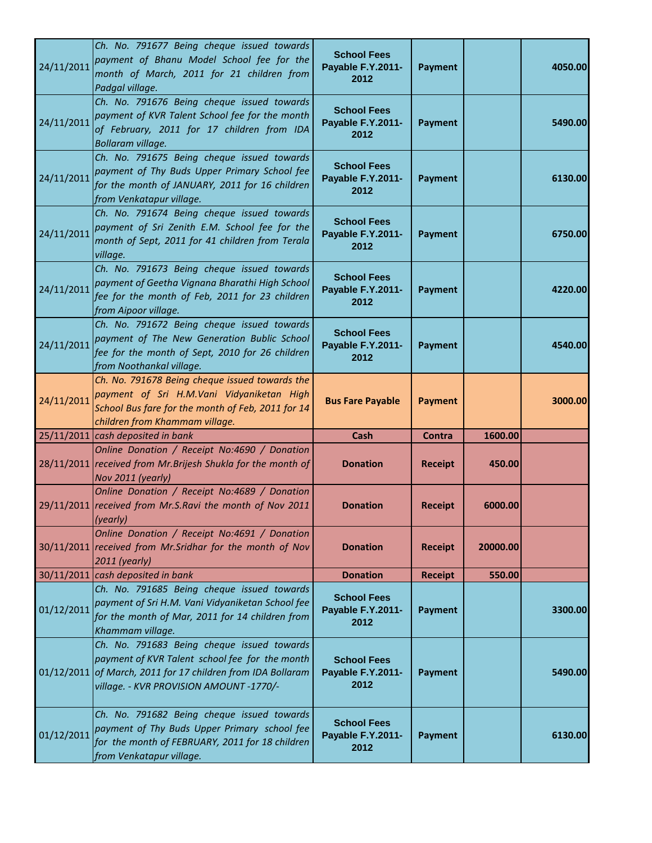| 24/11/2011 | Ch. No. 791677 Being cheque issued towards<br>payment of Bhanu Model School fee for the<br>month of March, 2011 for 21 children from<br>Padgal village.                                                | <b>School Fees</b><br>Payable F.Y.2011-<br>2012 | <b>Payment</b> |          | 4050.00 |
|------------|--------------------------------------------------------------------------------------------------------------------------------------------------------------------------------------------------------|-------------------------------------------------|----------------|----------|---------|
| 24/11/2011 | Ch. No. 791676 Being cheque issued towards<br>payment of KVR Talent School fee for the month<br>of February, 2011 for 17 children from IDA<br>Bollaram village.                                        | <b>School Fees</b><br>Payable F.Y.2011-<br>2012 | <b>Payment</b> |          | 5490.00 |
| 24/11/2011 | Ch. No. 791675 Being cheque issued towards<br>payment of Thy Buds Upper Primary School fee<br>for the month of JANUARY, 2011 for 16 children<br>from Venkatapur village.                               | <b>School Fees</b><br>Payable F.Y.2011-<br>2012 | <b>Payment</b> |          | 6130.00 |
| 24/11/2011 | Ch. No. 791674 Being cheque issued towards<br>payment of Sri Zenith E.M. School fee for the<br>month of Sept, 2011 for 41 children from Terala<br>village.                                             | <b>School Fees</b><br>Payable F.Y.2011-<br>2012 | <b>Payment</b> |          | 6750.00 |
| 24/11/2011 | Ch. No. 791673 Being cheque issued towards<br>payment of Geetha Vignana Bharathi High School<br>fee for the month of Feb, 2011 for 23 children<br>from Aipoor village.                                 | <b>School Fees</b><br>Payable F.Y.2011-<br>2012 | <b>Payment</b> |          | 4220.00 |
| 24/11/2011 | Ch. No. 791672 Being cheque issued towards<br>payment of The New Generation Bublic School<br>fee for the month of Sept, 2010 for 26 children<br>from Noothankal village.                               | <b>School Fees</b><br>Payable F.Y.2011-<br>2012 | <b>Payment</b> |          | 4540.00 |
| 24/11/2011 | Ch. No. 791678 Being cheque issued towards the<br>payment of Sri H.M.Vani Vidyaniketan High<br>School Bus fare for the month of Feb, 2011 for 14<br>children from Khammam village.                     | <b>Bus Fare Payable</b>                         | <b>Payment</b> |          | 3000.00 |
|            | 25/11/2011 cash deposited in bank                                                                                                                                                                      | Cash                                            | Contra         | 1600.00  |         |
|            | Online Donation / Receipt No:4690 / Donation<br>28/11/2011 received from Mr. Brijesh Shukla for the month of<br>Nov 2011 (yearly)                                                                      | <b>Donation</b>                                 | <b>Receipt</b> | 450.00   |         |
|            | Online Donation / Receipt No:4689 / Donation<br>29/11/2011 received from Mr.S.Ravi the month of Nov 2011<br>(yearly)                                                                                   | <b>Donation</b>                                 | <b>Receipt</b> | 6000.00  |         |
|            | Online Donation / Receipt No:4691 / Donation<br>30/11/2011 received from Mr. Sridhar for the month of Nov<br>2011 (yearly)                                                                             | <b>Donation</b>                                 | <b>Receipt</b> | 20000.00 |         |
|            | 30/11/2011 cash deposited in bank                                                                                                                                                                      | <b>Donation</b>                                 | <b>Receipt</b> | 550.00   |         |
| 01/12/2011 | Ch. No. 791685 Being cheque issued towards<br>payment of Sri H.M. Vani Vidyaniketan School fee<br>for the month of Mar, 2011 for 14 children from<br>Khammam village.                                  | <b>School Fees</b><br>Payable F.Y.2011-<br>2012 | <b>Payment</b> |          | 3300.00 |
|            | Ch. No. 791683 Being cheque issued towards<br>payment of KVR Talent school fee for the month<br>01/12/2011 of March, 2011 for 17 children from IDA Bollaram<br>village. - KVR PROVISION AMOUNT -1770/- | <b>School Fees</b><br>Payable F.Y.2011-<br>2012 | <b>Payment</b> |          | 5490.00 |
| 01/12/2011 | Ch. No. 791682 Being cheque issued towards<br>payment of Thy Buds Upper Primary school fee<br>for the month of FEBRUARY, 2011 for 18 children<br>from Venkatapur village.                              | <b>School Fees</b><br>Payable F.Y.2011-<br>2012 | <b>Payment</b> |          | 6130.00 |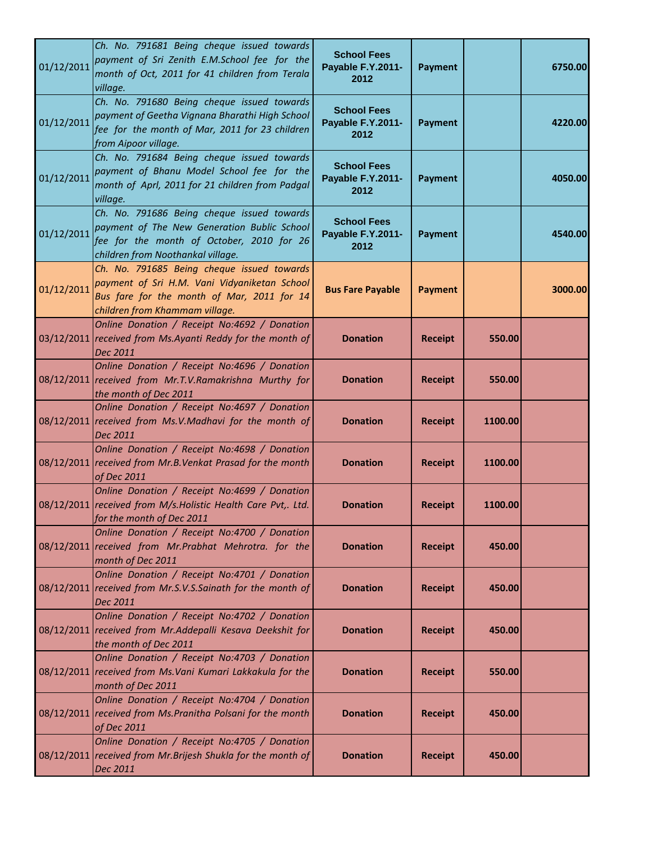| 01/12/2011 | Ch. No. 791681 Being cheque issued towards<br>payment of Sri Zenith E.M.School fee for the<br>month of Oct, 2011 for 41 children from Terala<br>village.                    | <b>School Fees</b><br>Payable F.Y.2011-<br>2012 | <b>Payment</b> |         | 6750.00 |
|------------|-----------------------------------------------------------------------------------------------------------------------------------------------------------------------------|-------------------------------------------------|----------------|---------|---------|
| 01/12/2011 | Ch. No. 791680 Being cheque issued towards<br>payment of Geetha Vignana Bharathi High School<br>fee for the month of Mar, 2011 for 23 children<br>from Aipoor village.      | <b>School Fees</b><br>Payable F.Y.2011-<br>2012 | <b>Payment</b> |         | 4220.00 |
| 01/12/2011 | Ch. No. 791684 Being cheque issued towards<br>payment of Bhanu Model School fee for the<br>month of Aprl, 2011 for 21 children from Padgal<br>village.                      | <b>School Fees</b><br>Payable F.Y.2011-<br>2012 | <b>Payment</b> |         | 4050.00 |
| 01/12/2011 | Ch. No. 791686 Being cheque issued towards<br>payment of The New Generation Bublic School<br>fee for the month of October, 2010 for 26<br>children from Noothankal village. | <b>School Fees</b><br>Payable F.Y.2011-<br>2012 | <b>Payment</b> |         | 4540.00 |
| 01/12/2011 | Ch. No. 791685 Being cheque issued towards<br>payment of Sri H.M. Vani Vidyaniketan School<br>Bus fare for the month of Mar, 2011 for 14<br>children from Khammam village.  | <b>Bus Fare Payable</b>                         | <b>Payment</b> |         | 3000.00 |
|            | Online Donation / Receipt No:4692 / Donation<br>03/12/2011 received from Ms.Ayanti Reddy for the month of<br>Dec 2011                                                       | <b>Donation</b>                                 | <b>Receipt</b> | 550.00  |         |
|            | Online Donation / Receipt No:4696 / Donation<br>08/12/2011 received from Mr.T.V.Ramakrishna Murthy for<br>the month of Dec 2011                                             | <b>Donation</b>                                 | <b>Receipt</b> | 550.00  |         |
|            | Online Donation / Receipt No:4697 / Donation<br>08/12/2011 received from Ms.V.Madhavi for the month of<br>Dec 2011                                                          | <b>Donation</b>                                 | <b>Receipt</b> | 1100.00 |         |
|            | Online Donation / Receipt No:4698 / Donation<br>08/12/2011 received from Mr.B.Venkat Prasad for the month<br>of Dec 2011                                                    | <b>Donation</b>                                 | <b>Receipt</b> | 1100.00 |         |
|            | Online Donation / Receipt No:4699 / Donation<br>08/12/2011 received from M/s. Holistic Health Care Pvt,. Ltd.<br>for the month of Dec 2011                                  | <b>Donation</b>                                 | <b>Receipt</b> | 1100.00 |         |
|            | Online Donation / Receipt No:4700 / Donation<br>08/12/2011 received from Mr.Prabhat Mehrotra. for the<br>month of Dec 2011                                                  | <b>Donation</b>                                 | <b>Receipt</b> | 450.00  |         |
|            | Online Donation / Receipt No:4701 / Donation<br>08/12/2011 received from Mr.S.V.S.Sainath for the month of<br>Dec 2011                                                      | <b>Donation</b>                                 | <b>Receipt</b> | 450.00  |         |
|            | Online Donation / Receipt No:4702 / Donation<br>08/12/2011 received from Mr.Addepalli Kesava Deekshit for<br>the month of Dec 2011                                          | <b>Donation</b>                                 | <b>Receipt</b> | 450.00  |         |
|            | Online Donation / Receipt No:4703 / Donation<br>08/12/2011 received from Ms. Vani Kumari Lakkakula for the<br>month of Dec 2011                                             | <b>Donation</b>                                 | <b>Receipt</b> | 550.00  |         |
|            | Online Donation / Receipt No:4704 / Donation<br>08/12/2011 received from Ms. Pranitha Polsani for the month<br>of Dec 2011                                                  | <b>Donation</b>                                 | <b>Receipt</b> | 450.00  |         |
|            | Online Donation / Receipt No:4705 / Donation<br>08/12/2011 received from Mr. Brijesh Shukla for the month of<br>Dec 2011                                                    | <b>Donation</b>                                 | <b>Receipt</b> | 450.00  |         |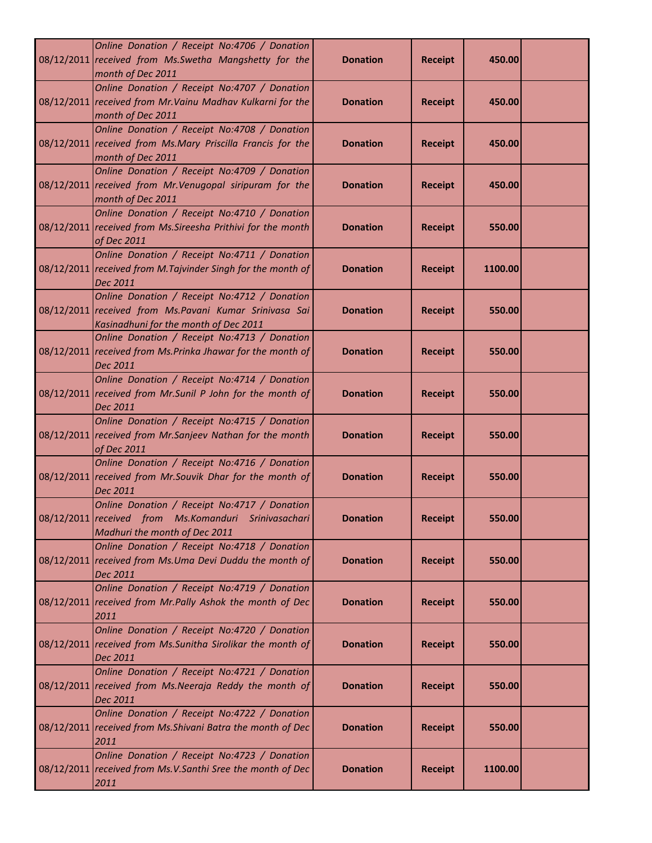| Online Donation / Receipt No:4706 / Donation<br>08/12/2011 received from Ms. Swetha Mangshetty for the<br>month of Dec 2011                      | <b>Donation</b> | <b>Receipt</b> | 450.00  |  |
|--------------------------------------------------------------------------------------------------------------------------------------------------|-----------------|----------------|---------|--|
| Online Donation / Receipt No:4707 / Donation<br>08/12/2011 received from Mr. Vainu Madhav Kulkarni for the<br>month of Dec 2011                  | <b>Donation</b> | <b>Receipt</b> | 450.00  |  |
| Online Donation / Receipt No:4708 / Donation<br>08/12/2011 received from Ms.Mary Priscilla Francis for the<br>month of Dec 2011                  | <b>Donation</b> | <b>Receipt</b> | 450.00  |  |
| Online Donation / Receipt No:4709 / Donation<br>08/12/2011 received from Mr. Venugopal siripuram for the<br>month of Dec 2011                    | <b>Donation</b> | <b>Receipt</b> | 450.00  |  |
| Online Donation / Receipt No:4710 / Donation<br>08/12/2011 received from Ms. Sireesha Prithivi for the month<br>of Dec 2011                      | <b>Donation</b> | <b>Receipt</b> | 550.00  |  |
| Online Donation / Receipt No:4711 / Donation<br>08/12/2011 received from M. Tajvinder Singh for the month of<br>Dec 2011                         | <b>Donation</b> | <b>Receipt</b> | 1100.00 |  |
| Online Donation / Receipt No:4712 / Donation<br>08/12/2011 received from Ms. Pavani Kumar Srinivasa Sai<br>Kasinadhuni for the month of Dec 2011 | <b>Donation</b> | <b>Receipt</b> | 550.00  |  |
| Online Donation / Receipt No:4713 / Donation<br>08/12/2011 received from Ms. Prinka Jhawar for the month of<br>Dec 2011                          | <b>Donation</b> | <b>Receipt</b> | 550.00  |  |
| Online Donation / Receipt No:4714 / Donation<br>08/12/2011 received from Mr.Sunil P John for the month of<br>Dec 2011                            | <b>Donation</b> | <b>Receipt</b> | 550.00  |  |
| Online Donation / Receipt No:4715 / Donation<br>08/12/2011 received from Mr.Sanjeev Nathan for the month<br>of Dec 2011                          | <b>Donation</b> | <b>Receipt</b> | 550.00  |  |
| Online Donation / Receipt No:4716 / Donation<br>08/12/2011 received from Mr.Souvik Dhar for the month of<br>Dec 2011                             | <b>Donation</b> | <b>Receipt</b> | 550.00  |  |
| Online Donation / Receipt No:4717 / Donation<br>08/12/2011 received from Ms.Komanduri Srinivasachari<br>Madhuri the month of Dec 2011            | <b>Donation</b> | <b>Receipt</b> | 550.00  |  |
| Online Donation / Receipt No:4718 / Donation<br>08/12/2011 received from Ms.Uma Devi Duddu the month of<br>Dec 2011                              | <b>Donation</b> | <b>Receipt</b> | 550.00  |  |
| Online Donation / Receipt No:4719 / Donation<br>08/12/2011 received from Mr. Pally Ashok the month of Dec<br>2011                                | <b>Donation</b> | <b>Receipt</b> | 550.00  |  |
| Online Donation / Receipt No:4720 / Donation<br>08/12/2011 received from Ms. Sunitha Sirolikar the month of<br>Dec 2011                          | <b>Donation</b> | <b>Receipt</b> | 550.00  |  |
| Online Donation / Receipt No:4721 / Donation<br>08/12/2011 received from Ms. Neeraja Reddy the month of<br>Dec 2011                              | <b>Donation</b> | <b>Receipt</b> | 550.00  |  |
| Online Donation / Receipt No:4722 / Donation<br>08/12/2011 received from Ms. Shivani Batra the month of Dec<br>2011                              | <b>Donation</b> | <b>Receipt</b> | 550.00  |  |
| Online Donation / Receipt No:4723 / Donation<br>08/12/2011 received from Ms.V.Santhi Sree the month of Dec<br>2011                               | <b>Donation</b> | <b>Receipt</b> | 1100.00 |  |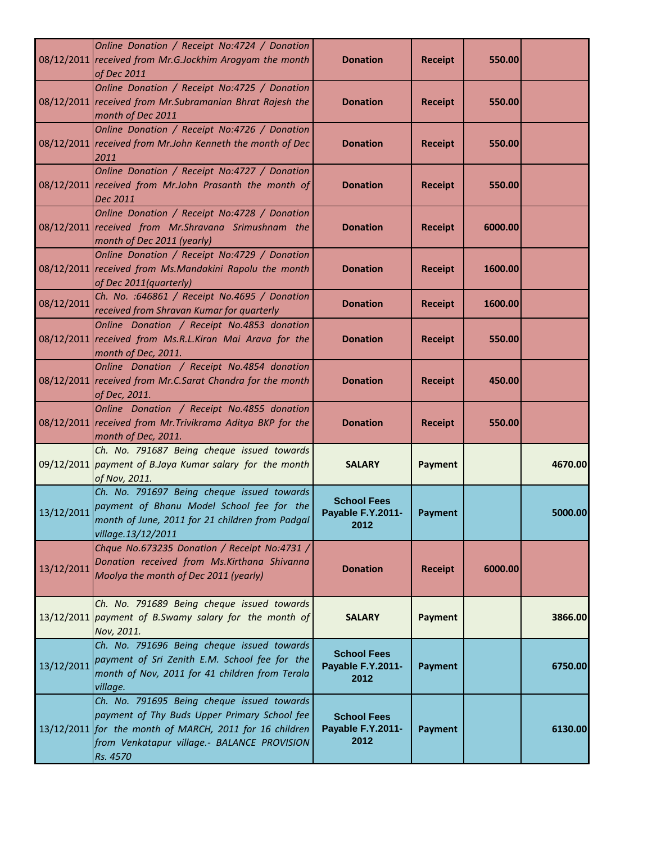|            | Online Donation / Receipt No:4724 / Donation<br>08/12/2011 received from Mr.G.Jockhim Arogyam the month<br>of Dec 2011                                                                                           | <b>Donation</b>                                 | <b>Receipt</b> | 550.00  |         |
|------------|------------------------------------------------------------------------------------------------------------------------------------------------------------------------------------------------------------------|-------------------------------------------------|----------------|---------|---------|
|            | Online Donation / Receipt No:4725 / Donation<br>08/12/2011 received from Mr. Subramanian Bhrat Rajesh the<br>month of Dec 2011                                                                                   | <b>Donation</b>                                 | <b>Receipt</b> | 550.00  |         |
|            | Online Donation / Receipt No:4726 / Donation<br>08/12/2011 received from Mr. John Kenneth the month of Dec<br>2011                                                                                               | <b>Donation</b>                                 | <b>Receipt</b> | 550.00  |         |
|            | Online Donation / Receipt No:4727 / Donation<br>08/12/2011 received from Mr.John Prasanth the month of<br>Dec 2011                                                                                               | <b>Donation</b>                                 | <b>Receipt</b> | 550.00  |         |
|            | Online Donation / Receipt No:4728 / Donation<br>08/12/2011 received from Mr.Shravana Srimushnam the<br>month of Dec 2011 (yearly)                                                                                | <b>Donation</b>                                 | <b>Receipt</b> | 6000.00 |         |
|            | Online Donation / Receipt No:4729 / Donation<br>08/12/2011 received from Ms.Mandakini Rapolu the month<br>of Dec 2011(quarterly)                                                                                 | <b>Donation</b>                                 | <b>Receipt</b> | 1600.00 |         |
| 08/12/2011 | Ch. No. :646861 / Receipt No.4695 / Donation<br>received from Shravan Kumar for quarterly                                                                                                                        | <b>Donation</b>                                 | <b>Receipt</b> | 1600.00 |         |
|            | Online Donation / Receipt No.4853 donation<br>08/12/2011 received from Ms.R.L.Kiran Mai Arava for the<br>month of Dec, 2011.                                                                                     | <b>Donation</b>                                 | <b>Receipt</b> | 550.00  |         |
|            | Online Donation / Receipt No.4854 donation<br>08/12/2011 received from Mr.C.Sarat Chandra for the month<br>of Dec, 2011.                                                                                         | <b>Donation</b>                                 | <b>Receipt</b> | 450.00  |         |
|            | Online Donation / Receipt No.4855 donation<br>08/12/2011 received from Mr. Trivikrama Aditya BKP for the<br>month of Dec, 2011.                                                                                  | <b>Donation</b>                                 | <b>Receipt</b> | 550.00  |         |
|            | Ch. No. 791687 Being cheque issued towards<br>09/12/2011 payment of B.Jaya Kumar salary for the month<br>of Nov, 2011.                                                                                           | <b>SALARY</b>                                   | <b>Payment</b> |         | 4670.00 |
| 13/12/2011 | Ch. No. 791697 Being cheque issued towards<br>payment of Bhanu Model School fee for the<br>month of June, 2011 for 21 children from Padgal<br>village.13/12/2011                                                 | <b>School Fees</b><br>Payable F.Y.2011-<br>2012 | Payment        |         | 5000.00 |
| 13/12/2011 | Chque No.673235 Donation / Receipt No:4731 /<br>Donation received from Ms.Kirthana Shivanna<br>Moolya the month of Dec 2011 (yearly)                                                                             | <b>Donation</b>                                 | <b>Receipt</b> | 6000.00 |         |
|            | Ch. No. 791689 Being cheque issued towards<br>13/12/2011 payment of B.Swamy salary for the month of<br>Nov, 2011.                                                                                                | <b>SALARY</b>                                   | <b>Payment</b> |         | 3866.00 |
| 13/12/2011 | Ch. No. 791696 Being cheque issued towards<br>payment of Sri Zenith E.M. School fee for the<br>month of Nov, 2011 for 41 children from Terala<br>village.                                                        | <b>School Fees</b><br>Payable F.Y.2011-<br>2012 | <b>Payment</b> |         | 6750.00 |
|            | Ch. No. 791695 Being cheque issued towards<br>payment of Thy Buds Upper Primary School fee<br>13/12/2011 for the month of MARCH, 2011 for 16 children<br>from Venkatapur village.- BALANCE PROVISION<br>Rs. 4570 | <b>School Fees</b><br>Payable F.Y.2011-<br>2012 | <b>Payment</b> |         | 6130.00 |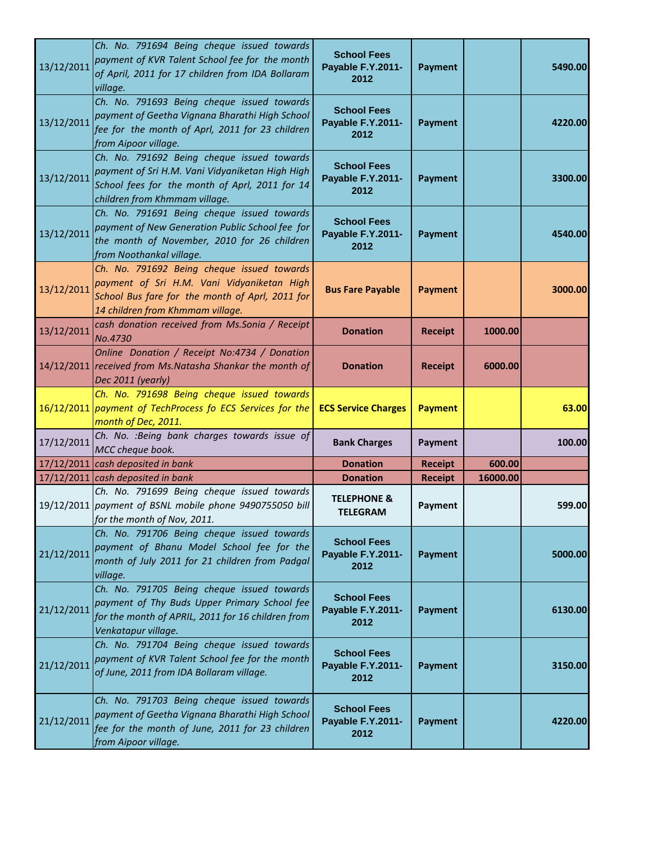| 13/12/2011 | Ch. No. 791694 Being cheque issued towards<br>payment of KVR Talent School fee for the month<br>of April, 2011 for 17 children from IDA Bollaram<br>village.                     | <b>School Fees</b><br>Payable F.Y.2011-<br>2012 | <b>Payment</b> |          | 5490.00 |
|------------|----------------------------------------------------------------------------------------------------------------------------------------------------------------------------------|-------------------------------------------------|----------------|----------|---------|
| 13/12/2011 | Ch. No. 791693 Being cheque issued towards<br>payment of Geetha Vignana Bharathi High School<br>fee for the month of Aprl, 2011 for 23 children<br>from Aipoor village.          | <b>School Fees</b><br>Payable F.Y.2011-<br>2012 | <b>Payment</b> |          | 4220.00 |
| 13/12/2011 | Ch. No. 791692 Being cheque issued towards<br>payment of Sri H.M. Vani Vidyaniketan High High<br>School fees for the month of Aprl, 2011 for 14<br>children from Khmmam village. | <b>School Fees</b><br>Payable F.Y.2011-<br>2012 | <b>Payment</b> |          | 3300.00 |
| 13/12/2011 | Ch. No. 791691 Being cheque issued towards<br>payment of New Generation Public School fee for<br>the month of November, 2010 for 26 children<br>from Noothankal village.         | <b>School Fees</b><br>Payable F.Y.2011-<br>2012 | <b>Payment</b> |          | 4540.00 |
| 13/12/2011 | Ch. No. 791692 Being cheque issued towards<br>payment of Sri H.M. Vani Vidyaniketan High<br>School Bus fare for the month of Aprl, 2011 for<br>14 children from Khmmam village.  | <b>Bus Fare Payable</b>                         | <b>Payment</b> |          | 3000.00 |
| 13/12/2011 | cash donation received from Ms.Sonia / Receipt<br>No.4730                                                                                                                        | <b>Donation</b>                                 | <b>Receipt</b> | 1000.00  |         |
|            | Online Donation / Receipt No:4734 / Donation<br>14/12/2011 received from Ms. Natasha Shankar the month of<br>Dec 2011 (yearly)                                                   | <b>Donation</b>                                 | <b>Receipt</b> | 6000.00  |         |
|            | Ch. No. 791698 Being cheque issued towards<br>16/12/2011 payment of TechProcess fo ECS Services for the<br>month of Dec, 2011.                                                   | <b>ECS Service Charges</b>                      | <b>Payment</b> |          | 63.00   |
| 17/12/2011 | Ch. No. : Being bank charges towards issue of<br>MCC cheque book.                                                                                                                | <b>Bank Charges</b>                             | Payment        |          | 100.00  |
|            | $17/12/2011$ cash deposited in bank                                                                                                                                              | <b>Donation</b>                                 | <b>Receipt</b> | 600.00   |         |
|            | $17/12/2011$ cash deposited in bank                                                                                                                                              | <b>Donation</b>                                 | <b>Receipt</b> | 16000.00 |         |
|            | Ch. No. 791699 Being cheque issued towards<br>19/12/2011 payment of BSNL mobile phone 9490755050 bill<br>for the month of Nov, 2011.                                             | <b>TELEPHONE &amp;</b><br><b>TELEGRAM</b>       | Payment        |          | 599.00  |
| 21/12/2011 | Ch. No. 791706 Being cheque issued towards<br>payment of Bhanu Model School fee for the<br>month of July 2011 for 21 children from Padgal<br>village.                            | <b>School Fees</b><br>Payable F.Y.2011-<br>2012 | <b>Payment</b> |          | 5000.00 |
| 21/12/2011 | Ch. No. 791705 Being cheque issued towards<br>payment of Thy Buds Upper Primary School fee<br>for the month of APRIL, 2011 for 16 children from<br>Venkatapur village.           | <b>School Fees</b><br>Payable F.Y.2011-<br>2012 | <b>Payment</b> |          | 6130.00 |
| 21/12/2011 | Ch. No. 791704 Being cheque issued towards<br>payment of KVR Talent School fee for the month<br>of June, 2011 from IDA Bollaram village.                                         | <b>School Fees</b><br>Payable F.Y.2011-<br>2012 | <b>Payment</b> |          | 3150.00 |
| 21/12/2011 | Ch. No. 791703 Being cheque issued towards<br>payment of Geetha Vignana Bharathi High School<br>fee for the month of June, 2011 for 23 children<br>from Aipoor village.          | <b>School Fees</b><br>Payable F.Y.2011-<br>2012 | <b>Payment</b> |          | 4220.00 |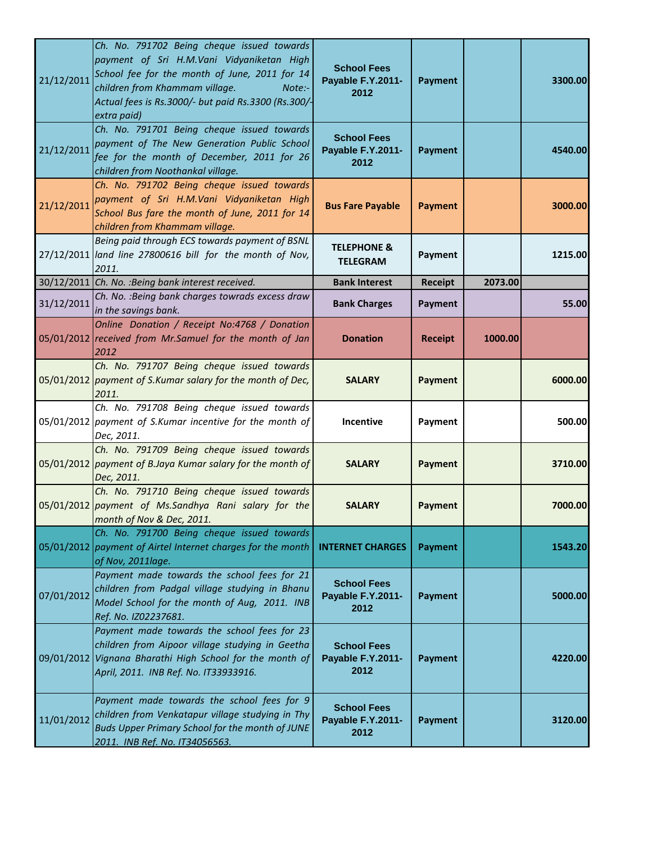| 21/12/2011 | Ch. No. 791702 Being cheque issued towards<br>payment of Sri H.M.Vani Vidyaniketan High<br>School fee for the month of June, 2011 for 14<br>children from Khammam village.<br>Note:-<br>Actual fees is Rs.3000/- but paid Rs.3300 (Rs.300/-<br>extra paid) | <b>School Fees</b><br>Payable F.Y.2011-<br>2012 | <b>Payment</b> |         | 3300.00 |
|------------|------------------------------------------------------------------------------------------------------------------------------------------------------------------------------------------------------------------------------------------------------------|-------------------------------------------------|----------------|---------|---------|
| 21/12/2011 | Ch. No. 791701 Being cheque issued towards<br>payment of The New Generation Public School<br>fee for the month of December, 2011 for 26<br>children from Noothankal village.                                                                               | <b>School Fees</b><br>Payable F.Y.2011-<br>2012 | <b>Payment</b> |         | 4540.00 |
| 21/12/2011 | Ch. No. 791702 Being cheque issued towards<br>payment of Sri H.M.Vani Vidyaniketan High<br>School Bus fare the month of June, 2011 for 14<br>children from Khammam village.                                                                                | <b>Bus Fare Payable</b>                         | <b>Payment</b> |         | 3000.00 |
|            | Being paid through ECS towards payment of BSNL<br>27/12/2011 land line 27800616 bill for the month of Nov,<br>2011.                                                                                                                                        | <b>TELEPHONE &amp;</b><br><b>TELEGRAM</b>       | Payment        |         | 1215.00 |
|            | 30/12/2011 Ch. No. : Being bank interest received.                                                                                                                                                                                                         | <b>Bank Interest</b>                            | Receipt        | 2073.00 |         |
| 31/12/2011 | Ch. No. : Being bank charges towrads excess draw<br>in the savings bank.                                                                                                                                                                                   | <b>Bank Charges</b>                             | <b>Payment</b> |         | 55.00   |
|            | Online Donation / Receipt No:4768 / Donation<br>05/01/2012 received from Mr.Samuel for the month of Jan<br>2012                                                                                                                                            | <b>Donation</b>                                 | <b>Receipt</b> | 1000.00 |         |
|            | Ch. No. 791707 Being cheque issued towards<br>05/01/2012 payment of S.Kumar salary for the month of Dec,<br>2011.                                                                                                                                          | <b>SALARY</b>                                   | <b>Payment</b> |         | 6000.00 |
|            | Ch. No. 791708 Being cheque issued towards<br>05/01/2012 payment of S.Kumar incentive for the month of<br>Dec, 2011.                                                                                                                                       | <b>Incentive</b>                                | Payment        |         | 500.00  |
|            | Ch. No. 791709 Being cheque issued towards<br>05/01/2012 payment of B.Jaya Kumar salary for the month of<br>Dec, 2011.                                                                                                                                     | <b>SALARY</b>                                   | <b>Payment</b> |         | 3710.00 |
|            | Ch. No. 791710 Being cheque issued towards<br>05/01/2012 payment of Ms.Sandhya Rani salary for the<br>month of Nov & Dec, 2011.                                                                                                                            | <b>SALARY</b>                                   | <b>Payment</b> |         | 7000.00 |
|            | Ch. No. 791700 Being cheque issued towards<br>05/01/2012 payment of Airtel Internet charges for the month<br>of Nov, 2011lage.                                                                                                                             | <b>INTERNET CHARGES</b>                         | <b>Payment</b> |         | 1543.20 |
| 07/01/2012 | Payment made towards the school fees for 21<br>children from Padgal village studying in Bhanu<br>Model School for the month of Aug, 2011. INB<br>Ref. No. IZ02237681.                                                                                      | <b>School Fees</b><br>Payable F.Y.2011-<br>2012 | <b>Payment</b> |         | 5000.00 |
|            | Payment made towards the school fees for 23<br>children from Aipoor village studying in Geetha<br>09/01/2012 Vignana Bharathi High School for the month of<br>April, 2011. INB Ref. No. IT33933916.                                                        | <b>School Fees</b><br>Payable F.Y.2011-<br>2012 | <b>Payment</b> |         | 4220.00 |
| 11/01/2012 | Payment made towards the school fees for 9<br>children from Venkatapur village studying in Thy<br>Buds Upper Primary School for the month of JUNE<br>2011. INB Ref. No. IT34056563.                                                                        | <b>School Fees</b><br>Payable F.Y.2011-<br>2012 | <b>Payment</b> |         | 3120.00 |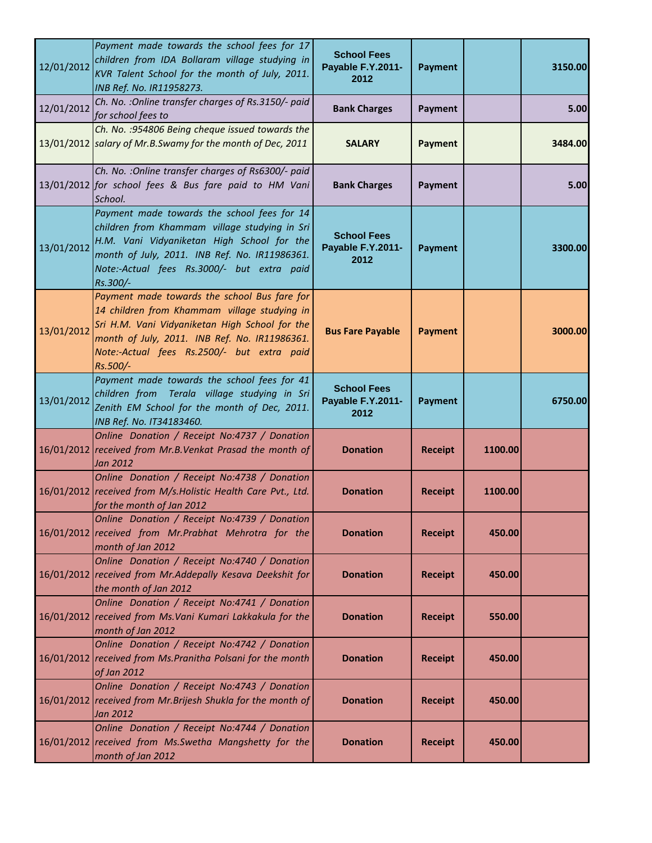| 12/01/2012 | Payment made towards the school fees for 17<br>children from IDA Bollaram village studying in<br>KVR Talent School for the month of July, 2011.<br>INB Ref. No. IR11958273.                                                                               | <b>School Fees</b><br>Payable F.Y.2011-<br>2012 | <b>Payment</b> |         | 3150.00 |
|------------|-----------------------------------------------------------------------------------------------------------------------------------------------------------------------------------------------------------------------------------------------------------|-------------------------------------------------|----------------|---------|---------|
| 12/01/2012 | Ch. No. : Online transfer charges of Rs.3150/- paid<br>for school fees to                                                                                                                                                                                 | <b>Bank Charges</b>                             | Payment        |         | 5.00    |
|            | Ch. No. : 954806 Being cheque issued towards the<br>13/01/2012 salary of Mr.B.Swamy for the month of Dec, 2011                                                                                                                                            | <b>SALARY</b>                                   | <b>Payment</b> |         | 3484.00 |
|            | Ch. No. : Online transfer charges of Rs6300/- paid<br>13/01/2012 for school fees & Bus fare paid to HM Vani<br>School.                                                                                                                                    | <b>Bank Charges</b>                             | Payment        |         | 5.00    |
| 13/01/2012 | Payment made towards the school fees for 14<br>children from Khammam village studying in Sri<br>H.M. Vani Vidyaniketan High School for the<br>month of July, 2011. INB Ref. No. IR11986361.<br>Note:-Actual fees Rs.3000/- but extra paid<br>Rs.300/-     | <b>School Fees</b><br>Payable F.Y.2011-<br>2012 | <b>Payment</b> |         | 3300.00 |
| 13/01/2012 | Payment made towards the school Bus fare for<br>14 children from Khammam village studying in<br>Sri H.M. Vani Vidyaniketan High School for the<br>month of July, 2011. INB Ref. No. IR11986361.<br>Note:-Actual fees Rs.2500/- but extra paid<br>Rs.500/- | <b>Bus Fare Payable</b>                         | <b>Payment</b> |         | 3000.00 |
| 13/01/2012 | Payment made towards the school fees for 41<br>children from Terala village studying in Sri<br>Zenith EM School for the month of Dec, 2011.<br>INB Ref. No. IT34183460.                                                                                   | <b>School Fees</b><br>Payable F.Y.2011-<br>2012 | <b>Payment</b> |         | 6750.00 |
|            | Online Donation / Receipt No:4737 / Donation<br>16/01/2012 received from Mr.B.Venkat Prasad the month of<br>Jan 2012                                                                                                                                      | <b>Donation</b>                                 | <b>Receipt</b> | 1100.00 |         |
|            | Online Donation / Receipt No:4738 / Donation<br>16/01/2012 received from M/s. Holistic Health Care Pvt., Ltd.<br>for the month of Jan 2012                                                                                                                | <b>Donation</b>                                 | <b>Receipt</b> | 1100.00 |         |
|            | Online Donation / Receipt No:4739 / Donation<br>16/01/2012 received from Mr. Prabhat Mehrotra for the<br>month of Jan 2012                                                                                                                                | <b>Donation</b>                                 | <b>Receipt</b> | 450.00  |         |
|            | Online Donation / Receipt No:4740 / Donation<br>16/01/2012 received from Mr.Addepally Kesava Deekshit for<br>the month of Jan 2012                                                                                                                        | <b>Donation</b>                                 | <b>Receipt</b> | 450.00  |         |
|            | Online Donation / Receipt No:4741 / Donation<br>16/01/2012 received from Ms. Vani Kumari Lakkakula for the<br>month of Jan 2012                                                                                                                           | <b>Donation</b>                                 | <b>Receipt</b> | 550.00  |         |
|            | Online Donation / Receipt No:4742 / Donation<br>16/01/2012 received from Ms. Pranitha Polsani for the month<br>of Jan 2012                                                                                                                                | <b>Donation</b>                                 | <b>Receipt</b> | 450.00  |         |
|            | Online Donation / Receipt No:4743 / Donation<br>16/01/2012 received from Mr. Brijesh Shukla for the month of<br>Jan 2012                                                                                                                                  | <b>Donation</b>                                 | <b>Receipt</b> | 450.00  |         |
|            | Online Donation / Receipt No:4744 / Donation<br>16/01/2012 received from Ms. Swetha Mangshetty for the<br>month of Jan 2012                                                                                                                               | <b>Donation</b>                                 | <b>Receipt</b> | 450.00  |         |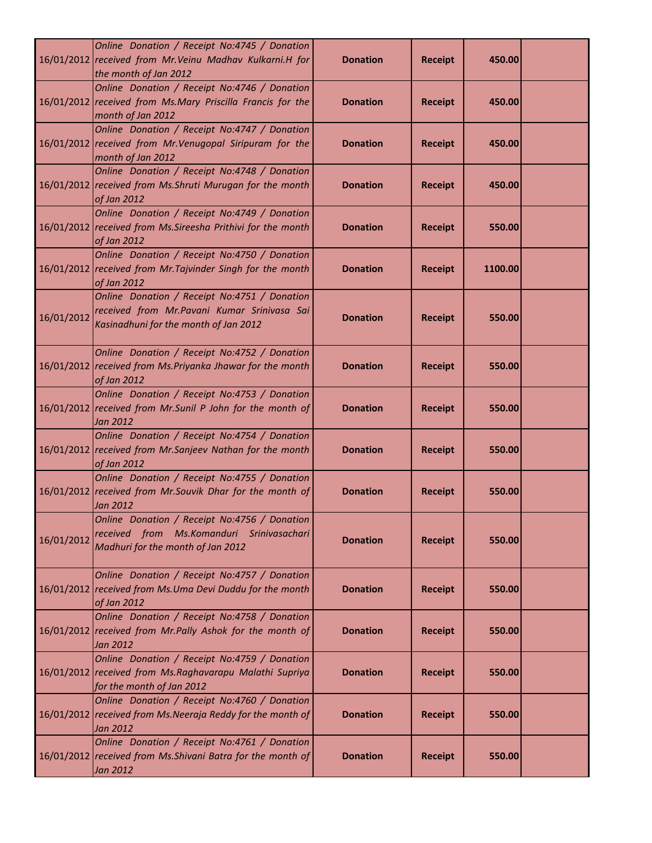|            | Online Donation / Receipt No:4745 / Donation<br>16/01/2012 received from Mr. Veinu Madhav Kulkarni.H for<br>the month of Jan 2012     | <b>Donation</b> | <b>Receipt</b> | 450.00  |  |
|------------|---------------------------------------------------------------------------------------------------------------------------------------|-----------------|----------------|---------|--|
|            | Online Donation / Receipt No:4746 / Donation<br>16/01/2012 received from Ms.Mary Priscilla Francis for the<br>month of Jan 2012       | <b>Donation</b> | <b>Receipt</b> | 450.00  |  |
|            | Online Donation / Receipt No:4747 / Donation<br>16/01/2012 received from Mr. Venugopal Siripuram for the<br>month of Jan 2012         | <b>Donation</b> | <b>Receipt</b> | 450.00  |  |
|            | Online Donation / Receipt No:4748 / Donation<br>16/01/2012 received from Ms. Shruti Murugan for the month<br>of Jan 2012              | <b>Donation</b> | <b>Receipt</b> | 450.00  |  |
|            | Online Donation / Receipt No:4749 / Donation<br>16/01/2012 received from Ms. Sireesha Prithivi for the month<br>of Jan 2012           | <b>Donation</b> | <b>Receipt</b> | 550.00  |  |
|            | Online Donation / Receipt No:4750 / Donation<br>16/01/2012 received from Mr. Tajvinder Singh for the month<br>of Jan 2012             | <b>Donation</b> | <b>Receipt</b> | 1100.00 |  |
| 16/01/2012 | Online Donation / Receipt No:4751 / Donation<br>received from Mr. Pavani Kumar Srinivasa Sai<br>Kasinadhuni for the month of Jan 2012 | <b>Donation</b> | <b>Receipt</b> | 550.00  |  |
|            | Online Donation / Receipt No:4752 / Donation<br>16/01/2012 received from Ms. Priyanka Jhawar for the month<br>of Jan 2012             | <b>Donation</b> | <b>Receipt</b> | 550.00  |  |
|            | Online Donation / Receipt No:4753 / Donation<br>16/01/2012 received from Mr.Sunil P John for the month of<br>Jan 2012                 | <b>Donation</b> | <b>Receipt</b> | 550.00  |  |
|            | Online Donation / Receipt No:4754 / Donation<br>16/01/2012 received from Mr.Sanjeev Nathan for the month<br>of Jan 2012               | <b>Donation</b> | <b>Receipt</b> | 550.00  |  |
|            | Online Donation / Receipt No:4755 / Donation<br>16/01/2012 received from Mr. Souvik Dhar for the month of<br>Jan 2012                 | <b>Donation</b> | <b>Receipt</b> | 550.00  |  |
| 16/01/2012 | Online Donation / Receipt No:4756 / Donation<br>received from Ms.Komanduri Srinivasachari<br>Madhuri for the month of Jan 2012        | <b>Donation</b> | <b>Receipt</b> | 550.00  |  |
|            | Online Donation / Receipt No:4757 / Donation<br>16/01/2012 received from Ms.Uma Devi Duddu for the month<br>of Jan 2012               | <b>Donation</b> | <b>Receipt</b> | 550.00  |  |
|            | Online Donation / Receipt No:4758 / Donation<br>16/01/2012 received from Mr.Pally Ashok for the month of<br>Jan 2012                  | <b>Donation</b> | <b>Receipt</b> | 550.00  |  |
|            | Online Donation / Receipt No:4759 / Donation<br>16/01/2012 received from Ms.Raghavarapu Malathi Supriya<br>for the month of Jan 2012  | <b>Donation</b> | <b>Receipt</b> | 550.00  |  |
|            | Online Donation / Receipt No:4760 / Donation<br>16/01/2012 received from Ms. Neeraja Reddy for the month of<br>Jan 2012               | <b>Donation</b> | <b>Receipt</b> | 550.00  |  |
|            | Online Donation / Receipt No:4761 / Donation<br>16/01/2012 received from Ms. Shivani Batra for the month of<br>Jan 2012               | <b>Donation</b> | <b>Receipt</b> | 550.00  |  |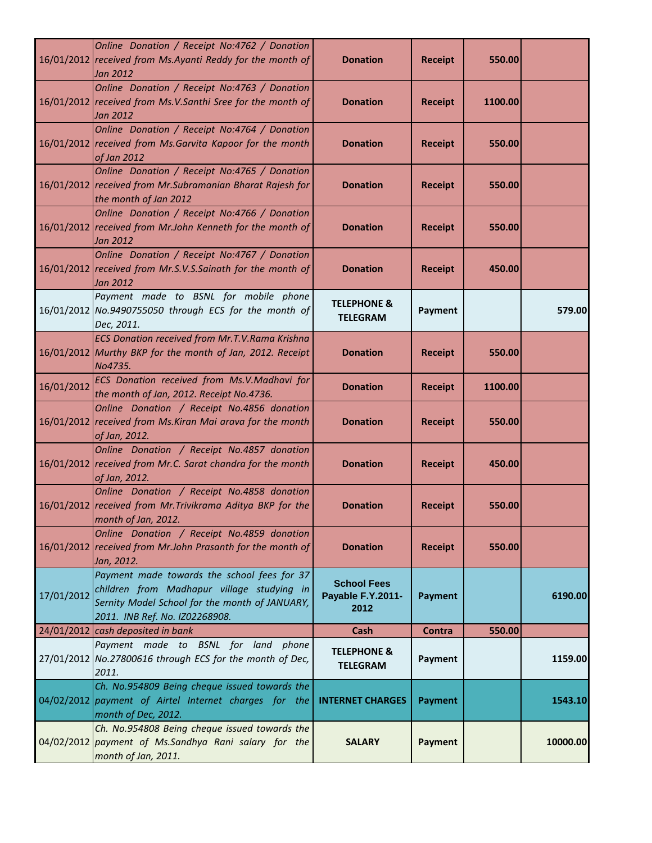|            | Online Donation / Receipt No:4762 / Donation<br>16/01/2012 received from Ms.Ayanti Reddy for the month of<br>Jan 2012                                                         | <b>Donation</b>                                 | <b>Receipt</b> | 550.00  |          |
|------------|-------------------------------------------------------------------------------------------------------------------------------------------------------------------------------|-------------------------------------------------|----------------|---------|----------|
|            | Online Donation / Receipt No:4763 / Donation<br>16/01/2012 received from Ms.V.Santhi Sree for the month of<br>Jan 2012                                                        | <b>Donation</b>                                 | <b>Receipt</b> | 1100.00 |          |
|            | Online Donation / Receipt No:4764 / Donation<br>16/01/2012 received from Ms. Garvita Kapoor for the month<br>of Jan 2012                                                      | <b>Donation</b>                                 | <b>Receipt</b> | 550.00  |          |
|            | Online Donation / Receipt No:4765 / Donation<br>16/01/2012 received from Mr. Subramanian Bharat Rajesh for<br>the month of Jan 2012                                           | <b>Donation</b>                                 | <b>Receipt</b> | 550.00  |          |
|            | Online Donation / Receipt No:4766 / Donation<br>16/01/2012 received from Mr.John Kenneth for the month of<br>Jan 2012                                                         | <b>Donation</b>                                 | <b>Receipt</b> | 550.00  |          |
|            | Online Donation / Receipt No:4767 / Donation<br>16/01/2012 received from Mr.S.V.S.Sainath for the month of<br>Jan 2012                                                        | <b>Donation</b>                                 | <b>Receipt</b> | 450.00  |          |
|            | Payment made to BSNL for mobile phone<br>16/01/2012 No.9490755050 through ECS for the month of<br>Dec, 2011.                                                                  | <b>TELEPHONE &amp;</b><br><b>TELEGRAM</b>       | Payment        |         | 579.00   |
|            | <b>ECS Donation received from Mr.T.V.Rama Krishna</b><br>16/01/2012 Murthy BKP for the month of Jan, 2012. Receipt<br>No4735.                                                 | <b>Donation</b>                                 | <b>Receipt</b> | 550.00  |          |
| 16/01/2012 | ECS Donation received from Ms.V.Madhavi for<br>the month of Jan, 2012. Receipt No.4736.                                                                                       | <b>Donation</b>                                 | <b>Receipt</b> | 1100.00 |          |
|            | Online Donation / Receipt No.4856 donation<br>16/01/2012 received from Ms. Kiran Mai arava for the month<br>of Jan, 2012.                                                     | <b>Donation</b>                                 | <b>Receipt</b> | 550.00  |          |
|            | Online Donation / Receipt No.4857 donation<br>16/01/2012 received from Mr.C. Sarat chandra for the month<br>of Jan, 2012.                                                     | <b>Donation</b>                                 | <b>Receipt</b> | 450.00  |          |
|            | Online Donation / Receipt No.4858 donation<br>16/01/2012 received from Mr. Trivikrama Aditya BKP for the<br>month of Jan, 2012.                                               | <b>Donation</b>                                 | <b>Receipt</b> | 550.00  |          |
|            | Online Donation / Receipt No.4859 donation<br>16/01/2012 received from Mr.John Prasanth for the month of<br>Jan, 2012.                                                        | <b>Donation</b>                                 | <b>Receipt</b> | 550.00  |          |
| 17/01/2012 | Payment made towards the school fees for 37<br>children from Madhapur village studying in<br>Sernity Model School for the month of JANUARY,<br>2011. INB Ref. No. IZ02268908. | <b>School Fees</b><br>Payable F.Y.2011-<br>2012 | <b>Payment</b> |         | 6190.00  |
|            | 24/01/2012 cash deposited in bank                                                                                                                                             | Cash                                            | <b>Contra</b>  | 550.00  |          |
|            | Payment made to BSNL for land phone<br>27/01/2012 No.27800616 through ECS for the month of Dec,<br>2011.                                                                      | <b>TELEPHONE &amp;</b><br><b>TELEGRAM</b>       | Payment        |         | 1159.00  |
|            | Ch. No.954809 Being cheque issued towards the<br>04/02/2012 payment of Airtel Internet charges for the<br>month of Dec, 2012.                                                 | <b>INTERNET CHARGES</b>                         | <b>Payment</b> |         | 1543.10  |
|            | Ch. No.954808 Being cheque issued towards the<br>04/02/2012 payment of Ms.Sandhya Rani salary for the<br>month of Jan, 2011.                                                  | <b>SALARY</b>                                   | Payment        |         | 10000.00 |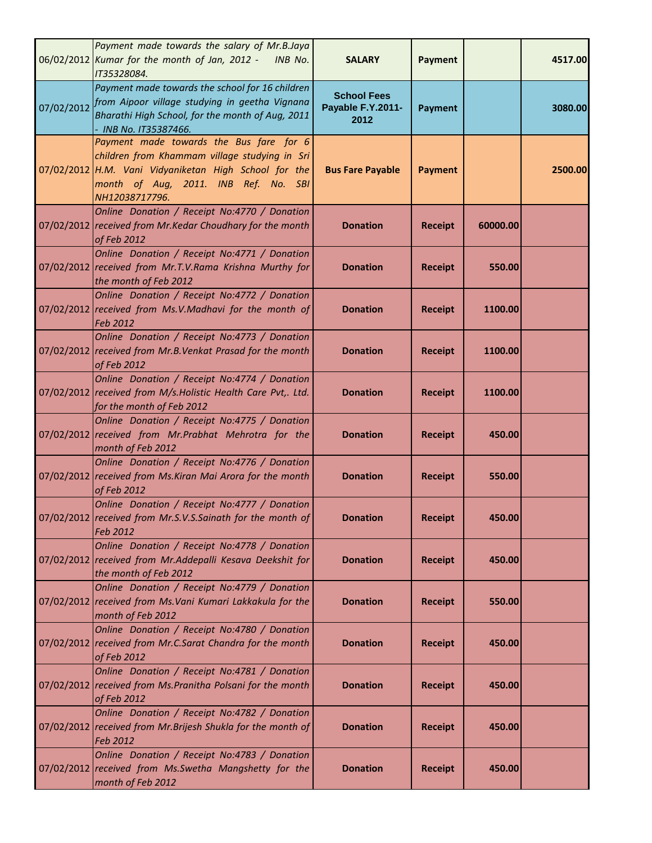|            | Payment made towards the salary of Mr.B.Jaya<br>06/02/2012 Kumar for the month of Jan, 2012 - INB No.<br>IT35328084.                                                                                        | <b>SALARY</b>                                   | Payment        |          | 4517.00 |
|------------|-------------------------------------------------------------------------------------------------------------------------------------------------------------------------------------------------------------|-------------------------------------------------|----------------|----------|---------|
| 07/02/2012 | Payment made towards the school for 16 children<br>from Aipoor village studying in geetha Vignana<br>Bharathi High School, for the month of Aug, 2011<br>INB No. IT35387466.                                | <b>School Fees</b><br>Payable F.Y.2011-<br>2012 | <b>Payment</b> |          | 3080.00 |
|            | Payment made towards the Bus fare for 6<br>children from Khammam village studying in Sri<br>07/02/2012 H.M. Vani Vidyaniketan High School for the<br>month of Aug, 2011. INB Ref. No. SBI<br>NH12038717796. | <b>Bus Fare Payable</b>                         | <b>Payment</b> |          | 2500.00 |
|            | Online Donation / Receipt No:4770 / Donation<br>07/02/2012 received from Mr.Kedar Choudhary for the month<br>of Feb 2012                                                                                    | <b>Donation</b>                                 | <b>Receipt</b> | 60000.00 |         |
|            | Online Donation / Receipt No:4771 / Donation<br>07/02/2012 received from Mr.T.V.Rama Krishna Murthy for<br>the month of Feb 2012                                                                            | <b>Donation</b>                                 | <b>Receipt</b> | 550.00   |         |
|            | Online Donation / Receipt No:4772 / Donation<br>07/02/2012 received from Ms.V.Madhavi for the month of<br>Feb 2012                                                                                          | <b>Donation</b>                                 | <b>Receipt</b> | 1100.00  |         |
|            | Online Donation / Receipt No:4773 / Donation<br>07/02/2012 received from Mr.B. Venkat Prasad for the month<br>of Feb 2012                                                                                   | <b>Donation</b>                                 | <b>Receipt</b> | 1100.00  |         |
|            | Online Donation / Receipt No:4774 / Donation<br>07/02/2012 received from M/s. Holistic Health Care Pvt,. Ltd.<br>for the month of Feb 2012                                                                  | <b>Donation</b>                                 | <b>Receipt</b> | 1100.00  |         |
|            | Online Donation / Receipt No:4775 / Donation<br>07/02/2012 received from Mr.Prabhat Mehrotra for the<br>month of Feb 2012                                                                                   | <b>Donation</b>                                 | <b>Receipt</b> | 450.00   |         |
|            | Online Donation / Receipt No:4776 / Donation<br>07/02/2012 received from Ms. Kiran Mai Arora for the month<br>of Feb 2012                                                                                   | <b>Donation</b>                                 | <b>Receipt</b> | 550.00   |         |
|            | Online Donation / Receipt No:4777 / Donation<br>07/02/2012 received from Mr.S.V.S.Sainath for the month of<br>Feb 2012                                                                                      | <b>Donation</b>                                 | <b>Receipt</b> | 450.00   |         |
|            | Online Donation / Receipt No:4778 / Donation<br>07/02/2012 received from Mr.Addepalli Kesava Deekshit for<br>the month of Feb 2012                                                                          | <b>Donation</b>                                 | <b>Receipt</b> | 450.00   |         |
|            | Online Donation / Receipt No:4779 / Donation<br>07/02/2012 received from Ms. Vani Kumari Lakkakula for the<br>month of Feb 2012                                                                             | <b>Donation</b>                                 | <b>Receipt</b> | 550.00   |         |
|            | Online Donation / Receipt No:4780 / Donation<br>07/02/2012 received from Mr.C.Sarat Chandra for the month<br>of Feb 2012                                                                                    | <b>Donation</b>                                 | <b>Receipt</b> | 450.00   |         |
|            | Online Donation / Receipt No:4781 / Donation<br>07/02/2012 received from Ms. Pranitha Polsani for the month<br>of Feb 2012                                                                                  | <b>Donation</b>                                 | <b>Receipt</b> | 450.00   |         |
|            | Online Donation / Receipt No:4782 / Donation<br>07/02/2012 received from Mr. Brijesh Shukla for the month of<br>Feb 2012                                                                                    | <b>Donation</b>                                 | <b>Receipt</b> | 450.00   |         |
|            | Online Donation / Receipt No:4783 / Donation<br>07/02/2012 received from Ms. Swetha Mangshetty for the<br>month of Feb 2012                                                                                 | <b>Donation</b>                                 | <b>Receipt</b> | 450.00   |         |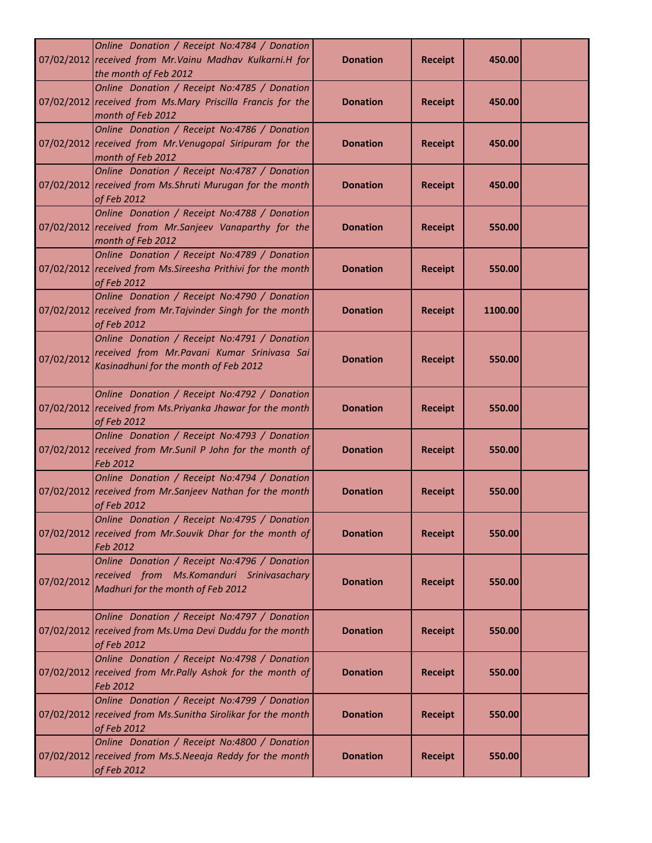|            | Online Donation / Receipt No:4784 / Donation<br>07/02/2012 received from Mr. Vainu Madhav Kulkarni.H for<br>the month of Feb 2012     | <b>Donation</b> | <b>Receipt</b> | 450.00  |  |
|------------|---------------------------------------------------------------------------------------------------------------------------------------|-----------------|----------------|---------|--|
|            | Online Donation / Receipt No:4785 / Donation<br>07/02/2012 received from Ms.Mary Priscilla Francis for the<br>month of Feb 2012       | <b>Donation</b> | <b>Receipt</b> | 450.00  |  |
|            | Online Donation / Receipt No:4786 / Donation<br>07/02/2012 received from Mr. Venugopal Siripuram for the<br>month of Feb 2012         | <b>Donation</b> | <b>Receipt</b> | 450.00  |  |
|            | Online Donation / Receipt No:4787 / Donation<br>07/02/2012 received from Ms. Shruti Murugan for the month<br>of Feb 2012              | <b>Donation</b> | <b>Receipt</b> | 450.00  |  |
|            | Online Donation / Receipt No:4788 / Donation<br>07/02/2012 received from Mr.Sanjeev Vanaparthy for the<br>month of Feb 2012           | <b>Donation</b> | <b>Receipt</b> | 550.00  |  |
|            | Online Donation / Receipt No:4789 / Donation<br>07/02/2012 received from Ms. Sireesha Prithivi for the month<br>of Feb 2012           | <b>Donation</b> | <b>Receipt</b> | 550.00  |  |
|            | Online Donation / Receipt No:4790 / Donation<br>07/02/2012 received from Mr. Tajvinder Singh for the month<br>of Feb 2012             | <b>Donation</b> | <b>Receipt</b> | 1100.00 |  |
| 07/02/2012 | Online Donation / Receipt No:4791 / Donation<br>received from Mr. Pavani Kumar Srinivasa Sai<br>Kasinadhuni for the month of Feb 2012 | <b>Donation</b> | <b>Receipt</b> | 550.00  |  |
|            | Online Donation / Receipt No:4792 / Donation<br>07/02/2012 received from Ms. Priyanka Jhawar for the month<br>of Feb 2012             | <b>Donation</b> | <b>Receipt</b> | 550.00  |  |
|            | Online Donation / Receipt No:4793 / Donation<br>07/02/2012 received from Mr.Sunil P John for the month of<br>Feb 2012                 | <b>Donation</b> | <b>Receipt</b> | 550.00  |  |
|            | Online Donation / Receipt No:4794 / Donation<br>07/02/2012 received from Mr.Sanjeev Nathan for the month<br>of Feb 2012               | <b>Donation</b> | <b>Receipt</b> | 550.00  |  |
|            | Online Donation / Receipt No:4795 / Donation<br>07/02/2012 received from Mr.Souvik Dhar for the month of<br>Feb 2012                  | <b>Donation</b> | <b>Receipt</b> | 550.00  |  |
| 07/02/2012 | Online Donation / Receipt No:4796 / Donation<br>received from Ms.Komanduri Srinivasachary<br>Madhuri for the month of Feb 2012        | <b>Donation</b> | <b>Receipt</b> | 550.00  |  |
|            | Online Donation / Receipt No:4797 / Donation<br>07/02/2012 received from Ms.Uma Devi Duddu for the month<br>of Feb 2012               | <b>Donation</b> | <b>Receipt</b> | 550.00  |  |
|            | Online Donation / Receipt No:4798 / Donation<br>07/02/2012 received from Mr.Pally Ashok for the month of<br>Feb 2012                  | <b>Donation</b> | <b>Receipt</b> | 550.00  |  |
|            | Online Donation / Receipt No:4799 / Donation<br>07/02/2012 received from Ms.Sunitha Sirolikar for the month<br>of Feb 2012            | <b>Donation</b> | <b>Receipt</b> | 550.00  |  |
|            | Online Donation / Receipt No:4800 / Donation<br>07/02/2012 received from Ms.S.Neeaja Reddy for the month<br>of Feb 2012               | <b>Donation</b> | <b>Receipt</b> | 550.00  |  |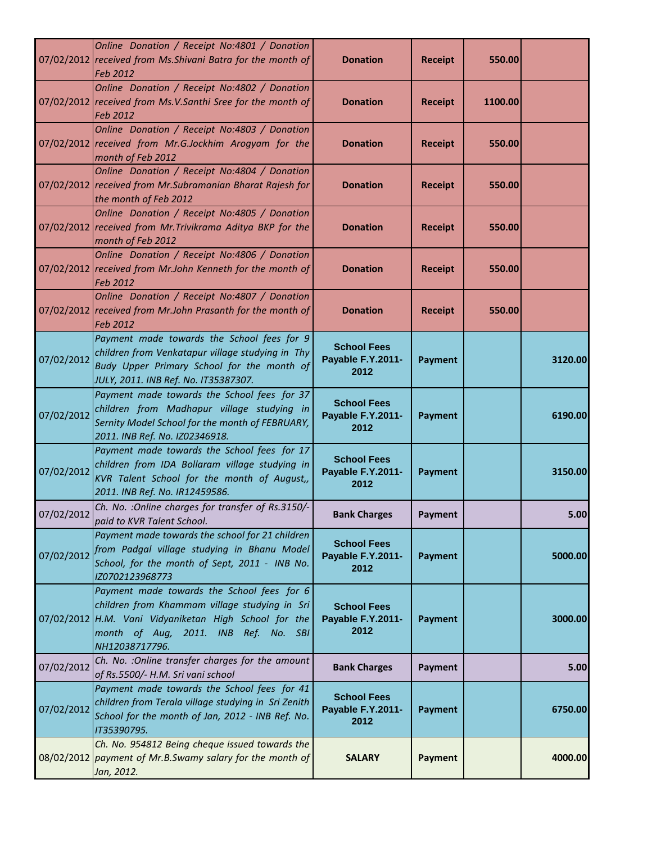|            | Online Donation / Receipt No:4801 / Donation<br>07/02/2012 received from Ms. Shivani Batra for the month of<br>Feb 2012                                                                                        | <b>Donation</b>                                 | <b>Receipt</b> | 550.00  |         |
|------------|----------------------------------------------------------------------------------------------------------------------------------------------------------------------------------------------------------------|-------------------------------------------------|----------------|---------|---------|
|            | Online Donation / Receipt No:4802 / Donation<br>07/02/2012 received from Ms.V.Santhi Sree for the month of<br>Feb 2012                                                                                         | <b>Donation</b>                                 | <b>Receipt</b> | 1100.00 |         |
|            | Online Donation / Receipt No:4803 / Donation<br>07/02/2012 received from Mr.G.Jockhim Arogyam for the<br>month of Feb 2012                                                                                     | <b>Donation</b>                                 | <b>Receipt</b> | 550.00  |         |
|            | Online Donation / Receipt No:4804 / Donation<br>07/02/2012 received from Mr. Subramanian Bharat Rajesh for<br>the month of Feb 2012                                                                            | <b>Donation</b>                                 | <b>Receipt</b> | 550.00  |         |
|            | Online Donation / Receipt No:4805 / Donation<br>07/02/2012 received from Mr. Trivikrama Aditya BKP for the<br>month of Feb 2012                                                                                | <b>Donation</b>                                 | <b>Receipt</b> | 550.00  |         |
|            | Online Donation / Receipt No:4806 / Donation<br>07/02/2012 received from Mr.John Kenneth for the month of<br>Feb 2012                                                                                          | <b>Donation</b>                                 | <b>Receipt</b> | 550.00  |         |
|            | Online Donation / Receipt No:4807 / Donation<br>07/02/2012 received from Mr.John Prasanth for the month of<br>Feb 2012                                                                                         | <b>Donation</b>                                 | <b>Receipt</b> | 550.00  |         |
| 07/02/2012 | Payment made towards the School fees for 9<br>children from Venkatapur village studying in Thy<br>Budy Upper Primary School for the month of<br>JULY, 2011. INB Ref. No. IT35387307.                           | <b>School Fees</b><br>Payable F.Y.2011-<br>2012 | <b>Payment</b> |         | 3120.00 |
| 07/02/2012 | Payment made towards the School fees for 37<br>children from Madhapur village studying in<br>Sernity Model School for the month of FEBRUARY,<br>2011. INB Ref. No. IZ02346918.                                 | <b>School Fees</b><br>Payable F.Y.2011-<br>2012 | <b>Payment</b> |         | 6190.00 |
| 07/02/2012 | Payment made towards the School fees for 17<br>children from IDA Bollaram village studying in<br>KVR Talent School for the month of August,,<br>2011. INB Ref. No. IR12459586.                                 | <b>School Fees</b><br>Payable F.Y.2011-<br>2012 | <b>Payment</b> |         | 3150.00 |
| 07/02/2012 | Ch. No. : Online charges for transfer of Rs.3150/-<br>paid to KVR Talent School.                                                                                                                               | <b>Bank Charges</b>                             | <b>Payment</b> |         | 5.00    |
| 07/02/2012 | Payment made towards the school for 21 children<br>from Padgal village studying in Bhanu Model<br>School, for the month of Sept, 2011 - INB No.<br>IZ0702123968773                                             | <b>School Fees</b><br>Payable F.Y.2011-<br>2012 | <b>Payment</b> |         | 5000.00 |
|            | Payment made towards the School fees for 6<br>children from Khammam village studying in Sri<br>07/02/2012 H.M. Vani Vidyaniketan High School for the<br>month of Aug, 2011. INB Ref. No. SBI<br>NH12038717796. | <b>School Fees</b><br>Payable F.Y.2011-<br>2012 | <b>Payment</b> |         | 3000.00 |
| 07/02/2012 | Ch. No. : Online transfer charges for the amount<br>of Rs.5500/- H.M. Sri vani school                                                                                                                          | <b>Bank Charges</b>                             | <b>Payment</b> |         | 5.00    |
| 07/02/2012 | Payment made towards the School fees for 41<br>children from Terala village studying in Sri Zenith<br>School for the month of Jan, 2012 - INB Ref. No.<br>IT35390795.                                          | <b>School Fees</b><br>Payable F.Y.2011-<br>2012 | <b>Payment</b> |         | 6750.00 |
|            | Ch. No. 954812 Being cheque issued towards the<br>08/02/2012 payment of Mr.B.Swamy salary for the month of<br>Jan, 2012.                                                                                       | <b>SALARY</b>                                   | Payment        |         | 4000.00 |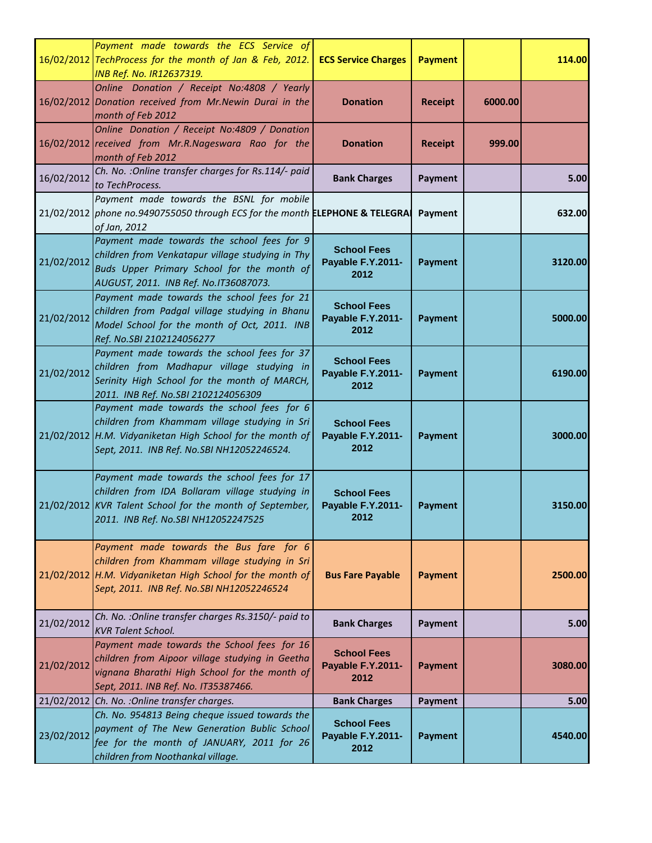|            | Payment made towards the ECS Service of<br>16/02/2012 TechProcess for the month of Jan & Feb, 2012.<br><b>INB Ref. No. IR12637319.</b>                                                                 | <b>ECS Service Charges</b>                      | <b>Payment</b> |         | 114.00  |
|------------|--------------------------------------------------------------------------------------------------------------------------------------------------------------------------------------------------------|-------------------------------------------------|----------------|---------|---------|
|            | Online Donation / Receipt No:4808 / Yearly<br>16/02/2012 Donation received from Mr. Newin Durai in the<br>month of Feb 2012                                                                            | <b>Donation</b>                                 | <b>Receipt</b> | 6000.00 |         |
|            | Online Donation / Receipt No:4809 / Donation<br>16/02/2012 received from Mr.R.Nageswara Rao for the<br>month of Feb 2012                                                                               | <b>Donation</b>                                 | <b>Receipt</b> | 999.00  |         |
| 16/02/2012 | Ch. No. : Online transfer charges for Rs.114/- paid<br>to TechProcess.                                                                                                                                 | <b>Bank Charges</b>                             | Payment        |         | 5.00    |
|            | Payment made towards the BSNL for mobile<br>21/02/2012 phone no.9490755050 through ECS for the month ELEPHONE & TELEGRA<br>of Jan, 2012                                                                |                                                 | Payment        |         | 632.00  |
| 21/02/2012 | Payment made towards the school fees for 9<br>children from Venkatapur village studying in Thy<br>Buds Upper Primary School for the month of<br>AUGUST, 2011. INB Ref. No.IT36087073.                  | <b>School Fees</b><br>Payable F.Y.2011-<br>2012 | <b>Payment</b> |         | 3120.00 |
| 21/02/2012 | Payment made towards the school fees for 21<br>children from Padgal village studying in Bhanu<br>Model School for the month of Oct, 2011. INB<br>Ref. No.SBI 2102124056277                             | <b>School Fees</b><br>Payable F.Y.2011-<br>2012 | <b>Payment</b> |         | 5000.00 |
| 21/02/2012 | Payment made towards the school fees for 37<br>children from Madhapur village studying in<br>Serinity High School for the month of MARCH,<br>2011. INB Ref. No.SBI 2102124056309                       | <b>School Fees</b><br>Payable F.Y.2011-<br>2012 | <b>Payment</b> |         | 6190.00 |
|            | Payment made towards the school fees for 6<br>children from Khammam village studying in Sri<br>21/02/2012 H.M. Vidyaniketan High School for the month of<br>Sept, 2011. INB Ref. No.SBI NH12052246524. | <b>School Fees</b><br>Payable F.Y.2011-<br>2012 | <b>Payment</b> |         | 3000.00 |
|            | Payment made towards the school fees for 17<br>children from IDA Bollaram village studying in<br>21/02/2012 KVR Talent School for the month of September,<br>2011. INB Ref. No.SBI NH12052247525       | <b>School Fees</b><br>Payable F.Y.2011-<br>2012 | <b>Payment</b> |         | 3150.00 |
|            | Payment made towards the Bus fare for 6<br>children from Khammam village studying in Sri<br>$21/02/2012$ H.M. Vidyaniketan High School for the month of<br>Sept, 2011. INB Ref. No.SBI NH12052246524   | <b>Bus Fare Payable</b>                         | <b>Payment</b> |         | 2500.00 |
| 21/02/2012 | Ch. No. : Online transfer charges Rs.3150/- paid to<br><b>KVR Talent School.</b>                                                                                                                       | <b>Bank Charges</b>                             | Payment        |         | 5.00    |
| 21/02/2012 | Payment made towards the School fees for 16<br>children from Aipoor village studying in Geetha<br>vignana Bharathi High School for the month of<br>Sept, 2011. INB Ref. No. IT35387466.                | <b>School Fees</b><br>Payable F.Y.2011-<br>2012 | <b>Payment</b> |         | 3080.00 |
|            | 21/02/2012 Ch. No. : Online transfer charges.                                                                                                                                                          | <b>Bank Charges</b>                             | Payment        |         | 5.00    |
| 23/02/2012 | Ch. No. 954813 Being cheque issued towards the<br>payment of The New Generation Bublic School<br>fee for the month of JANUARY, 2011 for 26<br>children from Noothankal village.                        | <b>School Fees</b><br>Payable F.Y.2011-<br>2012 | <b>Payment</b> |         | 4540.00 |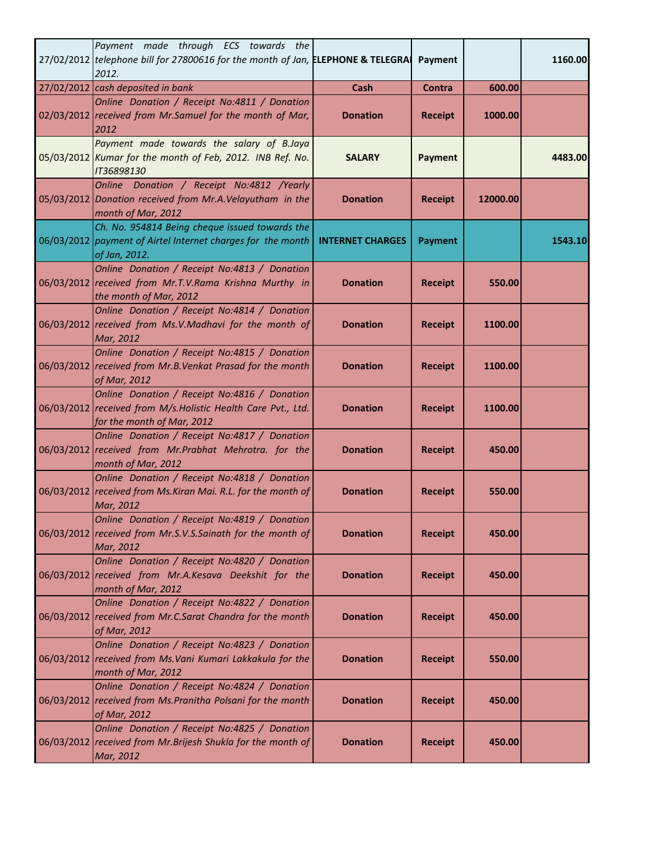| Payment made through ECS towards the<br>27/02/2012 telephone bill for 27800616 for the month of Jan, ELEPHONE & TELEGRA<br>2012.            |                         | Payment        |          | 1160.00 |
|---------------------------------------------------------------------------------------------------------------------------------------------|-------------------------|----------------|----------|---------|
| 27/02/2012 cash deposited in bank                                                                                                           | Cash                    | Contra         | 600.00   |         |
| Online Donation / Receipt No:4811 / Donation<br>02/03/2012 received from Mr.Samuel for the month of Mar,<br>2012                            | <b>Donation</b>         | <b>Receipt</b> | 1000.00  |         |
| Payment made towards the salary of B.Jaya<br>05/03/2012 Kumar for the month of Feb, 2012. INB Ref. No.<br>IT36898130                        | <b>SALARY</b>           | <b>Payment</b> |          | 4483.00 |
| Online Donation / Receipt No:4812 /Yearly<br>05/03/2012 Donation received from Mr.A.Velayutham in the<br>month of Mar, 2012                 | <b>Donation</b>         | <b>Receipt</b> | 12000.00 |         |
| Ch. No. 954814 Being cheque issued towards the<br>06/03/2012 payment of Airtel Internet charges for the month<br>of Jan, 2012.              | <b>INTERNET CHARGES</b> | <b>Payment</b> |          | 1543.10 |
| Online Donation / Receipt No:4813 / Donation<br>06/03/2012 received from Mr.T.V.Rama Krishna Murthy in<br>the month of Mar, 2012            | <b>Donation</b>         | <b>Receipt</b> | 550.00   |         |
| Online Donation / Receipt No:4814 / Donation<br>06/03/2012 received from Ms.V.Madhavi for the month of<br>Mar, 2012                         | <b>Donation</b>         | <b>Receipt</b> | 1100.00  |         |
| Online Donation / Receipt No:4815 / Donation<br>06/03/2012 received from Mr.B.Venkat Prasad for the month<br>of Mar, 2012                   | <b>Donation</b>         | <b>Receipt</b> | 1100.00  |         |
| Online Donation / Receipt No:4816 / Donation<br>06/03/2012 received from M/s. Holistic Health Care Pvt., Ltd.<br>for the month of Mar, 2012 | <b>Donation</b>         | <b>Receipt</b> | 1100.00  |         |
| Online Donation / Receipt No:4817 / Donation<br>06/03/2012 received from Mr.Prabhat Mehrotra. for the<br>month of Mar, 2012                 | <b>Donation</b>         | <b>Receipt</b> | 450.00   |         |
| Online Donation / Receipt No:4818 / Donation<br>06/03/2012 received from Ms. Kiran Mai. R.L. for the month of<br>Mar, 2012                  | <b>Donation</b>         | <b>Receipt</b> | 550.00   |         |
| Online Donation / Receipt No:4819 / Donation<br>06/03/2012 received from Mr.S.V.S.Sainath for the month of<br>Mar, 2012                     | <b>Donation</b>         | <b>Receipt</b> | 450.00   |         |
| Online Donation / Receipt No:4820 / Donation<br>06/03/2012 received from Mr.A.Kesava Deekshit for the<br>month of Mar, 2012                 | <b>Donation</b>         | <b>Receipt</b> | 450.00   |         |
| Online Donation / Receipt No:4822 / Donation<br>06/03/2012 received from Mr.C.Sarat Chandra for the month<br>of Mar, 2012                   | <b>Donation</b>         | <b>Receipt</b> | 450.00   |         |
| Online Donation / Receipt No:4823 / Donation<br>06/03/2012 received from Ms. Vani Kumari Lakkakula for the<br>month of Mar, 2012            | <b>Donation</b>         | <b>Receipt</b> | 550.00   |         |
| Online Donation / Receipt No:4824 / Donation<br>06/03/2012 received from Ms. Pranitha Polsani for the month<br>of Mar, 2012                 | <b>Donation</b>         | <b>Receipt</b> | 450.00   |         |
| Online Donation / Receipt No:4825 / Donation<br>06/03/2012 received from Mr. Brijesh Shukla for the month of<br>Mar, 2012                   | <b>Donation</b>         | <b>Receipt</b> | 450.00   |         |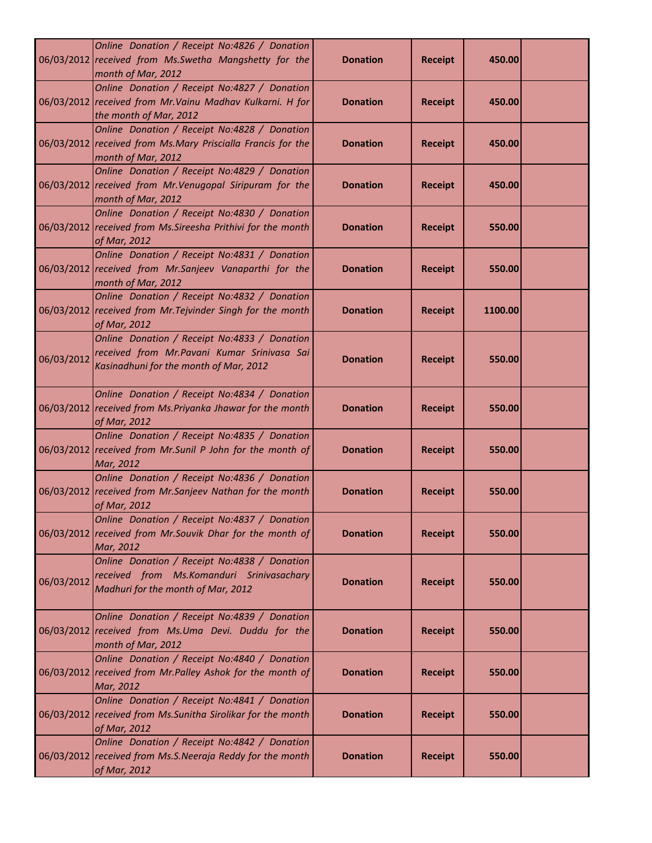|            | Online Donation / Receipt No:4826 / Donation<br>06/03/2012 received from Ms. Swetha Mangshetty for the<br>month of Mar, 2012           | <b>Donation</b> | <b>Receipt</b> | 450.00  |  |
|------------|----------------------------------------------------------------------------------------------------------------------------------------|-----------------|----------------|---------|--|
|            | Online Donation / Receipt No:4827 / Donation<br>06/03/2012 received from Mr. Vainu Madhav Kulkarni. H for<br>the month of Mar, 2012    | <b>Donation</b> | <b>Receipt</b> | 450.00  |  |
|            | Online Donation / Receipt No:4828 / Donation<br>06/03/2012 received from Ms.Mary Priscialla Francis for the<br>month of Mar, 2012      | <b>Donation</b> | <b>Receipt</b> | 450.00  |  |
|            | Online Donation / Receipt No:4829 / Donation<br>06/03/2012 received from Mr. Venugopal Siripuram for the<br>month of Mar, 2012         | <b>Donation</b> | <b>Receipt</b> | 450.00  |  |
|            | Online Donation / Receipt No:4830 / Donation<br>06/03/2012 received from Ms. Sireesha Prithivi for the month<br>of Mar, 2012           | <b>Donation</b> | <b>Receipt</b> | 550.00  |  |
|            | Online Donation / Receipt No:4831 / Donation<br>06/03/2012 received from Mr.Sanjeev Vanaparthi for the<br>month of Mar, 2012           | <b>Donation</b> | <b>Receipt</b> | 550.00  |  |
|            | Online Donation / Receipt No:4832 / Donation<br>06/03/2012 received from Mr. Tejvinder Singh for the month<br>of Mar, 2012             | <b>Donation</b> | <b>Receipt</b> | 1100.00 |  |
| 06/03/2012 | Online Donation / Receipt No:4833 / Donation<br>received from Mr. Pavani Kumar Srinivasa Sai<br>Kasinadhuni for the month of Mar, 2012 | <b>Donation</b> | <b>Receipt</b> | 550.00  |  |
|            | Online Donation / Receipt No:4834 / Donation<br>06/03/2012 received from Ms. Priyanka Jhawar for the month<br>of Mar, 2012             | <b>Donation</b> | <b>Receipt</b> | 550.00  |  |
|            | Online Donation / Receipt No:4835 / Donation<br>06/03/2012 received from Mr.Sunil P John for the month of<br>Mar, 2012                 | <b>Donation</b> | <b>Receipt</b> | 550.00  |  |
|            | Online Donation / Receipt No:4836 / Donation<br>06/03/2012 received from Mr.Sanjeev Nathan for the month<br>of Mar, 2012               | <b>Donation</b> | <b>Receipt</b> | 550.00  |  |
|            | Online Donation / Receipt No:4837 / Donation<br>06/03/2012 received from Mr.Souvik Dhar for the month of<br>Mar, 2012                  | <b>Donation</b> | <b>Receipt</b> | 550.00  |  |
| 06/03/2012 | Online Donation / Receipt No:4838 / Donation<br>received from Ms.Komanduri Srinivasachary<br>Madhuri for the month of Mar, 2012        | <b>Donation</b> | <b>Receipt</b> | 550.00  |  |
|            | Online Donation / Receipt No:4839 / Donation<br>06/03/2012 received from Ms.Uma Devi. Duddu for the<br>month of Mar, 2012              | <b>Donation</b> | <b>Receipt</b> | 550.00  |  |
|            | Online Donation / Receipt No:4840 / Donation<br>06/03/2012 received from Mr.Palley Ashok for the month of<br>Mar, 2012                 | <b>Donation</b> | <b>Receipt</b> | 550.00  |  |
|            | Online Donation / Receipt No:4841 / Donation<br>06/03/2012 received from Ms. Sunitha Sirolikar for the month<br>of Mar, 2012           | <b>Donation</b> | <b>Receipt</b> | 550.00  |  |
|            | Online Donation / Receipt No:4842 / Donation<br>06/03/2012 received from Ms.S.Neeraja Reddy for the month<br>of Mar, 2012              | <b>Donation</b> | <b>Receipt</b> | 550.00  |  |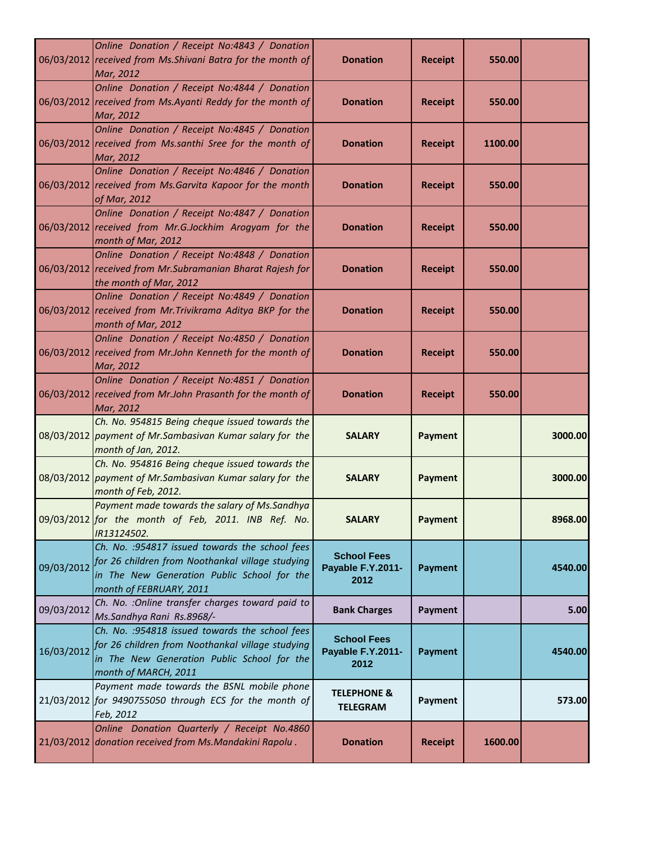|            | Online Donation / Receipt No:4843 / Donation<br>06/03/2012 received from Ms. Shivani Batra for the month of<br>Mar, 2012                                                      | <b>Donation</b>                                 | <b>Receipt</b> | 550.00  |         |
|------------|-------------------------------------------------------------------------------------------------------------------------------------------------------------------------------|-------------------------------------------------|----------------|---------|---------|
|            | Online Donation / Receipt No:4844 / Donation<br>06/03/2012 received from Ms.Ayanti Reddy for the month of<br>Mar, 2012                                                        | <b>Donation</b>                                 | <b>Receipt</b> | 550.00  |         |
|            | Online Donation / Receipt No:4845 / Donation<br>06/03/2012 received from Ms.santhi Sree for the month of<br>Mar, 2012                                                         | <b>Donation</b>                                 | <b>Receipt</b> | 1100.00 |         |
|            | Online Donation / Receipt No:4846 / Donation<br>06/03/2012 received from Ms. Garvita Kapoor for the month<br>of Mar, 2012                                                     | <b>Donation</b>                                 | <b>Receipt</b> | 550.00  |         |
|            | Online Donation / Receipt No:4847 / Donation<br>06/03/2012 received from Mr.G.Jockhim Arogyam for the<br>month of Mar, 2012                                                   | <b>Donation</b>                                 | <b>Receipt</b> | 550.00  |         |
|            | Online Donation / Receipt No:4848 / Donation<br>06/03/2012 received from Mr. Subramanian Bharat Rajesh for<br>the month of Mar, 2012                                          | <b>Donation</b>                                 | <b>Receipt</b> | 550.00  |         |
|            | Online Donation / Receipt No:4849 / Donation<br>06/03/2012 received from Mr. Trivikrama Aditya BKP for the<br>month of Mar, 2012                                              | <b>Donation</b>                                 | <b>Receipt</b> | 550.00  |         |
|            | Online Donation / Receipt No:4850 / Donation<br>06/03/2012 received from Mr.John Kenneth for the month of<br>Mar, 2012                                                        | <b>Donation</b>                                 | <b>Receipt</b> | 550.00  |         |
|            | Online Donation / Receipt No:4851 / Donation<br>06/03/2012 received from Mr.John Prasanth for the month of<br>Mar, 2012                                                       | <b>Donation</b>                                 | <b>Receipt</b> | 550.00  |         |
|            | Ch. No. 954815 Being cheque issued towards the<br>08/03/2012 payment of Mr.Sambasivan Kumar salary for the<br>month of Jan, 2012.                                             | <b>SALARY</b>                                   | <b>Payment</b> |         | 3000.00 |
|            | Ch. No. 954816 Being cheque issued towards the<br>08/03/2012 payment of Mr. Sambasivan Kumar salary for the<br>month of Feb, 2012.                                            | <b>SALARY</b>                                   | <b>Payment</b> |         | 3000.00 |
|            | Payment made towards the salary of Ms.Sandhya<br>09/03/2012 for the month of Feb, 2011. INB Ref. No.<br>IR13124502.                                                           | <b>SALARY</b>                                   | Payment        |         | 8968.00 |
| 09/03/2012 | Ch. No. : 954817 issued towards the school fees<br>for 26 children from Noothankal village studying<br>in The New Generation Public School for the<br>month of FEBRUARY, 2011 | <b>School Fees</b><br>Payable F.Y.2011-<br>2012 | <b>Payment</b> |         | 4540.00 |
| 09/03/2012 | Ch. No. : Online transfer charges toward paid to<br>Ms.Sandhya Rani Rs.8968/-                                                                                                 | <b>Bank Charges</b>                             | Payment        |         | 5.00    |
| 16/03/2012 | Ch. No. : 954818 issued towards the school fees<br>for 26 children from Noothankal village studying<br>in The New Generation Public School for the<br>month of MARCH, 2011    | <b>School Fees</b><br>Payable F.Y.2011-<br>2012 | <b>Payment</b> |         | 4540.00 |
|            | Payment made towards the BSNL mobile phone<br>21/03/2012 for 9490755050 through ECS for the month of<br>Feb, 2012                                                             | <b>TELEPHONE &amp;</b><br><b>TELEGRAM</b>       | Payment        |         | 573.00  |
|            | Online Donation Quarterly / Receipt No.4860<br>21/03/2012 donation received from Ms. Mandakini Rapolu.                                                                        | <b>Donation</b>                                 | <b>Receipt</b> | 1600.00 |         |